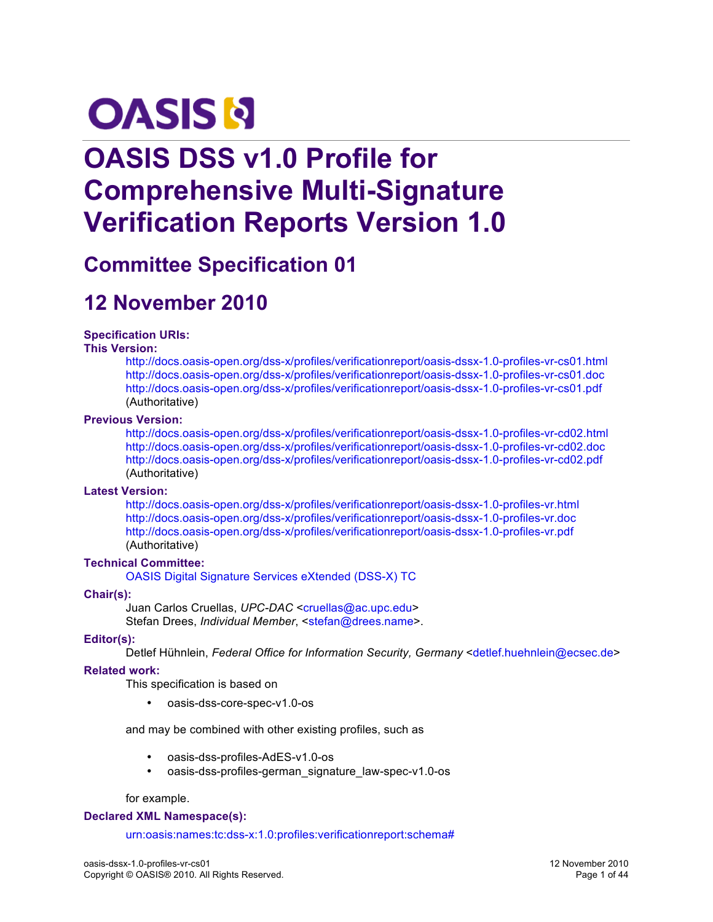# **OASIS N**

## **OASIS DSS v1.0 Profile for Comprehensive Multi-Signature Verification Reports Version 1.0**

## **Committee Specification 01**

## **12 November 2010**

#### **Specification URIs:**

#### **This Version:**

http://docs.oasis-open.org/dss-x/profiles/verificationreport/oasis-dssx-1.0-profiles-vr-cs01.html http://docs.oasis-open.org/dss-x/profiles/verificationreport/oasis-dssx-1.0-profiles-vr-cs01.doc http://docs.oasis-open.org/dss-x/profiles/verificationreport/oasis-dssx-1.0-profiles-vr-cs01.pdf (Authoritative)

#### **Previous Version:**

http://docs.oasis-open.org/dss-x/profiles/verificationreport/oasis-dssx-1.0-profiles-vr-cd02.html http://docs.oasis-open.org/dss-x/profiles/verificationreport/oasis-dssx-1.0-profiles-vr-cd02.doc http://docs.oasis-open.org/dss-x/profiles/verificationreport/oasis-dssx-1.0-profiles-vr-cd02.pdf (Authoritative)

#### **Latest Version:**

http://docs.oasis-open.org/dss-x/profiles/verificationreport/oasis-dssx-1.0-profiles-vr.html http://docs.oasis-open.org/dss-x/profiles/verificationreport/oasis-dssx-1.0-profiles-vr.doc http://docs.oasis-open.org/dss-x/profiles/verificationreport/oasis-dssx-1.0-profiles-vr.pdf (Authoritative)

#### **Technical Committee:**

OASIS Digital Signature Services eXtended (DSS-X) TC

#### **Chair(s):**

Juan Carlos Cruellas, UPC-DAC <cruellas@ac.upc.edu> Stefan Drees, *Individual Member*, <stefan@drees.name>.

#### **Editor(s):**

Detlef Hühnlein, *Federal Office for Information Security, Germany* <detlef.huehnlein@ecsec.de>

#### **Related work:**

This specification is based on

• oasis-dss-core-spec-v1.0-os

and may be combined with other existing profiles, such as

- oasis-dss-profiles-AdES-v1.0-os
- oasis-dss-profiles-german\_signature\_law-spec-v1.0-os

for example.

#### **Declared XML Namespace(s):**

urn:oasis:names:tc:dss-x:1.0:profiles:verificationreport:schema#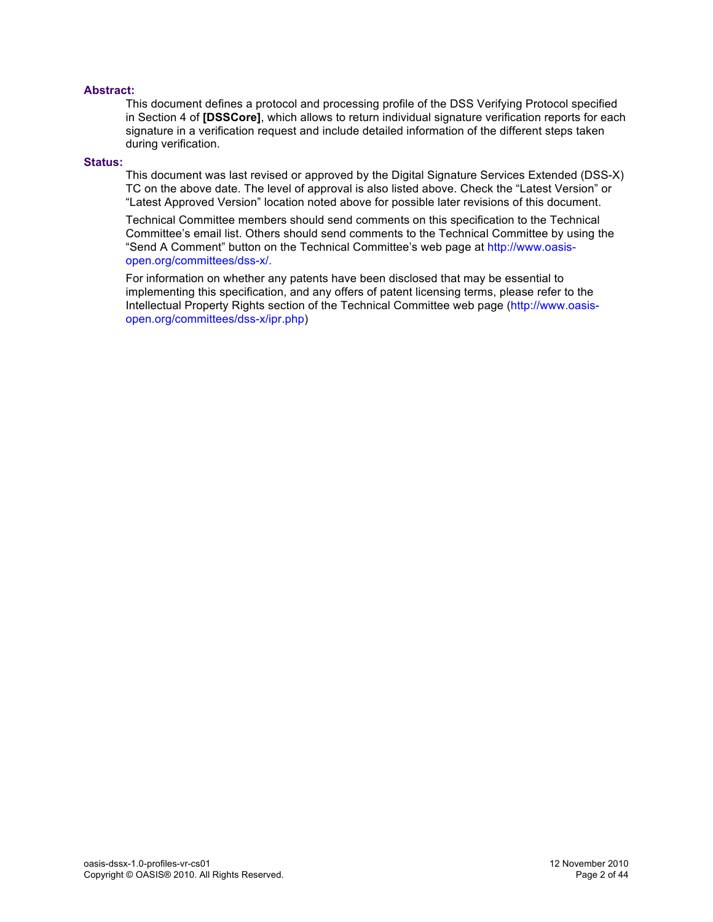#### **Abstract:**

This document defines a protocol and processing profile of the DSS Verifying Protocol specified in Section 4 of **[DSSCore]**, which allows to return individual signature verification reports for each signature in a verification request and include detailed information of the different steps taken during verification.

#### **Status:**

This document was last revised or approved by the Digital Signature Services Extended (DSS-X) TC on the above date. The level of approval is also listed above. Check the "Latest Version" or "Latest Approved Version" location noted above for possible later revisions of this document.

Technical Committee members should send comments on this specification to the Technical Committee's email list. Others should send comments to the Technical Committee by using the "Send A Comment" button on the Technical Committee's web page at http://www.oasisopen.org/committees/dss-x/.

For information on whether any patents have been disclosed that may be essential to implementing this specification, and any offers of patent licensing terms, please refer to the Intellectual Property Rights section of the Technical Committee web page (http://www.oasisopen.org/committees/dss-x/ipr.php)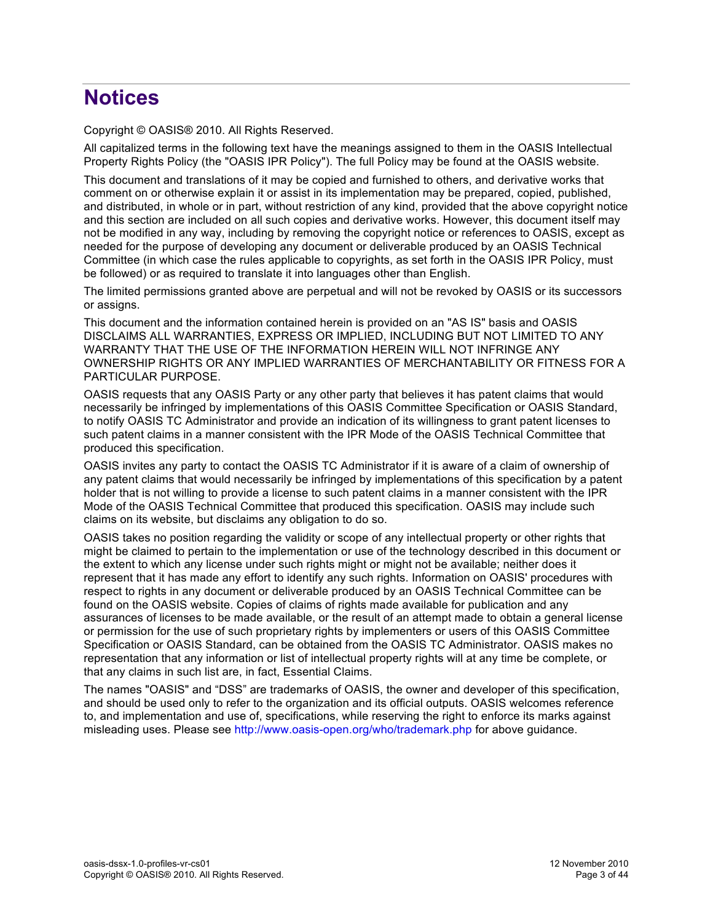## **Notices**

Copyright © OASIS® 2010. All Rights Reserved.

All capitalized terms in the following text have the meanings assigned to them in the OASIS Intellectual Property Rights Policy (the "OASIS IPR Policy"). The full Policy may be found at the OASIS website.

This document and translations of it may be copied and furnished to others, and derivative works that comment on or otherwise explain it or assist in its implementation may be prepared, copied, published, and distributed, in whole or in part, without restriction of any kind, provided that the above copyright notice and this section are included on all such copies and derivative works. However, this document itself may not be modified in any way, including by removing the copyright notice or references to OASIS, except as needed for the purpose of developing any document or deliverable produced by an OASIS Technical Committee (in which case the rules applicable to copyrights, as set forth in the OASIS IPR Policy, must be followed) or as required to translate it into languages other than English.

The limited permissions granted above are perpetual and will not be revoked by OASIS or its successors or assigns.

This document and the information contained herein is provided on an "AS IS" basis and OASIS DISCLAIMS ALL WARRANTIES, EXPRESS OR IMPLIED, INCLUDING BUT NOT LIMITED TO ANY WARRANTY THAT THE USE OF THE INFORMATION HEREIN WILL NOT INFRINGE ANY OWNERSHIP RIGHTS OR ANY IMPLIED WARRANTIES OF MERCHANTABILITY OR FITNESS FOR A PARTICULAR PURPOSE.

OASIS requests that any OASIS Party or any other party that believes it has patent claims that would necessarily be infringed by implementations of this OASIS Committee Specification or OASIS Standard, to notify OASIS TC Administrator and provide an indication of its willingness to grant patent licenses to such patent claims in a manner consistent with the IPR Mode of the OASIS Technical Committee that produced this specification.

OASIS invites any party to contact the OASIS TC Administrator if it is aware of a claim of ownership of any patent claims that would necessarily be infringed by implementations of this specification by a patent holder that is not willing to provide a license to such patent claims in a manner consistent with the IPR Mode of the OASIS Technical Committee that produced this specification. OASIS may include such claims on its website, but disclaims any obligation to do so.

OASIS takes no position regarding the validity or scope of any intellectual property or other rights that might be claimed to pertain to the implementation or use of the technology described in this document or the extent to which any license under such rights might or might not be available; neither does it represent that it has made any effort to identify any such rights. Information on OASIS' procedures with respect to rights in any document or deliverable produced by an OASIS Technical Committee can be found on the OASIS website. Copies of claims of rights made available for publication and any assurances of licenses to be made available, or the result of an attempt made to obtain a general license or permission for the use of such proprietary rights by implementers or users of this OASIS Committee Specification or OASIS Standard, can be obtained from the OASIS TC Administrator. OASIS makes no representation that any information or list of intellectual property rights will at any time be complete, or that any claims in such list are, in fact, Essential Claims.

The names "OASIS" and "DSS" are trademarks of OASIS, the owner and developer of this specification, and should be used only to refer to the organization and its official outputs. OASIS welcomes reference to, and implementation and use of, specifications, while reserving the right to enforce its marks against misleading uses. Please see http://www.oasis-open.org/who/trademark.php for above guidance.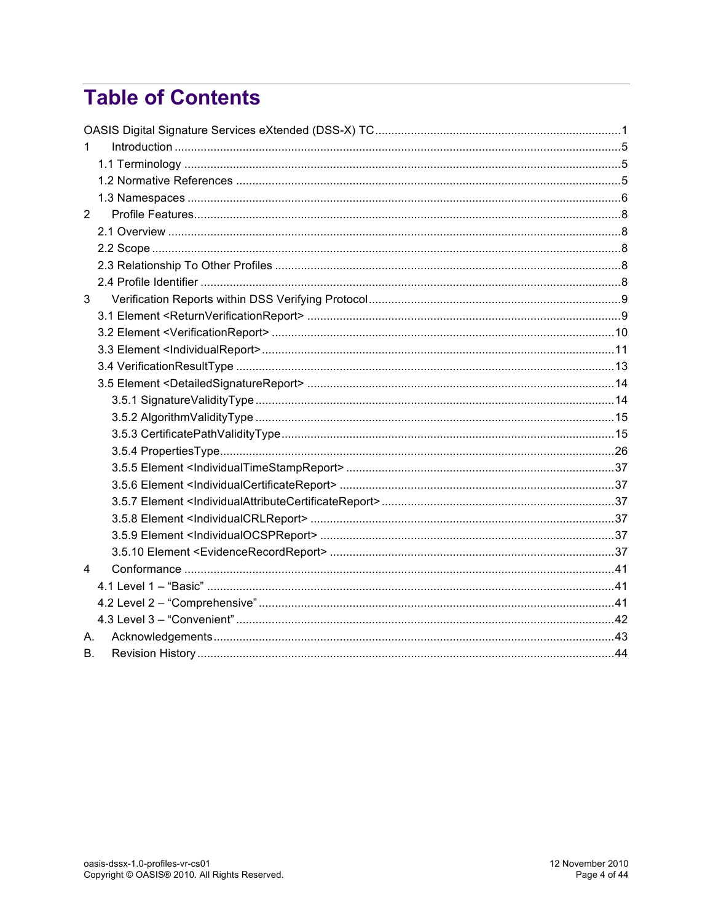## **Table of Contents**

| 1              |  |
|----------------|--|
|                |  |
|                |  |
|                |  |
| $\overline{2}$ |  |
|                |  |
|                |  |
|                |  |
|                |  |
| 3              |  |
|                |  |
|                |  |
|                |  |
|                |  |
|                |  |
|                |  |
|                |  |
|                |  |
|                |  |
|                |  |
|                |  |
|                |  |
|                |  |
|                |  |
|                |  |
| 4              |  |
|                |  |
|                |  |
|                |  |
| А.             |  |
| В.             |  |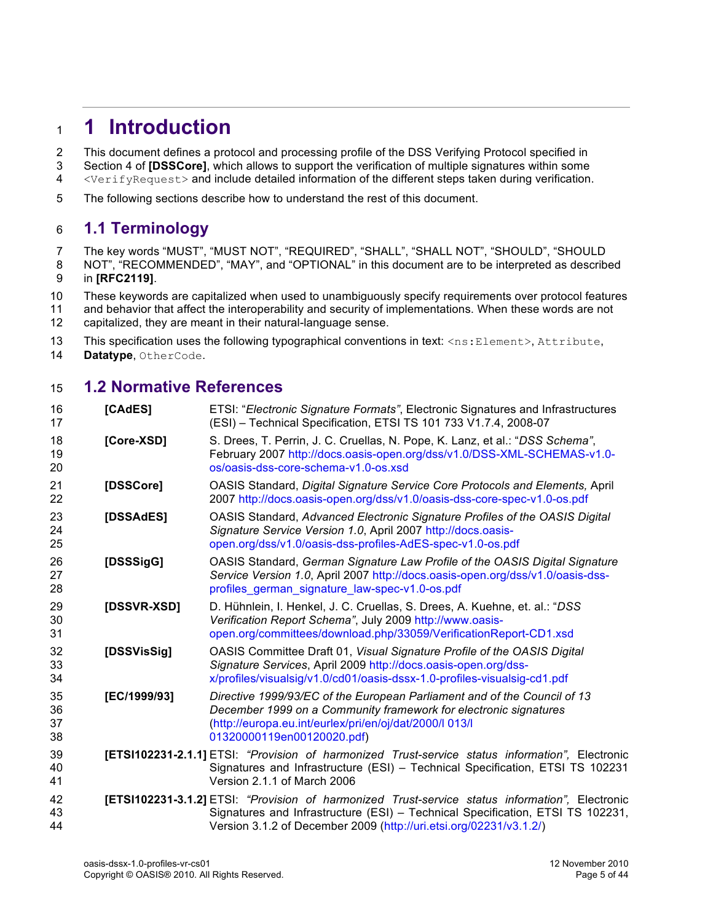## **1 Introduction**

2 This document defines a protocol and processing profile of the DSS Verifying Protocol specified in

3 Section 4 of **[DSSCore]**, which allows to support the verification of multiple signatures within some<br>4 <VerifyRequest> and include detailed information of the different steps taken during verification.

- <VerifyRequest> and include detailed information of the different steps taken during verification.
- The following sections describe how to understand the rest of this document.

## **1.1 Terminology**

The key words "MUST", "MUST NOT", "REQUIRED", "SHALL", "SHALL NOT", "SHOULD", "SHOULD

- 8 NOT", "RECOMMENDED", "MAY", and "OPTIONAL" in this document are to be interpreted as described in **[RFC2119]**.
- These keywords are capitalized when used to unambiguously specify requirements over protocol features
- and behavior that affect the interoperability and security of implementations. When these words are not capitalized, they are meant in their natural-language sense.
- 13 This specification uses the following typographical conventions in text: <ns: Element>, Attribute,
- **Datatype**, OtherCode.

## **1.2 Normative References**

| 16<br>17             | [CAdES]      | ETSI: "Electronic Signature Formats", Electronic Signatures and Infrastructures<br>(ESI) - Technical Specification, ETSI TS 101 733 V1.7.4, 2008-07                                                                                                            |
|----------------------|--------------|----------------------------------------------------------------------------------------------------------------------------------------------------------------------------------------------------------------------------------------------------------------|
| 18<br>19<br>20       | [Core-XSD]   | S. Drees, T. Perrin, J. C. Cruellas, N. Pope, K. Lanz, et al.: "DSS Schema",<br>February 2007 http://docs.oasis-open.org/dss/v1.0/DSS-XML-SCHEMAS-v1.0-<br>os/oasis-dss-core-schema-v1.0-os.xsd                                                                |
| 21<br>22             | [DSSCore]    | OASIS Standard, Digital Signature Service Core Protocols and Elements, April<br>2007 http://docs.oasis-open.org/dss/v1.0/oasis-dss-core-spec-v1.0-os.pdf                                                                                                       |
| 23<br>24<br>25       | [DSSAdES]    | OASIS Standard, Advanced Electronic Signature Profiles of the OASIS Digital<br>Signature Service Version 1.0, April 2007 http://docs.oasis-<br>open.org/dss/v1.0/oasis-dss-profiles-AdES-spec-v1.0-os.pdf                                                      |
| 26<br>27<br>28       | [DSSSigG]    | OASIS Standard, German Signature Law Profile of the OASIS Digital Signature<br>Service Version 1.0, April 2007 http://docs.oasis-open.org/dss/v1.0/oasis-dss-<br>profiles german signature law-spec-v1.0-os.pdf                                                |
| 29<br>30<br>31       | [DSSVR-XSD]  | D. Hühnlein, I. Henkel, J. C. Cruellas, S. Drees, A. Kuehne, et. al.: "DSS<br>Verification Report Schema", July 2009 http://www.oasis-<br>open.org/committees/download.php/33059/VerificationReport-CD1.xsd                                                    |
| 32<br>33<br>34       | [DSSVisSig]  | OASIS Committee Draft 01, Visual Signature Profile of the OASIS Digital<br>Signature Services, April 2009 http://docs.oasis-open.org/dss-<br>x/profiles/visualsig/v1.0/cd01/oasis-dssx-1.0-profiles-visualsig-cd1.pdf                                          |
| 35<br>36<br>37<br>38 | [EC/1999/93] | Directive 1999/93/EC of the European Parliament and of the Council of 13<br>December 1999 on a Community framework for electronic signatures<br>(http://europa.eu.int/eurlex/pri/en/oj/dat/2000/l 013/l<br>01320000119en00120020.pdf)                          |
| 39<br>40<br>41       |              | <b>[ETSI102231-2.1.1]</b> ETSI: "Provision of harmonized Trust-service status information", Electronic<br>Signatures and Infrastructure (ESI) - Technical Specification, ETSI TS 102231<br>Version 2.1.1 of March 2006                                         |
| 42<br>43<br>44       |              | <b>[ETSI102231-3.1.2]</b> ETSI: "Provision of harmonized Trust-service status information", Electronic<br>Signatures and Infrastructure (ESI) - Technical Specification, ETSI TS 102231,<br>Version 3.1.2 of December 2009 (http://uri.etsi.org/02231/v3.1.2/) |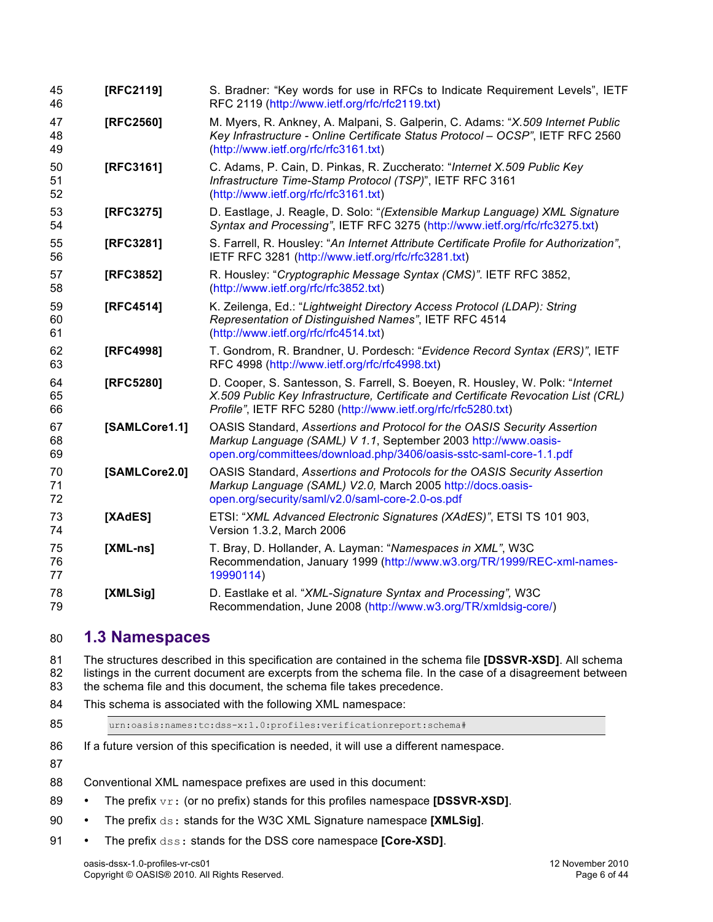| 45<br>46       | [RFC2119]     | S. Bradner: "Key words for use in RFCs to Indicate Requirement Levels", IETF<br>RFC 2119 (http://www.ietf.org/rfc/rfc2119.txt)                                                                                                        |
|----------------|---------------|---------------------------------------------------------------------------------------------------------------------------------------------------------------------------------------------------------------------------------------|
| 47<br>48<br>49 | [RFC2560]     | M. Myers, R. Ankney, A. Malpani, S. Galperin, C. Adams: "X.509 Internet Public<br>Key Infrastructure - Online Certificate Status Protocol - OCSP", IETF RFC 2560<br>(http://www.ietf.org/rfc/rfc3161.txt)                             |
| 50<br>51<br>52 | [RFC3161]     | C. Adams, P. Cain, D. Pinkas, R. Zuccherato: "Internet X.509 Public Key<br>Infrastructure Time-Stamp Protocol (TSP)", IETF RFC 3161<br>(http://www.ietf.org/rfc/rfc3161.txt)                                                          |
| 53<br>54       | [RFC3275]     | D. Eastlage, J. Reagle, D. Solo: "(Extensible Markup Language) XML Signature<br>Syntax and Processing", IETF RFC 3275 (http://www.ietf.org/rfc/rfc3275.txt)                                                                           |
| 55<br>56       | [RFC3281]     | S. Farrell, R. Housley: "An Internet Attribute Certificate Profile for Authorization",<br>IETF RFC 3281 (http://www.ietf.org/rfc/rfc3281.txt)                                                                                         |
| 57<br>58       | [RFC3852]     | R. Housley: "Cryptographic Message Syntax (CMS)". IETF RFC 3852,<br>(http://www.ietf.org/rfc/rfc3852.txt)                                                                                                                             |
| 59<br>60<br>61 | [RFC4514]     | K. Zeilenga, Ed.: "Lightweight Directory Access Protocol (LDAP): String<br>Representation of Distinguished Names", IETF RFC 4514<br>(http://www.ietf.org/rfc/rfc4514.txt)                                                             |
| 62<br>63       | [RFC4998]     | T. Gondrom, R. Brandner, U. Pordesch: "Evidence Record Syntax (ERS)", IETF<br>RFC 4998 (http://www.ietf.org/rfc/rfc4998.txt)                                                                                                          |
| 64<br>65<br>66 | [RFC5280]     | D. Cooper, S. Santesson, S. Farrell, S. Boeyen, R. Housley, W. Polk: "Internet<br>X.509 Public Key Infrastructure, Certificate and Certificate Revocation List (CRL)<br>Profile", IETF RFC 5280 (http://www.ietf.org/rfc/rfc5280.txt) |
| 67<br>68<br>69 | [SAMLCore1.1] | OASIS Standard, Assertions and Protocol for the OASIS Security Assertion<br>Markup Language (SAML) V 1.1, September 2003 http://www.oasis-<br>open.org/committees/download.php/3406/oasis-sstc-saml-core-1.1.pdf                      |
| 70<br>71<br>72 | [SAMLCore2.0] | OASIS Standard, Assertions and Protocols for the OASIS Security Assertion<br>Markup Language (SAML) V2.0, March 2005 http://docs.oasis-<br>open.org/security/saml/v2.0/saml-core-2.0-os.pdf                                           |
| 73<br>74       | [XAdES]       | ETSI: "XML Advanced Electronic Signatures (XAdES)", ETSI TS 101 903,<br>Version 1.3.2, March 2006                                                                                                                                     |
| 75<br>76<br>77 | $[XML-ns]$    | T. Bray, D. Hollander, A. Layman: "Namespaces in XML", W3C<br>Recommendation, January 1999 (http://www.w3.org/TR/1999/REC-xml-names-<br>19990114)                                                                                     |
| 78<br>79       | [XMLSig]      | D. Eastlake et al. "XML-Signature Syntax and Processing", W3C<br>Recommendation, June 2008 (http://www.w3.org/TR/xmldsig-core/)                                                                                                       |

## **1.3 Namespaces**

 The structures described in this specification are contained in the schema file **[DSSVR-XSD]**. All schema 82 listings in the current document are excerpts from the schema file. In the case of a disagreement between<br>83 the schema file and this document, the schema file takes precedence. the schema file and this document, the schema file takes precedence.

- This schema is associated with the following XML namespace:
- 

urn:oasis:names:tc:dss-x:1.0:profiles:verificationreport:schema#

- 86 If a future version of this specification is needed, it will use a different namespace.
- 
- Conventional XML namespace prefixes are used in this document:
- The prefix vr: (or no prefix) stands for this profiles namespace **[DSSVR-XSD]**.
- The prefix ds: stands for the W3C XML Signature namespace **[XMLSig]**.
- The prefix dss: stands for the DSS core namespace **[Core-XSD]**.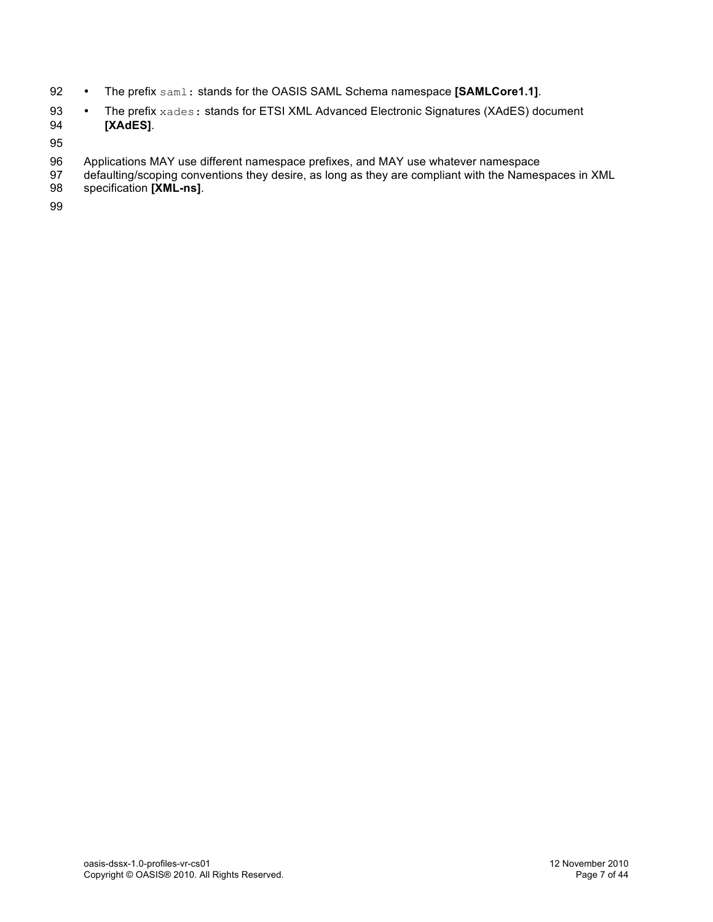- 92 The prefix saml: stands for the OASIS SAML Schema namespace **[SAMLCore1.1]**.
- 93 The prefix xades: stands for ETSI XML Advanced Electronic Signatures (XAdES) document<br>94 **IXAdES1**. 94 **[XAdES]**.
- 95
- 96 Applications MAY use different namespace prefixes, and MAY use whatever namespace<br>97 defaulting/scoping conventions they desire, as long as they are compliant with the Names
- 97 defaulting/scoping conventions they desire, as long as they are compliant with the Namespaces in XML<br>98 specification **[XML-ns]**.
- specification **[XML-ns]**.
- 99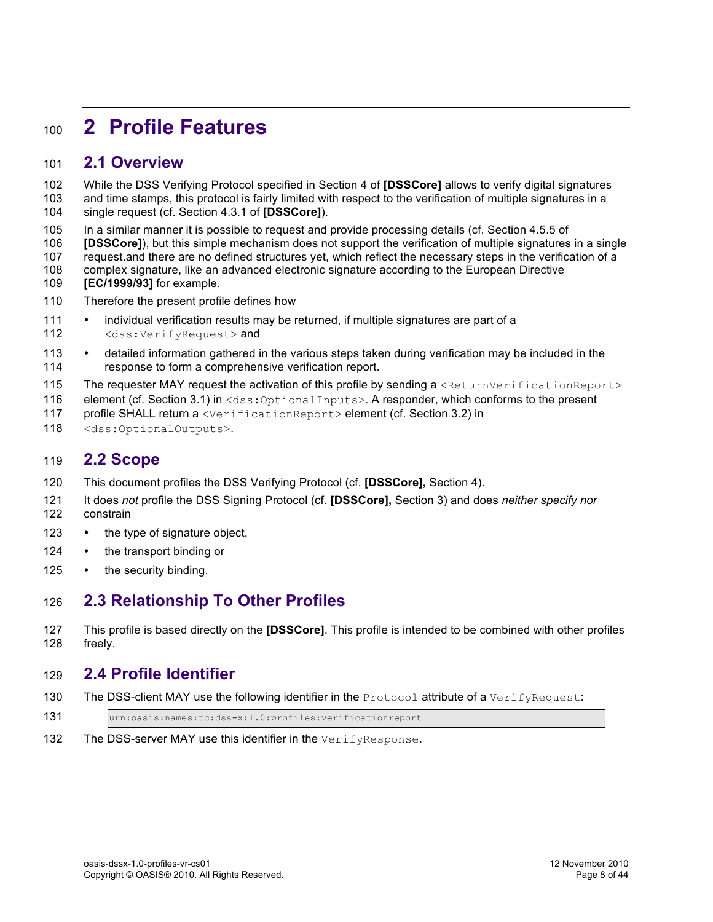## **2 Profile Features**

### **2.1 Overview**

 While the DSS Verifying Protocol specified in Section 4 of **[DSSCore]** allows to verify digital signatures and time stamps, this protocol is fairly limited with respect to the verification of multiple signatures in a single request (cf. Section 4.3.1 of **[DSSCore]**).

In a similar manner it is possible to request and provide processing details (cf. Section 4.5.5 of

 **[DSSCore]**), but this simple mechanism does not support the verification of multiple signatures in a single request.and there are no defined structures yet, which reflect the necessary steps in the verification of a complex signature, like an advanced electronic signature according to the European Directive **[EC/1999/93]** for example.

- Therefore the present profile defines how
- individual verification results may be returned, if multiple signatures are part of a 112 <dss:VerifyRequest> and
- 113 detailed information gathered in the various steps taken during verification may be included in the 114 response to form a comprehensive verification report.
- 115 The requester MAY request the activation of this profile by sending a <ReturnVerificationReport>
- 116 element (cf. Section 3.1) in <dss: OptionalInputs>. A responder, which conforms to the present
- profile SHALL return a <VerificationReport> element (cf. Section 3.2) in
- 118 <dss:OptionalOutputs>.

### **2.2 Scope**

- This document profiles the DSS Verifying Protocol (cf. **[DSSCore],** Section 4).
- It does *not* profile the DSS Signing Protocol (cf. **[DSSCore],** Section 3) and does *neither specify nor* constrain
- 123 the type of signature object,
- 124 the transport binding or
- 125 the security binding.

## **2.3 Relationship To Other Profiles**

 This profile is based directly on the **[DSSCore]**. This profile is intended to be combined with other profiles freely.

## **2.4 Profile Identifier**

- 130 The DSS-client MAY use the following identifier in the Protocol attribute of a VerifyRequest:
- urn:oasis:names:tc:dss-x:1.0:profiles:verificationreport
- 132 The DSS-server MAY use this identifier in the VerifyResponse.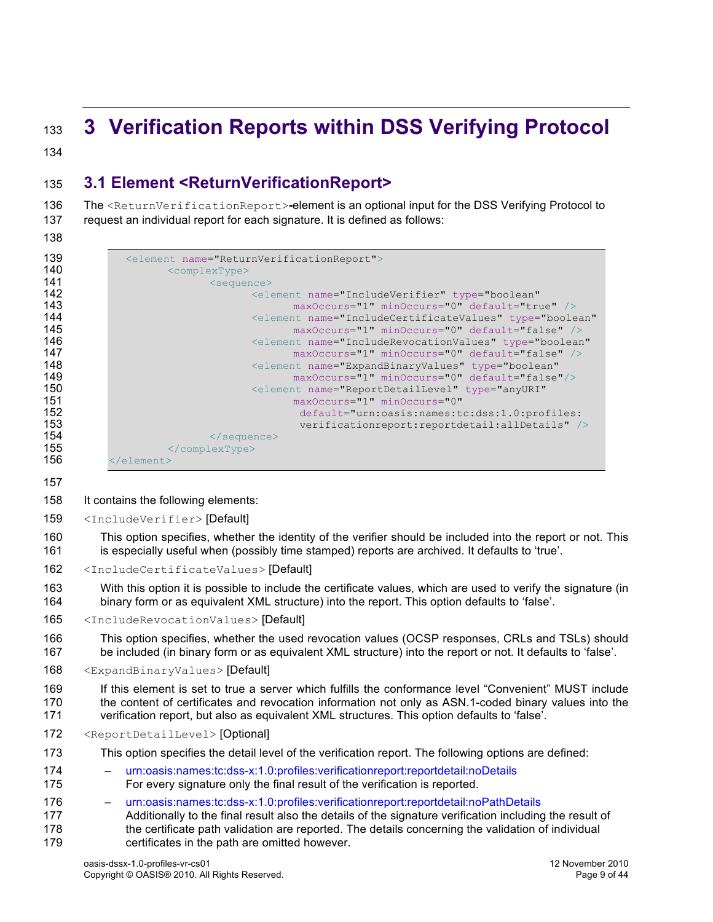## **3 Verification Reports within DSS Verifying Protocol**

## **3.1 Element <ReturnVerificationReport>**

 The <ReturnVerificationReport>**-**element is an optional input for the DSS Verifying Protocol to request an individual report for each signature. It is defined as follows:

| 139 | <element name="ReturnVerificationReport"></element>                           |
|-----|-------------------------------------------------------------------------------|
| 140 | <complextype></complextype>                                                   |
| 141 | <sequence></sequence>                                                         |
| 142 | <element <="" name="IncludeVerifier" th="" type="boolean"></element>          |
| 143 | maxOccurs="1" minOccurs="0" default="true" />                                 |
| 144 | <blement <="" name="IncludeCertificateValues" th="" type="boolean"></blement> |
| 145 | $maxOccurs = "1" minOccurs = "0" default = "false" />$                        |
| 146 | <blement <="" name="IncludeRevocationValues" th="" type="boolean"></blement>  |
| 147 | maxOccurs="1" minOccurs="0" default="false" />                                |
| 148 | <element <="" name="ExpandBinaryValues" th="" type="boolean"></element>       |
| 149 | $maxOccurs = "1" minOccurs = "0" default = "false" />$                        |
| 150 | <element <="" name="ReportDetailLevel" th="" type="anyURI"></element>         |
| 151 | maxOccurs="1" minOccurs="0"                                                   |
| 152 | default="urn:oasis:names:tc:dss:1.0:profiles:                                 |
| 153 | verificationreport: reportdetail: allDetails" />                              |
| 154 | $\langle$ /sequence>                                                          |
| 155 | $\langle$ /complexType>                                                       |
| 156 | $\langle$ /element>                                                           |

#### It contains the following elements:

<IncludeVerifier> [Default]

 This option specifies, whether the identity of the verifier should be included into the report or not. This is especially useful when (possibly time stamped) reports are archived. It defaults to 'true'.

- <IncludeCertificateValues> [Default]
- With this option it is possible to include the certificate values, which are used to verify the signature (in binary form or as equivalent XML structure) into the report. This option defaults to 'false'.

#### <IncludeRevocationValues> [Default]

- This option specifies, whether the used revocation values (OCSP responses, CRLs and TSLs) should be included (in binary form or as equivalent XML structure) into the report or not. It defaults to 'false'.
- <ExpandBinaryValues> [Default]
- If this element is set to true a server which fulfills the conformance level "Convenient" MUST include 170 the content of certificates and revocation information not only as ASN.1-coded binary values into the verification report, but also as equivalent XML structures. This option defaults to 'false'.
- <ReportDetailLevel> [Optional]
- This option specifies the detail level of the verification report. The following options are defined:
- urn:oasis:names:tc:dss-x:1.0:profiles:verificationreport:reportdetail:noDetails For every signature only the final result of the verification is reported.
- urn:oasis:names:tc:dss-x:1.0:profiles:verificationreport:reportdetail:noPathDetails Additionally to the final result also the details of the signature verification including the result of 178 the certificate path validation are reported. The details concerning the validation of individual certificates in the path are omitted however.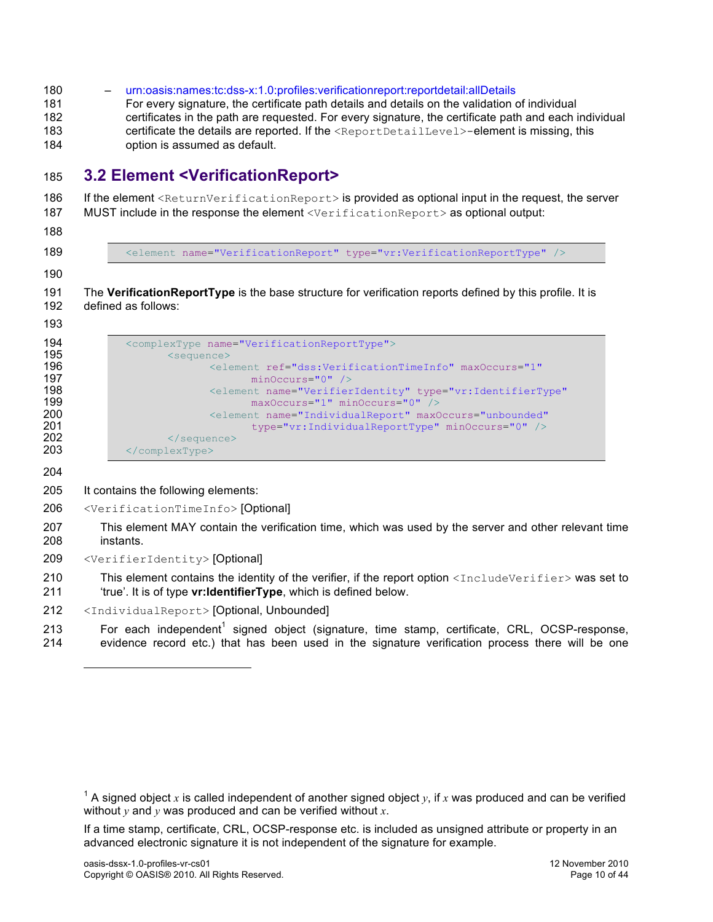– urn:oasis:names:tc:dss-x:1.0:profiles:verificationreport:reportdetail:allDetails For every signature, the certificate path details and details on the validation of individual certificates in the path are requested. For every signature, the certificate path and each individual 183 certificate the details are reported. If the <ReportDetailLevel>-element is missing, this option is assumed as default.

## **3.2 Element <VerificationReport>**

186 If the element <ReturnVerificationReport> is provided as optional input in the request, the server 187 MUST include in the response the element <VerificationReport> as optional output:

189 <element name="VerificationReport" type="vr:VerificationReportType" />

 The **VerificationReportType** is the base structure for verification reports defined by this profile. It is defined as follows:

| 194 | <complextype name="VerificationReportType"></complextype>                       |
|-----|---------------------------------------------------------------------------------|
| 195 | $\leq$ sequence $\geq$                                                          |
| 196 | <element <="" maxoccurs="1" ref="dss:VerificationTimeInfo" th=""></element>     |
| 197 | $minOccurs="0"$ />                                                              |
| 198 | <element <="" name="VerifierIdentity" th="" type="vr:IdentifierType"></element> |
| 199 | $maxOccurs="1" minOccurs="0"$                                                   |
| 200 | <element <="" maxoccurs="unbounded" name="IndividualReport" th=""></element>    |
| 201 | type="vr:IndividualReportType" minOccurs="0" />                                 |
| 202 | $\langle$ /sequence>                                                            |
| 203 | $\langle$ /complexType>                                                         |

l

- It contains the following elements:
- <VerificationTimeInfo> [Optional]
- This element MAY contain the verification time, which was used by the server and other relevant time instants.
- <VerifierIdentity> [Optional]

210 This element contains the identity of the verifier, if the report option  $\langle\text{IncludeVerifier}\rangle$  was set to 'true'. It is of type **vr:IdentifierType**, which is defined below.

- <IndividualReport> [Optional, Unbounded]
- 213  $\blacksquare$  For each independent<sup>1</sup> signed object (signature, time stamp, certificate, CRL, OCSP-response, evidence record etc.) that has been used in the signature verification process there will be one

If a time stamp, certificate, CRL, OCSP-response etc. is included as unsigned attribute or property in an advanced electronic signature it is not independent of the signature for example.

<sup>&</sup>lt;sup>1</sup> A signed object x is called independent of another signed object y, if x was produced and can be verified without *y* and *y* was produced and can be verified without *x*.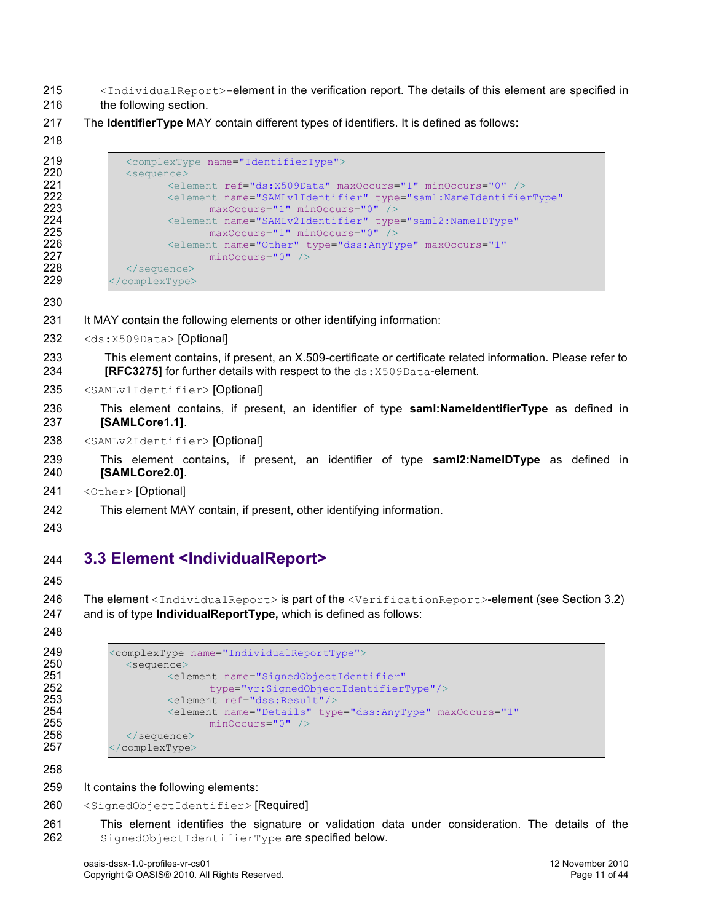- 215 <IndividualReport>-element in the verification report. The details of this element are specified in
- 216 the following section.
- 217 The **IdentifierType** MAY contain different types of identifiers. It is defined as follows:

```
219 <complexType name="IdentifierType"><br>220 <sequence>
220 <sequence>
221 <element ref="ds:X509Data" maxOccurs="1" minOccurs="0" /><br>222 <element name="SAMLv1Identifier" type="saml:NameIdentifie
                        222 <element name="SAMLv1Identifier" type="saml:NameIdentifierType"
223 maxOccurs="1" minOccurs="0" /><br>224 maxOccurs="2AMLv2Identifier" type
224 <element name="SAMLv2Identifier" type="saml2:NameIDType"<br>225 maxOccurs="1" minOccurs="0" />
225 maxOccurs="1" minOccurs="0"<br>226 <element name="0ther" type="dss:An
226 <element name="Other" type="dss:AnyType" maxOccurs="1"<br>227 minOccurs="0" />
227 minOccurs="0" / > 228 </sequence>
228 \le/sequence><br>229 \le/complexType>
             229 </complexType>
```
- 231 It MAY contain the following elements or other identifying information:
- 232 <ds:X509Data> [Optional]
- 233 This element contains, if present, an X.509-certificate or certificate related information. Please refer to 234 **[RFC3275]** for further details with respect to the ds: X509Data-element.
- 235 <SAMLv1Identifier> [Optional]
- 236 This element contains, if present, an identifier of type **saml:NameIdentifierType** as defined in 237 **[SAMLCore1.1]**.
- 238 <SAMLv2Identifier> [Optional]
- 239 This element contains, if present, an identifier of type **saml2:NameIDType** as defined in 240 **[SAMLCore2.0]**.
- 241 <Other> [Optional]
- 242 This element MAY contain, if present, other identifying information.
- 243

## 244 **3.3 Element <IndividualReport>**

245

246 The element <IndividualReport> is part of the <VerificationReport>-element (see Section 3.2) 247 and is of type **IndividualReportType,** which is defined as follows:

```
248
```

```
249 <complexType name="IndividualReportType"><br>250 <sequence>
250 <sequence><br>251 <sequence>
251 <element name="SignedObjectIdentifier"<br>252 type="vr:SignedObjectIdentifier"
252 type="vr:SignedObjectIdentifierType"/><br>253 <element ref="dss:Result"/>
253 <element ref="dss:Result"/><br>254 <element name="Details" typ
254 <element name="Details" type="dss:AnyType" maxOccurs="1"<br>255 minOccurs="0" />
255 minOccurs="0" /><br>256 </sequence>
256 </sequence><br>257 </complexType>
             257 </complexType>
```
258

259 It contains the following elements:

- 260 <SignedObjectIdentifier> [Required]
- 261 This element identifies the signature or validation data under consideration. The details of the 262 SignedObjectIdentifierType are specified below.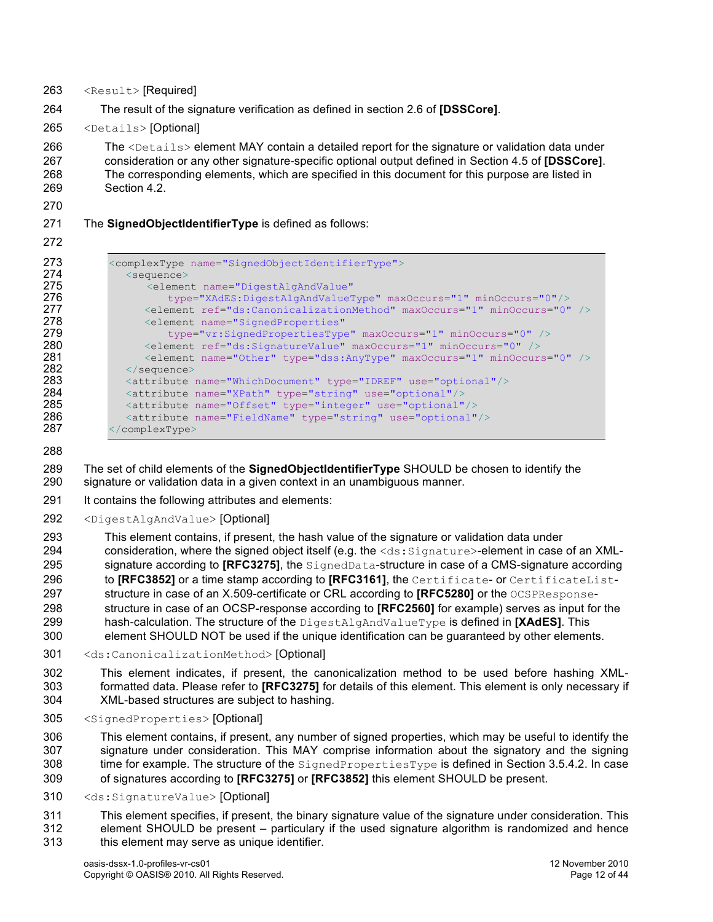- <Result> [Required]
- The result of the signature verification as defined in section 2.6 of **[DSSCore]**.
- <Details> [Optional]

266 The <Details> element MAY contain a detailed report for the signature or validation data under consideration or any other signature-specific optional output defined in Section 4.5 of **[DSSCore]**. The corresponding elements, which are specified in this document for this purpose are listed in Section 4.2.

#### The **SignedObjectIdentifierType** is defined as follows:

```
273 <complexType name="SignedObjectIdentifierType"><br>274 <sequence>
274 <sequence>
                           275 <element name="DigestAlgAndValue"
276 type="XAdES:DigestAlgAndValueType" maxOccurs="1" minOccurs="0"/>
277 <element ref="ds:CanonicalizationMethod" maxOccurs="1" minOccurs="0" /><br>278 <element name="SignedProperties"
278 <element name="SignedProperties"<br>279 type="vr:SignedPropertiesType
279 type="vr:SignedPropertiesType" maxOccurs="1" minOccurs="0" /><br>280 telement ref="ds:SignatureValue" maxOccurs="1" minOccurs="0" />
280 <element ref="ds:SignatureValue" maxOccurs="1" minOccurs="0" /><br>281 <element name="Other" type="dss:AnyType" maxOccurs="1" minOccurs
281 <element name="Other" type="dss:AnyType" maxOccurs="1" minOccurs="0" /><br>282 </sequence>
282 </sequence><br>283 <attribute
283 <attribute name="WhichDocument" type="IDREF" use="optional"/><br>284 <attribute name="XPath" type="string" use="optional"/>
284 > <attribute name="XPath" type="string" use="optional"/><br>285 > <attribute name="Offset" type="integer" use="optional"
                     \frac{1}{2} \frac{1}{2} \frac{1}{2} \frac{1}{2} \frac{1}{2} \frac{1}{2} \frac{1}{2} \frac{1}{2} \frac{1}{2} \frac{1}{2} \frac{1}{2} \frac{1}{2} \frac{1}{2} \frac{1}{2} \frac{1}{2} \frac{1}{2} \frac{1}{2} \frac{1}{2} \frac{1}{2} \frac{1}{2} \frac{1}{2} \frac{1}{2} 286 \leq \leq \leq \leq \leq \leq \leq \leq \leq \leq \leq \leq \leq \leq \leq \leq \leq \leq \leq \leq \leq \leq \leq \leq \leq \leq \leq \leq \leq \leq \leq \leq \leq \leq \leq \leq 287 </complexType>
```
 The set of child elements of the **SignedObjectIdentifierType** SHOULD be chosen to identify the signature or validation data in a given context in an unambiguous manner.

- It contains the following attributes and elements:
- <DigestAlgAndValue> [Optional]
- This element contains, if present, the hash value of the signature or validation data under 294 consideration, where the signed object itself (e.g. the <ds: Signature>-element in case of an XML-295 signature according to **[RFC3275]**, the SignedData-structure in case of a CMS-signature according 296 to **[RFC3852]** or a time stamp according to **[RFC3161]**, the Certificate- or CertificateList-297 structure in case of an X.509-certificate or CRL according to **[RFC5280]** or the OCSPResponse- structure in case of an OCSP-response according to **[RFC2560]** for example) serves as input for the hash-calculation. The structure of the DigestAlgAndValueType is defined in **[XAdES]**. This
- element SHOULD NOT be used if the unique identification can be guaranteed by other elements.
- <ds:CanonicalizationMethod> [Optional]
- This element indicates, if present, the canonicalization method to be used before hashing XML- formatted data. Please refer to **[RFC3275]** for details of this element. This element is only necessary if XML-based structures are subject to hashing.
- <SignedProperties> [Optional]

 This element contains, if present, any number of signed properties, which may be useful to identify the signature under consideration. This MAY comprise information about the signatory and the signing 308 time for example. The structure of the  $\text{SignedProperty}$  is defined in Section 3.5.4.2. In case of signatures according to **[RFC3275]** or **[RFC3852]** this element SHOULD be present.

<ds:SignatureValue> [Optional]

 This element specifies, if present, the binary signature value of the signature under consideration. This element SHOULD be present – particulary if the used signature algorithm is randomized and hence this element may serve as unique identifier.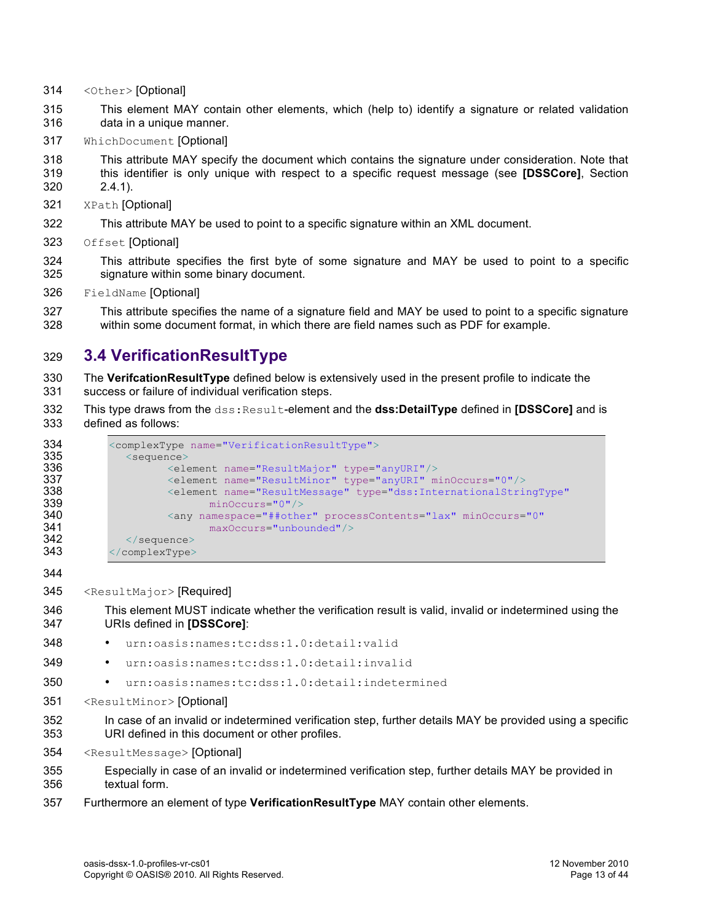- <Other> [Optional]
- This element MAY contain other elements, which (help to) identify a signature or related validation data in a unique manner.
- WhichDocument [Optional]
- This attribute MAY specify the document which contains the signature under consideration. Note that this identifier is only unique with respect to a specific request message (see **[DSSCore]**, Section
- 2.4.1).
- XPath [Optional]
- This attribute MAY be used to point to a specific signature within an XML document.
- Offset [Optional]
- This attribute specifies the first byte of some signature and MAY be used to point to a specific signature within some binary document.
- FieldName [Optional]

 This attribute specifies the name of a signature field and MAY be used to point to a specific signature within some document format, in which there are field names such as PDF for example.

## **3.4 VerificationResultType**

- The **VerifcationResultType** defined below is extensively used in the present profile to indicate the success or failure of individual verification steps.
- This type draws from the dss:Result-element and the **dss:DetailType** defined in **[DSSCore]** and is defined as follows:

| 334 | <complextype name="VerificationResultType"></complextype>                              |
|-----|----------------------------------------------------------------------------------------|
| 335 | $\leq$ sequence $>$                                                                    |
| 336 | <element name="ResultMajor" type="anyURI"></element>                                   |
| 337 | <element minoccurs="0" name="ResultMinor" type="anyURI"></element>                     |
| 338 | <element <="" name="ResultMessage" th="" type="dss:InternationalStringType"></element> |
| 339 | $minOccurs="0"$                                                                        |
| 340 | <any <="" minoccurs="0" namespace="##other" processcontents="lax" th=""></any>         |
| 341 | $maxOccurs="unbounded"$                                                                |
| 342 | $\langle$ /sequence>                                                                   |
| 343 | $\langle$ /complexType>                                                                |

<ResultMajor> [Required]

 This element MUST indicate whether the verification result is valid, invalid or indetermined using the URIs defined in **[DSSCore]**:

- urn:oasis:names:tc:dss:1.0:detail:valid
- urn:oasis:names:tc:dss:1.0:detail:invalid
- urn:oasis:names:tc:dss:1.0:detail:indetermined
- <ResultMinor> [Optional]
- In case of an invalid or indetermined verification step, further details MAY be provided using a specific URI defined in this document or other profiles.
- <ResultMessage> [Optional]

 Especially in case of an invalid or indetermined verification step, further details MAY be provided in textual form.

Furthermore an element of type **VerificationResultType** MAY contain other elements.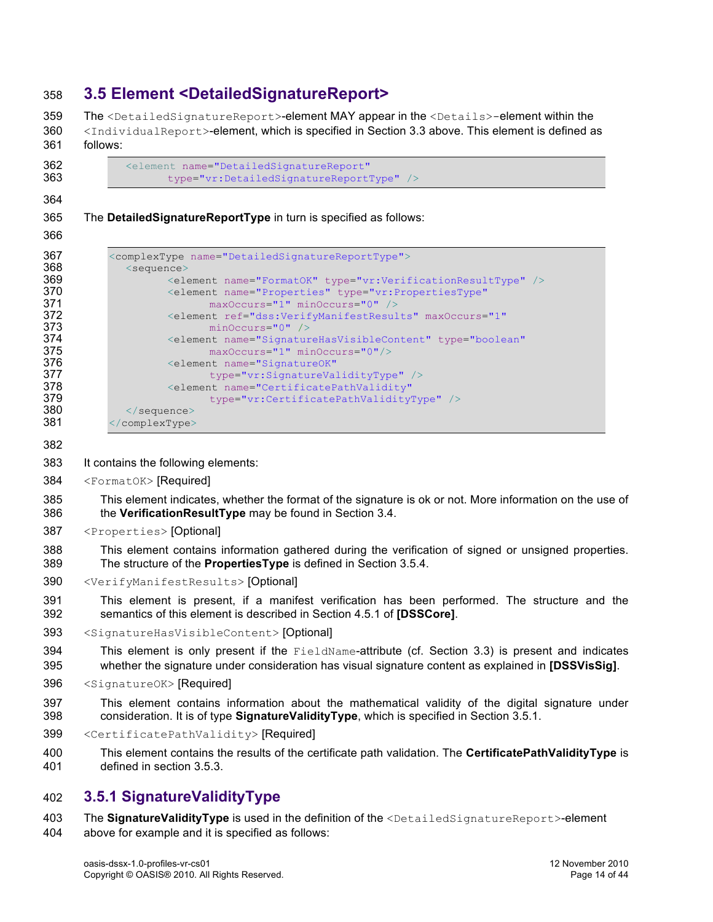## **3.5 Element <DetailedSignatureReport>**

359 The <DetailedSignatureReport>-element MAY appear in the <Details>-element within the 360 <IndividualReport>-element, which is specified in Section 3.3 above. This element is defined as follows:

```
362 <element name="DetailedSignatureReport"<br>363 type="vr:DetailedSignatureReport"
                           363 type="vr:DetailedSignatureReportType" />
```
The **DetailedSignatureReportType** in turn is specified as follows:

| 367 | <complextype name="DetailedSignatureReportType"></complextype>                  |
|-----|---------------------------------------------------------------------------------|
| 368 | $\leq$ sequence $>$                                                             |
| 369 | <element name="FormatOK" type="vr:VerificationResultType"></element>            |
| 370 | <element <="" name="Properties" th="" type="vr:PropertiesType"></element>       |
| 371 | $maxOccurs="1" minOccurs="0"$                                                   |
| 372 | <element <="" maxoccurs="1" ref="dss:VerifyManifestResults" th=""></element>    |
| 373 | $minOccurs="0"$ />                                                              |
| 374 | <blement <="" name="SignatureHasVisibleContent" th="" type="boolean"></blement> |
| 375 | $maxOccurs="1" minOccurs="0"$                                                   |
| 376 | <element <="" name="SignatureOK" th=""></element>                               |
| 377 | type="vr:SignatureValidityType" />                                              |
| 378 | <element <="" name="CertificatePathValidity" th=""></element>                   |
| 379 | type="vr:CertificatePathValidityType" />                                        |
| 380 | $\langle$ /sequence>                                                            |
| 381 | $\langle$ /complexType>                                                         |

- 
- It contains the following elements:
- <FormatOK> [Required]

 This element indicates, whether the format of the signature is ok or not. More information on the use of the **VerificationResultType** may be found in Section 3.4.

- <Properties> [Optional]
- This element contains information gathered during the verification of signed or unsigned properties. The structure of the **PropertiesType** is defined in Section 3.5.4.
- <VerifyManifestResults> [Optional]
- This element is present, if a manifest verification has been performed. The structure and the semantics of this element is described in Section 4.5.1 of **[DSSCore]**.
- <SignatureHasVisibleContent> [Optional]
- This element is only present if the FieldName-attribute (cf. Section 3.3) is present and indicates whether the signature under consideration has visual signature content as explained in **[DSSVisSig]**.
- <SignatureOK> [Required]
- This element contains information about the mathematical validity of the digital signature under consideration. It is of type **SignatureValidityType**, which is specified in Section 3.5.1.
- <CertificatePathValidity> [Required]
- This element contains the results of the certificate path validation. The **CertificatePathValidityType** is defined in section 3.5.3.

### **3.5.1 SignatureValidityType**

 The **SignatureValidityType** is used in the definition of the <DetailedSignatureReport>-element above for example and it is specified as follows: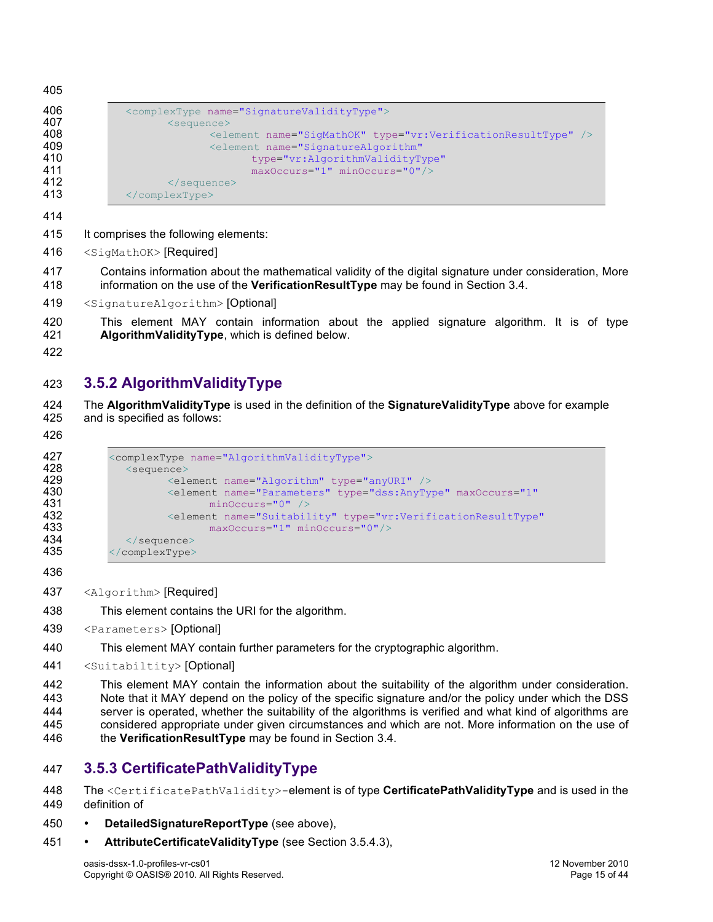```
406 <complexType name="SignatureValidityType"><br>407 <sequence>
407 <sequence><br><sub>408</sub> <sequence>
408 \leqelement name="SigMathOK" type="vr:VerificationResultType" /><br>409 \leqelement name="SignatureAlgorithm"
409 <element name="SignatureAlgorithm"<br>
type="vr:AlgorithmValidityT:
410 type="vr:AlgorithmValidityType"<br>411 maxOccurs="1" minOccurs="0"/>
411 maxOccurs="1" minOccurs="0"/><br>412 </sequence>
                      412 </sequence>
413 </complexType>
```
- It comprises the following elements:
- 416 <SigMathOK> [Required]

 Contains information about the mathematical validity of the digital signature under consideration, More information on the use of the **VerificationResultType** may be found in Section 3.4.

- <SignatureAlgorithm> [Optional]
- This element MAY contain information about the applied signature algorithm. It is of type **AlgorithmValidityType**, which is defined below.
- 

## **3.5.2 AlgorithmValidityType**

 The **AlgorithmValidityType** is used in the definition of the **SignatureValidityType** above for example and is specified as follows:

```
427 <complexType name="AlgorithmValidityType"><br>428 <sequence>
428 <sequence>
429 <element name="Algorithm" type="anyURI" /><br>430 <element name="Parameters" type="dss:AnyTv
430 <element name="Parameters" type="dss:AnyType" maxOccurs="1"<br>431 minOccurs="0" />
                            minOccurs="0" />
432 <element name="Suitability" type="vr:VerificationResultType"
433 maxOccurs="1" minOccurs="0"/><br>434 </sequence>
434 </sequence><br>435 </complexType>
           435 </complexType>
```
<Algorithm> [Required]

This element contains the URI for the algorithm.

- <Parameters> [Optional]
- This element MAY contain further parameters for the cryptographic algorithm.
- <Suitabiltity> [Optional]

 This element MAY contain the information about the suitability of the algorithm under consideration. Note that it MAY depend on the policy of the specific signature and/or the policy under which the DSS server is operated, whether the suitability of the algorithms is verified and what kind of algorithms are considered appropriate under given circumstances and which are not. More information on the use of the **VerificationResultType** may be found in Section 3.4.

## **3.5.3 CertificatePathValidityType**

 The <CertificatePathValidity>-element is of type **CertificatePathValidityType** and is used in the definition of

- **DetailedSignatureReportType** (see above),
- **AttributeCertificateValidityType** (see Section 3.5.4.3),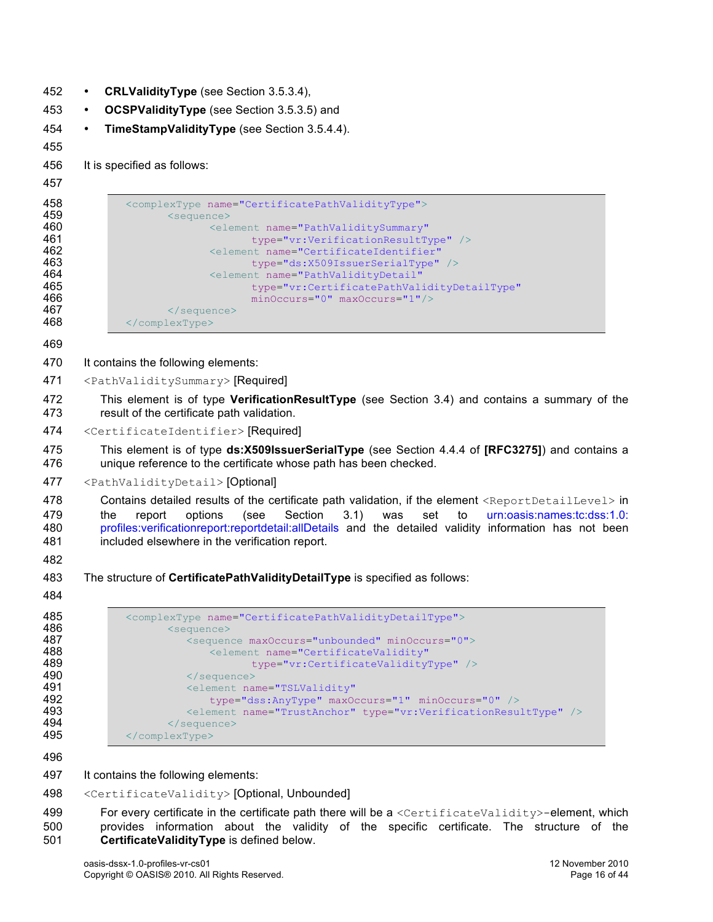- 452 **CRLValidityType** (see Section 3.5.3.4),
- 453 **OCSPValidityType** (see Section 3.5.3.5) and
- 454 **TimeStampValidityType** (see Section 3.5.4.4).
- 455

456 It is specified as follows:

#### 457

```
458 <complexType name="CertificatePathValidityType"><br>459 <sequence>
459 <sequence><br>160 <sexted the set of the set of the set of the set of the set of the set of the set of the set of the set of the set of the set of the set of the set of the set of the set of the set of the set of the
460 <element name="PathValiditySummary"
461 type="vr:VerificationResultType" /><br>462 <element name="CertificateIdentifier"
462 <element name="CertificateIdentifier"<br>463 type="ds:X509IssuerSerialType"
463 type="ds:X509IssuerSerialType" /><br>464 degree of the settlement name="PathValidityDetail"
464 <element name="PathValidityDetail"<br>465 type="vr:CertificatePathVal
465 type="vr:CertificatePathValidityDetailType"<br>166 the minOccurs="0" maxOccurs="1"/>
466 minOccurs="0" maxOccurs="1"/><br>467 \le/sequence>
                            467 </sequence>
468 </complexType>
```
469

- 470 It contains the following elements:
- 471 <PathValiditySummary> [Required]
- 472 This element is of type **VerificationResultType** (see Section 3.4) and contains a summary of the 473 result of the certificate path validation.
- 474 <CertificateIdentifier>[Required]

475 This element is of type **ds:X509IssuerSerialType** (see Section 4.4.4 of **[RFC3275]**) and contains a 476 unique reference to the certificate whose path has been checked.

#### 477 <PathValidityDetail> [Optional]

 Contains detailed results of the certificate path validation, if the element <ReportDetailLevel> in 479 the report options (see Section 3.1) was set to urn:oasis:names:tc:dss:1.0: profiles:verificationreport:reportdetail:allDetails and the detailed validity information has not been included elsewhere in the verification report.

- 482
- 483 The structure of **CertificatePathValidityDetailType** is specified as follows:
- 484

| 485 | <complextype name="CertificatePathValidityDetailType"></complextype>    |
|-----|-------------------------------------------------------------------------|
| 486 | <sequence></sequence>                                                   |
| 487 | <sequence maxoccurs="unbounded" minoccurs="0"></sequence>               |
| 488 | <element <="" name="CertificateValidity" th=""></element>               |
| 489 | type="vr:CertificateValidityType" />                                    |
| 490 | $\langle$ /sequence>                                                    |
| 491 | <element <="" name="TSLValidity" th=""></element>                       |
| 492 | type="dss:AnyType" maxOccurs="1" minOccurs="0" />                       |
| 493 | <element name="TrustAnchor" type="vr:VerificationResultType"></element> |
| 494 | $\langle$ /sequence>                                                    |
| 495 | $\langle$ /complexType>                                                 |

496

- 497 It contains the following elements:
- 498 <CertificateValidity> [Optional, Unbounded]

499 For every certificate in the certificate path there will be a <CertificateValidity>-element, which 500 provides information about the validity of the specific certificate. The structure of the 501 **CertificateValidityType** is defined below.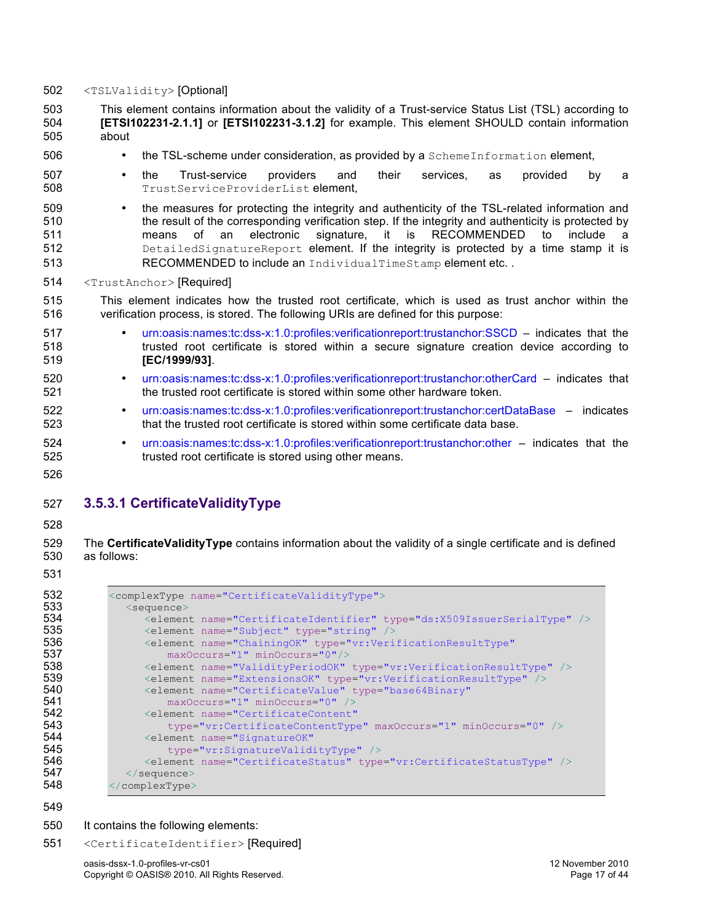- 502 <TSLValidity> [Optional]
- 503 This element contains information about the validity of a Trust-service Status List (TSL) according to 504 **[ETSI102231-2.1.1]** or **[ETSI102231-3.1.2]** for example. This element SHOULD contain information 505 about
- 506 the TSL-scheme under consideration, as provided by a SchemeInformation element,
- 507 the Trust-service providers and their services, as provided by a 508 TrustServiceProviderList element,
- <sup>509</sup> the measures for protecting the integrity and authenticity of the TSL-related information and<br>510 **•** the result of the corresponding verification step. If the integrity and authenticity is protected by the result of the corresponding verification step. If the integrity and authenticity is protected by 511 means of an electronic signature, it is RECOMMENDED to include a 512 DetailedSignatureReport element. If the integrity is protected by a time stamp it is 513 RECOMMENDED to include an IndividualTimeStamp element etc.
- 514 <TrustAnchor> [Required]
- 515 This element indicates how the trusted root certificate, which is used as trust anchor within the 516 verification process, is stored. The following URIs are defined for this purpose:
- 517 urn:oasis:names:tc:dss-x:1.0:profiles:verificationreport:trustanchor:SSCD indicates that the 518 trusted root certificate is stored within a secure signature creation device according to 519 **[EC/1999/93]**.
- 520 urn:oasis:names:tc:dss-x:1.0:profiles:verificationreport:trustanchor:otherCard indicates that the trusted root certificate is stored within some other hardware token. the trusted root certificate is stored within some other hardware token.
- 522 urn:oasis:names:tc:dss-x:1.0:profiles:verificationreport:trustanchor:certDataBase indicates 523 that the trusted root certificate is stored within some certificate data base.
- 524 urn:oasis:names:tc:dss-x:1.0:profiles:verificationreport:trustanchor:other indicates that the trusted root certificate is stored using other means. trusted root certificate is stored using other means.
- 526

### 527 **3.5.3.1 CertificateValidityType**

528

529 The **CertificateValidityType** contains information about the validity of a single certificate and is defined 530 as follows:

531

533<br>534

| 532 | <complextype name="CertificateValidityType"></complextype>                        |
|-----|-----------------------------------------------------------------------------------|
| 533 | <sequence></sequence>                                                             |
| 534 | <element name="CertificateIdentifier" type="ds:X509IssuerSerialType"></element>   |
| 535 | <element name="Subject" type="string"></element>                                  |
| 536 | <blement <="" name="ChainingOK" th="" type="vr:VerificationResultType"></blement> |
| 537 | $maxOccurs="1" minOccurs="0"$                                                     |
| 538 | <element name="ValidityPeriodOK" type="vr:VerificationResultType"></element>      |
| 539 | <element name="ExtensionsOK" type="vr:VerificationResultType"></element>          |
| 540 | <blement <="" name="CertificateValue" th="" type="base64Binary"></blement>        |
| 541 | $maxOccurs="1" minOccurs="0"$                                                     |
| 542 | <element <="" name="CertificateContent" th=""></element>                          |
| 543 | type="vr:CertificateContentType" maxOccurs="1" minOccurs="0" />                   |
| 544 | <element <="" name="SignatureOK" th=""></element>                                 |
| 545 | type="vr:SignatureValidityType" />                                                |
| 546 | <element name="CertificateStatus" type="vr:CertificateStatusType"></element>      |
| 547 | $\langle$ /sequence>                                                              |
| 548 | $\langle$ /complexType>                                                           |

549

547<br>548

- 550 It contains the following elements:
- 551 <CertificateIdentifier> [Required]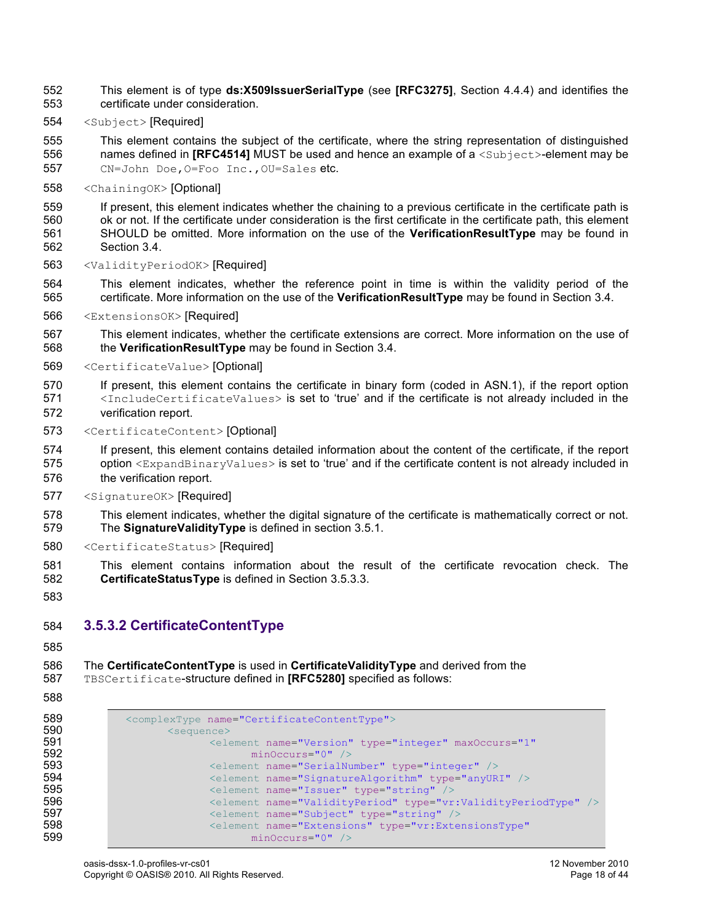This element is of type **ds:X509IssuerSerialType** (see **[RFC3275]**, Section 4.4.4) and identifies the certificate under consideration.

<Subject> [Required]

 This element contains the subject of the certificate, where the string representation of distinguished 556 names defined in **[RFC4514]** MUST be used and hence an example of a <Subject>-element may be

CN=John Doe,O=Foo Inc.,OU=Sales etc.

<ChainingOK> [Optional]

 If present, this element indicates whether the chaining to a previous certificate in the certificate path is ok or not. If the certificate under consideration is the first certificate in the certificate path, this element SHOULD be omitted. More information on the use of the **VerificationResultType** may be found in Section 3.4.

- <ValidityPeriodOK> [Required]
- This element indicates, whether the reference point in time is within the validity period of the certificate. More information on the use of the **VerificationResultType** may be found in Section 3.4.
- <ExtensionsOK> [Required]
- This element indicates, whether the certificate extensions are correct. More information on the use of the **VerificationResultType** may be found in Section 3.4.
- <CertificateValue> [Optional]
- If present, this element contains the certificate in binary form (coded in ASN.1), if the report option 571 <IncludeCertificateValues> is set to 'true' and if the certificate is not already included in the verification report.
- <CertificateContent> [Optional]

 If present, this element contains detailed information about the content of the certificate, if the report 575 option <ExpandBinaryValues> is set to 'true' and if the certificate content is not already included in the verification report.

- <SignatureOK> [Required]
- This element indicates, whether the digital signature of the certificate is mathematically correct or not. The **SignatureValidityType** is defined in section 3.5.1.
- <CertificateStatus> [Required]
- This element contains information about the result of the certificate revocation check. The **CertificateStatusType** is defined in Section 3.5.3.3.
- 

### **3.5.3.2 CertificateContentType**

#### The **CertificateContentType** is used in **CertificateValidityType** and derived from the TBSCertificate-structure defined in **[RFC5280]** specified as follows:

| 589 | <complextype name="CertificateContentType"></complextype>                  |
|-----|----------------------------------------------------------------------------|
| 590 | <sequence></sequence>                                                      |
| 591 | <element <="" maxoccurs="1" name="Version" th="" type="integer"></element> |
| 592 | $minOccurs="0"$ />                                                         |
| 593 | <element name="SerialNumber" type="integer"></element>                     |
| 594 | <element name="SignatureAlgorithm" type="anyURI"></element>                |
| 595 | <element name="Issuer" type="string"></element>                            |
| 596 | <element name="ValidityPeriod" type="vr:ValidityPeriodType"></element>     |
| 597 | <element name="Subject" type="string"></element>                           |
| 598 | <element <="" name="Extensions" th="" type="vr:ExtensionsType"></element>  |
| 599 | $minOccurs="0"$ />                                                         |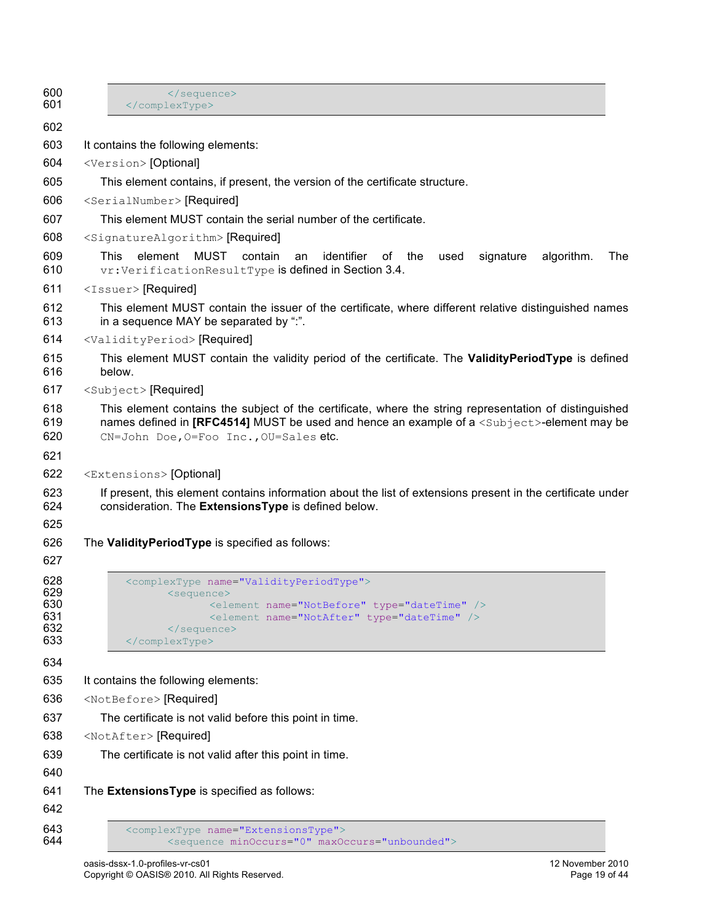| 600<br>601        | <br>                                                                                                                                                                                                                                                      |
|-------------------|-----------------------------------------------------------------------------------------------------------------------------------------------------------------------------------------------------------------------------------------------------------|
| 602               |                                                                                                                                                                                                                                                           |
| 603               | It contains the following elements:                                                                                                                                                                                                                       |
| 604               | <version> [Optional]</version>                                                                                                                                                                                                                            |
| 605               | This element contains, if present, the version of the certificate structure.                                                                                                                                                                              |
| 606               | <serialnumber> [Required]</serialnumber>                                                                                                                                                                                                                  |
| 607               | This element MUST contain the serial number of the certificate.                                                                                                                                                                                           |
| 608               | <signaturealgorithm> [Required]</signaturealgorithm>                                                                                                                                                                                                      |
| 609<br>610        | <b>MUST</b><br>This<br>element<br>contain<br>identifier<br>0f<br>algorithm.<br>The<br>an<br>the<br>used<br>signature<br>vr: Verification ResultType is defined in Section 3.4.                                                                            |
| 611               | <issuer> [Required]</issuer>                                                                                                                                                                                                                              |
| 612<br>613        | This element MUST contain the issuer of the certificate, where different relative distinguished names<br>in a sequence MAY be separated by ":".                                                                                                           |
| 614               | <validityperiod> [Required]</validityperiod>                                                                                                                                                                                                              |
| 615<br>616        | This element MUST contain the validity period of the certificate. The ValidityPeriodType is defined<br>below.                                                                                                                                             |
| 617               | <subject> [Required]</subject>                                                                                                                                                                                                                            |
| 618<br>619<br>620 | This element contains the subject of the certificate, where the string representation of distinguished<br>names defined in [RFC4514] MUST be used and hence an example of a <subject>-element may be<br/>CN=John Doe, O=Foo Inc., OU=Sales etc.</subject> |
| 621               |                                                                                                                                                                                                                                                           |
| 622               | <extensions> [Optional]</extensions>                                                                                                                                                                                                                      |
| 623<br>624        | If present, this element contains information about the list of extensions present in the certificate under<br>consideration. The ExtensionsType is defined below.                                                                                        |
| 625               |                                                                                                                                                                                                                                                           |
| 626               | The Validity Period Type is specified as follows:                                                                                                                                                                                                         |
| 627               |                                                                                                                                                                                                                                                           |
| 628<br>629        | <complextype name="ValidityPeriodType"><br/><sequence></sequence></complextype>                                                                                                                                                                           |
| 630               | <element name="NotBefore" type="dateTime"></element>                                                                                                                                                                                                      |
| 631<br>632        | <element name="NotAfter" type="dateTime"></element><br>                                                                                                                                                                                                   |
| 633               |                                                                                                                                                                                                                                                           |
| 634               |                                                                                                                                                                                                                                                           |
| 635               | It contains the following elements:                                                                                                                                                                                                                       |
| 636               | <notbefore> [Required]</notbefore>                                                                                                                                                                                                                        |
| 637               | The certificate is not valid before this point in time.                                                                                                                                                                                                   |
| 638               | <notafter> [Required]</notafter>                                                                                                                                                                                                                          |
| 639               | The certificate is not valid after this point in time.                                                                                                                                                                                                    |
| 640               |                                                                                                                                                                                                                                                           |
| 641               | The ExtensionsType is specified as follows:                                                                                                                                                                                                               |
| 642               |                                                                                                                                                                                                                                                           |
| 643<br>644        | <complextype name="ExtensionsType"><br/><sequence maxoccurs="unbounded" minoccurs="0"></sequence></complextype>                                                                                                                                           |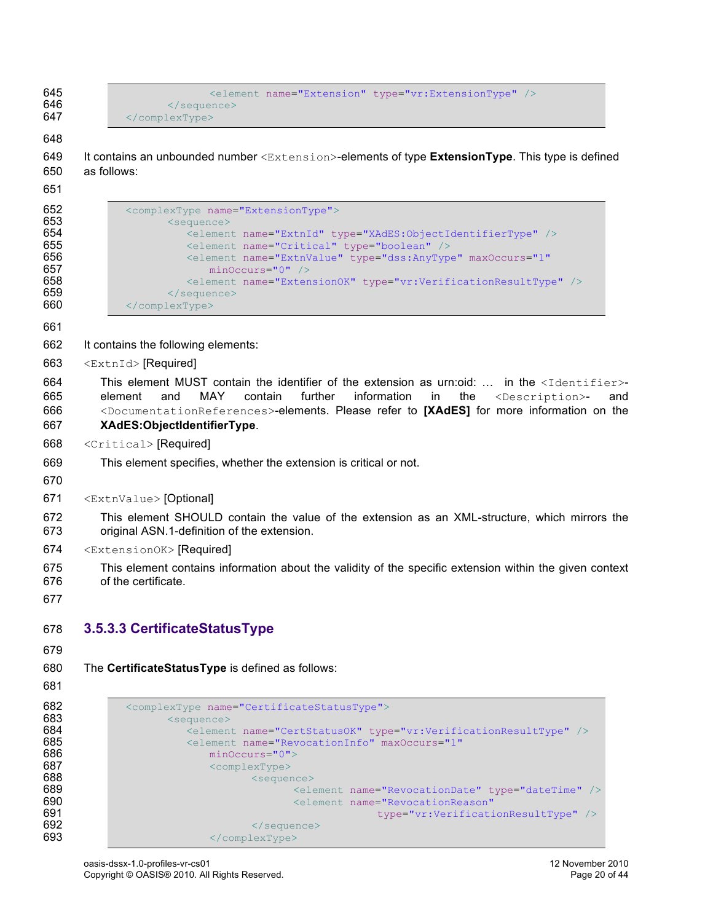```
645 \leq \leq \leq \leq \leq \leq \leq \leq \leq \leq \leq \leq \leq \leq \leq \leq \leq \leq \leq \leq \leq \leq \leq \leq \leq \leq \leq \leq \leq \leq \leq \leq \leq \leq \leq \leq 646 \le/sequence><br>647 \le/complexType>
                          647 </complexType>
```

```
649 It contains an unbounded number <Extension>-elements of type ExtensionType. This type is defined 
650 as follows:
```

```
652 <complexType name="ExtensionType"><br>653 <complexType name="ExtensionType">
653 <sequence>
654 \leq -element name="ExtnId" type="XAdES:ObjectIdentifierType" />
655 <element name="Critical" type="boolean" />
656 \leq element name="ExtnValue" type="dss:AnyType" maxOccurs="1"<br>657 \leq minOccurs="0" />
657 minOccurs="0" /><br>658 <element name="Exten
658 <element name="ExtensionOK" type="vr:VerificationResultType" /><br>659 </sequence>
                   659 </sequence>
660 </complexType>
```
- It contains the following elements:
- <ExtnId> [Required]

```
664 This element MUST contain the identifier of the extension as urn:oid: ... in the <Identifier>-
665 element and MAY contain further information in the <Description>- and 
666 <DocumentationReferences>-elements. Please refer to [XAdES] for more information on the 
667 XAdES:ObjectIdentifierType.
```
- <Critical> [Required]
- This element specifies, whether the extension is critical or not.
- 
- <ExtnValue> [Optional]
- This element SHOULD contain the value of the extension as an XML-structure, which mirrors the original ASN.1-definition of the extension.
- <ExtensionOK> [Required]
- This element contains information about the validity of the specific extension within the given context of the certificate.
- 

## **3.5.3.3 CertificateStatusType**

The **CertificateStatusType** is defined as follows:

```
682 <complexType name="CertificateStatusType"><br>683 <complexType name="CertificateStatusType">
683 <sequence>
684 <element name="CertStatusOK" type="vr:VerificationResultType" />
685 <element name="RevocationInfo" maxOccurs="1"<br>686 minOccurs="0">
                      minOccurs="0">
687 <complexType>
688 <sequence>
689 <element name="RevocationDate" type="dateTime" />
690 <element name="RevocationReason"
691 type="vr:VerificationResultType" /><br>692 type="vr:VerificationResultType" />
692 \langle/sequence><br>693 \langle/complexTvpe>
                      693 </complexType>
```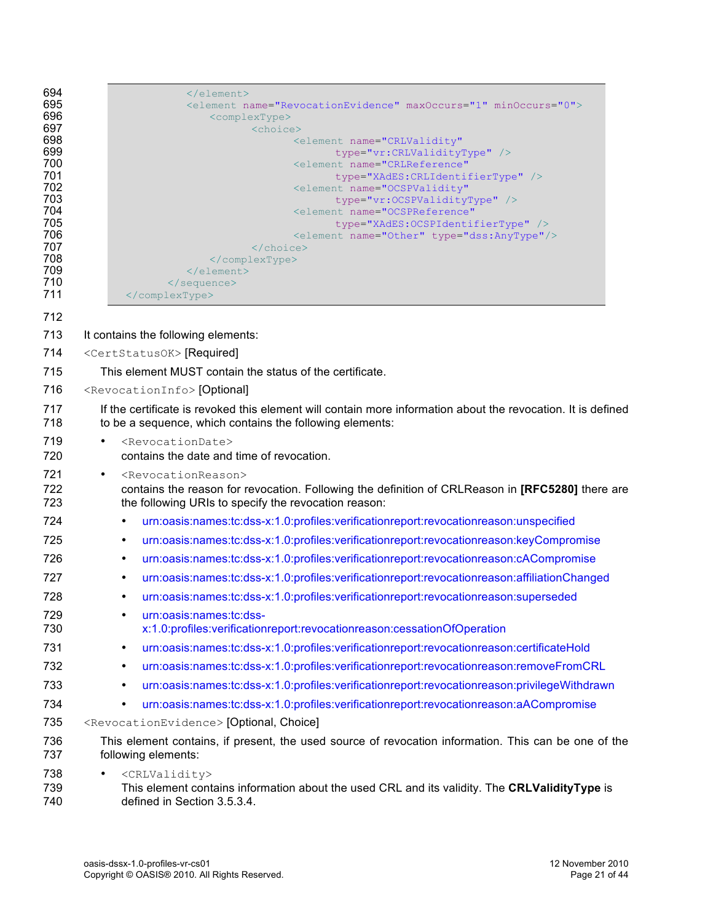| 694<br>695<br>696<br>697<br>698<br>699<br>700<br>701<br>702<br>703<br>704<br>705<br>706<br>707<br>708<br>709<br>710<br>711 | $\langle$ /element><br><element maxoccurs="1" minoccurs="0" name="RevocationEvidence"><br/><complextype><br/><choice><br/><element <br="" name="CRLValidity">type="vr:CRLValidityType" /&gt;<br/><element <br="" name="CRLReference">type="XAdES:CRLIdentifierType" /&gt;<br/><element <br="" name="OCSPValidity">type="vr:OCSPValidityType" /&gt;<br/><element <br="" name="OCSPReference">type="XAdES: OCSPIdentifierType" /&gt;<br/><element name="Other" type="dss:AnyType"></element><br/></element></element></element></element></choice><br/></complextype><br/><math>\langle</math>/element&gt;<br/><math>\langle</math>/sequence&gt;<br/></element> |
|----------------------------------------------------------------------------------------------------------------------------|---------------------------------------------------------------------------------------------------------------------------------------------------------------------------------------------------------------------------------------------------------------------------------------------------------------------------------------------------------------------------------------------------------------------------------------------------------------------------------------------------------------------------------------------------------------------------------------------------------------------------------------------------------------|
| 712                                                                                                                        |                                                                                                                                                                                                                                                                                                                                                                                                                                                                                                                                                                                                                                                               |
| 713                                                                                                                        | It contains the following elements:                                                                                                                                                                                                                                                                                                                                                                                                                                                                                                                                                                                                                           |
| 714                                                                                                                        | <certstatusok> [Required]</certstatusok>                                                                                                                                                                                                                                                                                                                                                                                                                                                                                                                                                                                                                      |
| 715                                                                                                                        | This element MUST contain the status of the certificate.                                                                                                                                                                                                                                                                                                                                                                                                                                                                                                                                                                                                      |
| 716                                                                                                                        | <revocationinfo> [Optional]</revocationinfo>                                                                                                                                                                                                                                                                                                                                                                                                                                                                                                                                                                                                                  |
| 717<br>718                                                                                                                 | If the certificate is revoked this element will contain more information about the revocation. It is defined<br>to be a sequence, which contains the following elements:                                                                                                                                                                                                                                                                                                                                                                                                                                                                                      |
| 719<br>720                                                                                                                 | <revocationdate><br/>contains the date and time of revocation.</revocationdate>                                                                                                                                                                                                                                                                                                                                                                                                                                                                                                                                                                               |
| 721<br>722<br>723                                                                                                          | <revocationreason><br/>٠<br/>contains the reason for revocation. Following the definition of CRLReason in [RFC5280] there are<br/>the following URIs to specify the revocation reason:</revocationreason>                                                                                                                                                                                                                                                                                                                                                                                                                                                     |
| 724                                                                                                                        | urn:oasis:names:tc:dss-x:1.0:profiles:verificationreport:revocationreason:unspecified<br>$\bullet$                                                                                                                                                                                                                                                                                                                                                                                                                                                                                                                                                            |
| 725                                                                                                                        | urn:oasis:names:tc:dss-x:1.0:profiles:verificationreport:revocationreason:keyCompromise<br>$\bullet$                                                                                                                                                                                                                                                                                                                                                                                                                                                                                                                                                          |
| 726                                                                                                                        | urn:oasis:names:tc:dss-x:1.0:profiles:verificationreport:revocationreason:cACompromise<br>$\bullet$                                                                                                                                                                                                                                                                                                                                                                                                                                                                                                                                                           |
| 727                                                                                                                        | urn:oasis:names:tc:dss-x:1.0:profiles:verificationreport:revocationreason:affiliationChanged<br>٠                                                                                                                                                                                                                                                                                                                                                                                                                                                                                                                                                             |
| 728                                                                                                                        | urn:oasis:names:tc:dss-x:1.0:profiles:verificationreport:revocationreason:superseded<br>$\bullet$                                                                                                                                                                                                                                                                                                                                                                                                                                                                                                                                                             |
| 729<br>730                                                                                                                 | urn:oasis:names:tc:dss-<br>$\bullet$<br>x:1.0:profiles:verificationreport:revocationreason:cessationOfOperation                                                                                                                                                                                                                                                                                                                                                                                                                                                                                                                                               |
| 731                                                                                                                        | urn:oasis:names:tc:dss-x:1.0:profiles:verificationreport:revocationreason:certificateHold<br>$\bullet$                                                                                                                                                                                                                                                                                                                                                                                                                                                                                                                                                        |
| 732                                                                                                                        | urn:oasis:names:tc:dss-x:1.0:profiles:verificationreport:revocationreason:removeFromCRL<br>$\bullet$                                                                                                                                                                                                                                                                                                                                                                                                                                                                                                                                                          |
| 733                                                                                                                        | urn:oasis:names:tc:dss-x:1.0:profiles:verificationreport:revocationreason:privilegeWithdrawn<br>$\bullet$                                                                                                                                                                                                                                                                                                                                                                                                                                                                                                                                                     |
| 734                                                                                                                        | urn:oasis:names:tc:dss-x:1.0:profiles:verificationreport:revocationreason:aACompromise<br>$\bullet$                                                                                                                                                                                                                                                                                                                                                                                                                                                                                                                                                           |
| 735                                                                                                                        | <revocationevidence> [Optional, Choice]</revocationevidence>                                                                                                                                                                                                                                                                                                                                                                                                                                                                                                                                                                                                  |
| 736<br>737                                                                                                                 | This element contains, if present, the used source of revocation information. This can be one of the<br>following elements:                                                                                                                                                                                                                                                                                                                                                                                                                                                                                                                                   |
| 738<br>739<br>740                                                                                                          | <crlvalidity><br/><math display="inline">\bullet</math><br/>This element contains information about the used CRL and its validity. The CRLValidityType is<br/>defined in Section 3.5.3.4.</crlvalidity>                                                                                                                                                                                                                                                                                                                                                                                                                                                       |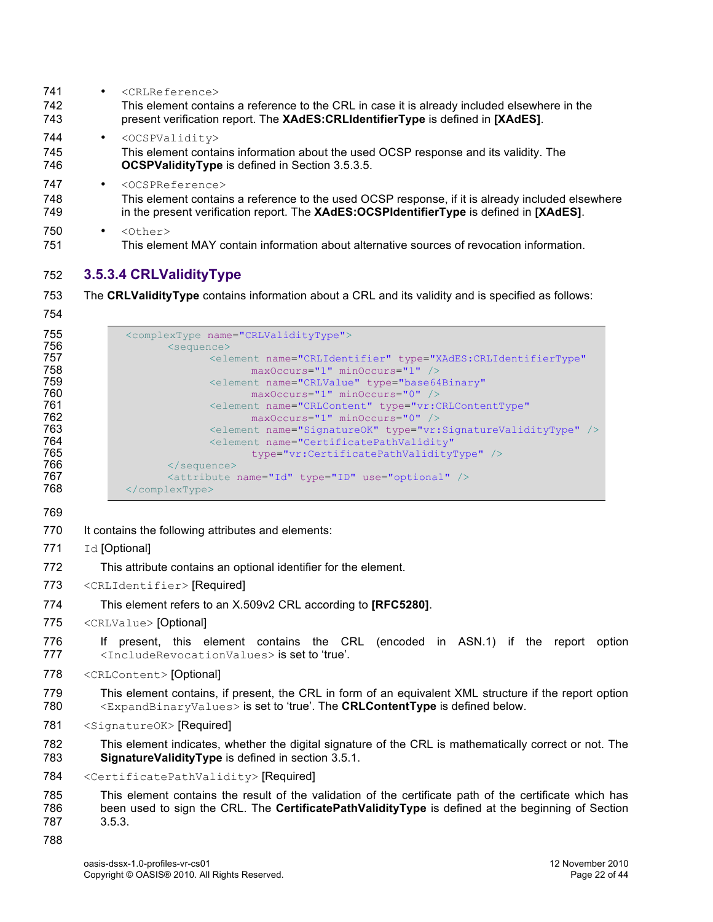| 741<br>742<br>743 | $\bullet$ | <crlreference><br/>This element contains a reference to the CRL in case it is already included elsewhere in the<br/>present verification report. The XAdES: CRLIdentifierType is defined in [XAdES].</crlreference> |
|-------------------|-----------|---------------------------------------------------------------------------------------------------------------------------------------------------------------------------------------------------------------------|
| 744<br>745<br>746 | $\bullet$ | <ocspvalidity><br/>This element contains information about the used OCSP response and its validity. The<br/><b>OCSPValidityType</b> is defined in Section 3.5.3.5.</ocspvalidity>                                   |
| 747<br>748<br>749 | $\bullet$ | <0CSPReference><br>This element contains a reference to the used OCSP response, if it is already included elsewhere<br>in the present verification report. The XAdES:OCSPIdentifierType is defined in [XAdES].      |
| 750<br>751        | ٠         | $\langle$ Other><br>This element MAY contain information about alternative sources of revocation information.                                                                                                       |

### **3.5.3.4 CRLValidityType**

- The **CRLValidityType** contains information about a CRL and its validity and is specified as follows:
- 

| 755 | <complextype name="CRLValidityType"></complextype>                                 |
|-----|------------------------------------------------------------------------------------|
| 756 | $\leq$ sequence $\geq$                                                             |
| 757 | <blement <="" name="CRLIdentifier" th="" type="XAdES:CRLIdentifierType"></blement> |
| 758 | $maxOccurs = "1" minOccurs = "1" /$                                                |
| 759 | <element <="" name="CRLValue" th="" type="base64Binary"></element>                 |
| 760 | $maxOccurs = "1" minOccurs = "0"$                                                  |
| 761 | <element <="" name="CRLContent" th="" type="vr:CRLContentType"></element>          |
| 762 | $maxOccurs = "1" minOccurs = "0"$                                                  |
| 763 | <element name="SignatureOK" type="vr:SignatureValidityType"></element>             |
| 764 | <element <="" name="CertificatePathValidity" th=""></element>                      |
| 765 | type="vr:CertificatePathValidityType" />                                           |
| 766 | $\langle$ /sequence>                                                               |
| 767 | <attribute name="Id" type="ID" use="optional"></attribute>                         |
| 768 | $\langle$ /complexType>                                                            |

- 770 It contains the following attributes and elements:
- 771 Id [Optional]
- This attribute contains an optional identifier for the element.
- 773 <CRLIdentifier> [Required]
- This element refers to an X.509v2 CRL according to **[RFC5280]**.
- 775 <CRLValue> [Optional]
- If present, this element contains the CRL (encoded in ASN.1) if the report option 777 <IncludeRevocationValues> is set to 'true'.
- 778 <CRLContent> [Optional]
- This element contains, if present, the CRL in form of an equivalent XML structure if the report option <ExpandBinaryValues> is set to 'true'. The **CRLContentType** is defined below.
- 781 <SignatureOK> [Required]
- This element indicates, whether the digital signature of the CRL is mathematically correct or not. The **SignatureValidityType** is defined in section 3.5.1.
- <CertificatePathValidity> [Required]
- This element contains the result of the validation of the certificate path of the certificate which has been used to sign the CRL. The **CertificatePathValidityType** is defined at the beginning of Section 3.5.3.
-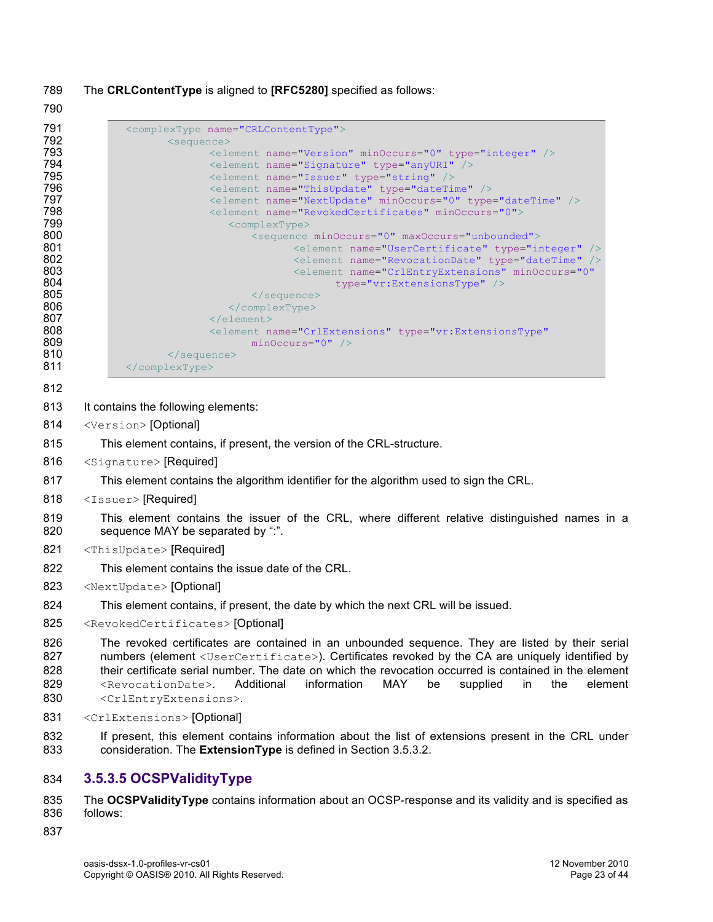The **CRLContentType** is aligned to **[RFC5280]** specified as follows:

| 791<br>792                      | <complextype name="CRLContentType"><br/><sequence></sequence></complextype>                                                                                                                                                                                                                                                                                                                                                                                                                                 |
|---------------------------------|-------------------------------------------------------------------------------------------------------------------------------------------------------------------------------------------------------------------------------------------------------------------------------------------------------------------------------------------------------------------------------------------------------------------------------------------------------------------------------------------------------------|
| 793                             | <element minoccurs="0" name="Version" type="integer"></element>                                                                                                                                                                                                                                                                                                                                                                                                                                             |
| 794                             | <element name="Signature" type="anyURI"></element>                                                                                                                                                                                                                                                                                                                                                                                                                                                          |
| 795                             | <element name="Issuer" type="string"></element>                                                                                                                                                                                                                                                                                                                                                                                                                                                             |
| 796<br>797                      | <element name="ThisUpdate" type="dateTime"></element><br><element minoccurs="0" name="NextUpdate" type="dateTime"></element>                                                                                                                                                                                                                                                                                                                                                                                |
| 798                             | <element minoccurs="0" name="RevokedCertificates"></element>                                                                                                                                                                                                                                                                                                                                                                                                                                                |
| 799                             | <complextype></complextype>                                                                                                                                                                                                                                                                                                                                                                                                                                                                                 |
| 800                             | <sequence maxoccurs="unbounded" minoccurs="0"></sequence>                                                                                                                                                                                                                                                                                                                                                                                                                                                   |
| 801<br>802                      | <element name="UserCertificate" type="integer"></element><br><element name="RevocationDate" type="dateTime"></element>                                                                                                                                                                                                                                                                                                                                                                                      |
| 803                             | <element <="" minoccurs="0" name="CrlEntryExtensions" th=""></element>                                                                                                                                                                                                                                                                                                                                                                                                                                      |
| 804                             | type="vr:ExtensionsType" />                                                                                                                                                                                                                                                                                                                                                                                                                                                                                 |
| 805                             | $\langle$ /sequence>                                                                                                                                                                                                                                                                                                                                                                                                                                                                                        |
| 806<br>807                      | <br>$\langle$ /element>                                                                                                                                                                                                                                                                                                                                                                                                                                                                                     |
| 808                             | <blement <="" name="CrlExtensions" th="" type="vr:ExtensionsType"></blement>                                                                                                                                                                                                                                                                                                                                                                                                                                |
| 809                             | $minOccurs = "0"$ />                                                                                                                                                                                                                                                                                                                                                                                                                                                                                        |
| 810                             |                                                                                                                                                                                                                                                                                                                                                                                                                                                                                                             |
| 811                             |                                                                                                                                                                                                                                                                                                                                                                                                                                                                                                             |
| 812                             |                                                                                                                                                                                                                                                                                                                                                                                                                                                                                                             |
| 813                             | It contains the following elements:                                                                                                                                                                                                                                                                                                                                                                                                                                                                         |
| 814                             | <version> [Optional]</version>                                                                                                                                                                                                                                                                                                                                                                                                                                                                              |
| 815                             | This element contains, if present, the version of the CRL-structure.                                                                                                                                                                                                                                                                                                                                                                                                                                        |
| 816                             | <signature> [Required]</signature>                                                                                                                                                                                                                                                                                                                                                                                                                                                                          |
| 817                             | This element contains the algorithm identifier for the algorithm used to sign the CRL.                                                                                                                                                                                                                                                                                                                                                                                                                      |
| 818                             | <issuer> [Required]</issuer>                                                                                                                                                                                                                                                                                                                                                                                                                                                                                |
| 819<br>820                      | This element contains the issuer of the CRL, where different relative distinguished names in a<br>sequence MAY be separated by ":".                                                                                                                                                                                                                                                                                                                                                                         |
| 821                             | <thisupdate> [Required]</thisupdate>                                                                                                                                                                                                                                                                                                                                                                                                                                                                        |
| 822                             | This element contains the issue date of the CRL.                                                                                                                                                                                                                                                                                                                                                                                                                                                            |
| 823                             | <nextupdate> [Optional]</nextupdate>                                                                                                                                                                                                                                                                                                                                                                                                                                                                        |
| 824                             | This element contains, if present, the date by which the next CRL will be issued.                                                                                                                                                                                                                                                                                                                                                                                                                           |
| 825                             | <revokedcertificates> [Optional]</revokedcertificates>                                                                                                                                                                                                                                                                                                                                                                                                                                                      |
| 826<br>827<br>828<br>829<br>830 | The revoked certificates are contained in an unbounded sequence. They are listed by their serial<br>numbers (element <usercertificate>). Certificates revoked by the CA are uniquely identified by<br/>their certificate serial number. The date on which the revocation occurred is contained in the element<br/>information<br/>MAY<br/>Additional<br/>be<br/>supplied<br/>in<br/>the<br/>element<br/><revocationdate>.<br/><crlentryextensions>.</crlentryextensions></revocationdate></usercertificate> |
| 831                             | <crlextensions> [Optional]</crlextensions>                                                                                                                                                                                                                                                                                                                                                                                                                                                                  |
| 832<br>833                      | If present, this element contains information about the list of extensions present in the CRL under<br>consideration. The ExtensionType is defined in Section 3.5.3.2.                                                                                                                                                                                                                                                                                                                                      |
| 834                             | 3.5.3.5 OCSPValidityType                                                                                                                                                                                                                                                                                                                                                                                                                                                                                    |
|                                 |                                                                                                                                                                                                                                                                                                                                                                                                                                                                                                             |

 The **OCSPValidityType** contains information about an OCSP-response and its validity and is specified as follows: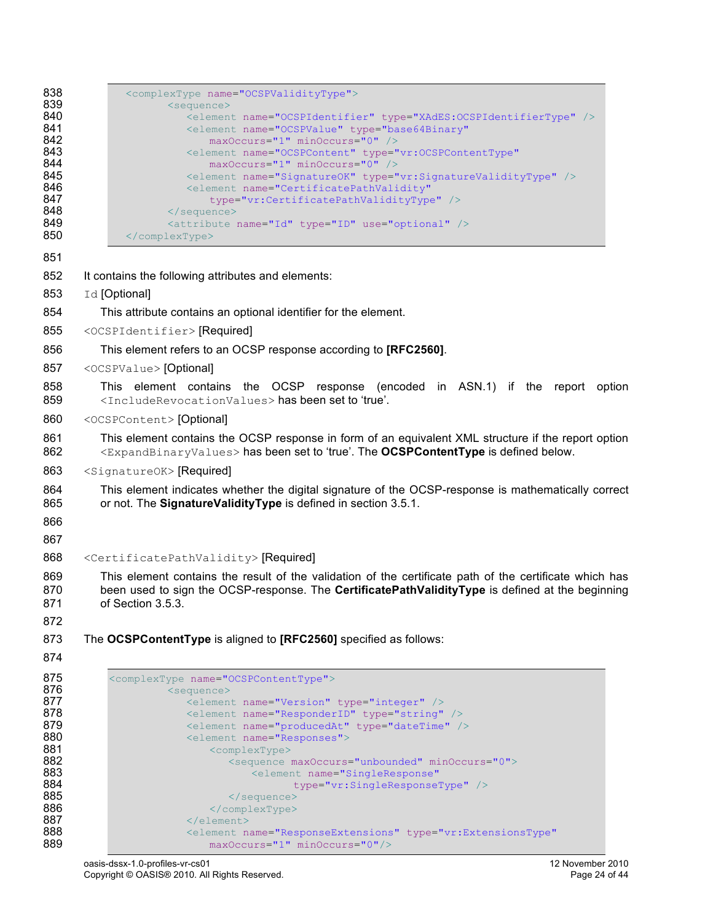| 838        |                                                                                                                                         |
|------------|-----------------------------------------------------------------------------------------------------------------------------------------|
| 839        | <complextype name="OCSPValidityType"><br/><sequence></sequence></complextype>                                                           |
| 840        | <element name="OCSPIdentifier" type="XAdES:OCSPIdentifierType"></element>                                                               |
| 841<br>842 | <element <br="" name="OCSPValue" type="base64Binary">maxOccurs="1" minOccurs="0" /&gt;</element>                                        |
| 843        | <element <="" name="OCSPContent" th="" type="vr:OCSPContentType"></element>                                                             |
| 844        | maxOccurs="1" minOccurs="0" />                                                                                                          |
| 845<br>846 | <element name="SignatureOK" type="vr:SignatureValidityType"></element><br><element <="" name="CertificatePathValidity" th=""></element> |
| 847        | type="vr:CertificatePathValidityType" />                                                                                                |
| 848<br>849 | <br><attribute name="Id" type="ID" use="optional"></attribute>                                                                          |
| 850        |                                                                                                                                         |
| 851        |                                                                                                                                         |
| 852        |                                                                                                                                         |
|            | It contains the following attributes and elements:                                                                                      |
| 853        | Id [Optional]                                                                                                                           |
| 854        | This attribute contains an optional identifier for the element.                                                                         |
| 855        | <ocspidentifier> [Required]</ocspidentifier>                                                                                            |
| 856        | This element refers to an OCSP response according to [RFC2560].                                                                         |
| 857        | <ocspvalue> [Optional]</ocspvalue>                                                                                                      |
| 858        | This element contains the OCSP response (encoded in ASN.1) if the report option                                                         |
| 859        | <includerevocationvalues> has been set to 'true'.</includerevocationvalues>                                                             |
| 860        | <ocspcontent> [Optional]</ocspcontent>                                                                                                  |
| 861        | This element contains the OCSP response in form of an equivalent XML structure if the report option                                     |
| 862        | <expandbinaryvalues> has been set to 'true'. The OCSPContentType is defined below.</expandbinaryvalues>                                 |
| 863        | <signatureok> [Required]</signatureok>                                                                                                  |
| 864        | This element indicates whether the digital signature of the OCSP-response is mathematically correct                                     |
| 865        | or not. The Signature Validity Type is defined in section 3.5.1.                                                                        |
| 866        |                                                                                                                                         |
| 867        |                                                                                                                                         |
| 868        | <certificatepathvalidity> [Required]</certificatepathvalidity>                                                                          |
| 869        | This element contains the result of the validation of the certificate path of the certificate which has                                 |
| 870        | been used to sign the OCSP-response. The CertificatePathValidityType is defined at the beginning                                        |
| 871        | of Section 3.5.3.                                                                                                                       |
| 872        |                                                                                                                                         |
| 873        | The OCSPContentType is aligned to [RFC2560] specified as follows:                                                                       |
| 874        |                                                                                                                                         |
| 875        | <complextype name="OCSPContentType"></complextype>                                                                                      |
| 876<br>877 | <sequence><br/><element name="Version" type="integer"></element></sequence>                                                             |
| 878        | <element name="ResponderID" type="string"></element>                                                                                    |
| 879        | <element name="producedAt" type="dateTime"></element>                                                                                   |
| 880<br>881 | <element name="Responses"></element>                                                                                                    |
| 882        | <complextype><br/><sequence maxoccurs="unbounded" minoccurs="0"></sequence></complextype>                                               |
| 883        | <element <="" name="SingleResponse" th=""></element>                                                                                    |
| 884        | type="vr:SingleResponseType" />                                                                                                         |
| 885<br>886 | <br>                                                                                                                                    |
| 887        |                                                                                                                                         |
| 888        | <blement <="" name="ResponseExtensions" td="" type="vr:ExtensionsType"></blement>                                                       |

889 maxOccurs="1" minOccurs="0"/>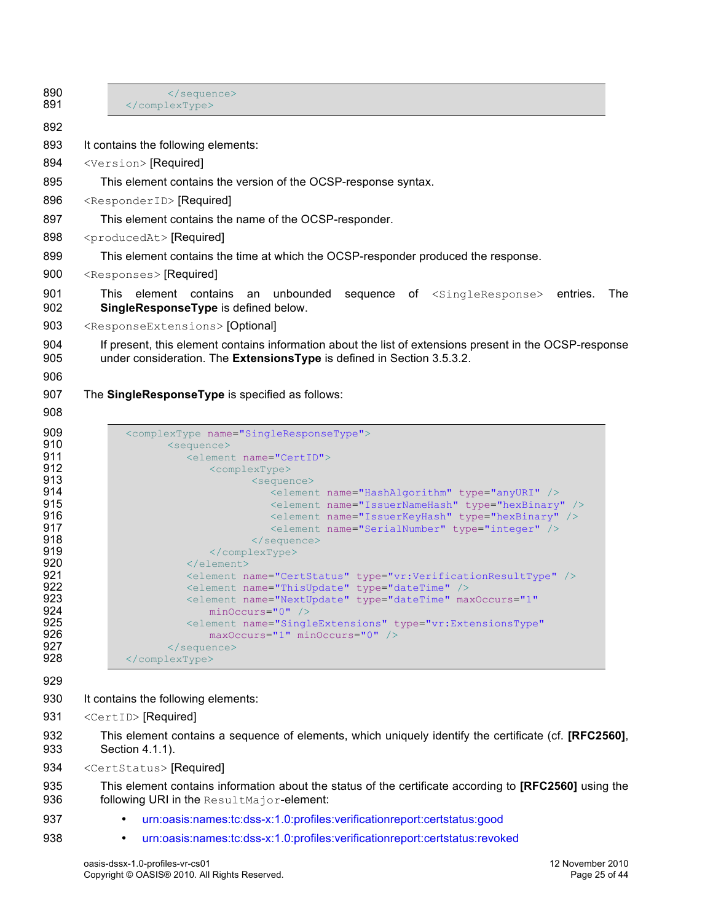| 890<br>891 | <br>                                                                                                                                                |            |
|------------|-----------------------------------------------------------------------------------------------------------------------------------------------------|------------|
| 892        |                                                                                                                                                     |            |
| 893        | It contains the following elements:                                                                                                                 |            |
| 894        | <version> [Required]</version>                                                                                                                      |            |
| 895        | This element contains the version of the OCSP-response syntax.                                                                                      |            |
| 896        | <responderid> [Required]</responderid>                                                                                                              |            |
| 897        | This element contains the name of the OCSP-responder.                                                                                               |            |
| 898        | <producedat> [Required]</producedat>                                                                                                                |            |
| 899        | This element contains the time at which the OCSP-responder produced the response.                                                                   |            |
| 900        | <responses> [Required]</responses>                                                                                                                  |            |
| 901<br>902 | This element contains<br>unbounded sequence of <singleresponse> entries.<br/>an<br/>SingleResponseType is defined below.</singleresponse>           | <b>The</b> |
| 903        | <responseextensions> [Optional]</responseextensions>                                                                                                |            |
| 904        | If present, this element contains information about the list of extensions present in the OCSP-response                                             |            |
| 905        | under consideration. The ExtensionsType is defined in Section 3.5.3.2.                                                                              |            |
| 906        |                                                                                                                                                     |            |
| 907        | The SingleResponseType is specified as follows:                                                                                                     |            |
| 908        |                                                                                                                                                     |            |
| 909<br>910 | <complextype name="SingleResponseType"><br/><sequence></sequence></complextype>                                                                     |            |
| 911        | <element name="CertID"></element>                                                                                                                   |            |
| 912<br>913 | <complextype><br/><sequence></sequence></complextype>                                                                                               |            |
| 914        | <element name="HashAlgorithm" type="anyURI"></element>                                                                                              |            |
| 915<br>916 | <element name="IssuerNameHash" type="hexBinary"></element><br><element name="IssuerKeyHash" type="hexBinary"></element>                             |            |
| 917        | <element name="SerialNumber" type="integer"></element>                                                                                              |            |
| 918<br>919 |                                                                                                                                                     |            |
| 920        | <br>$\langle$ /element>                                                                                                                             |            |
| 921        | <element name="CertStatus" type="vr:VerificationResultType"></element>                                                                              |            |
| 922<br>923 | <element name="ThisUpdate" type="dateTime"></element><br><blement <="" maxoccurs="1" name="NextUpdate" td="" type="dateTime"><td></td></blement>    |            |
| 924        | $minOccurs="0"$ />                                                                                                                                  |            |
| 925<br>926 | <blement <br="" name="SingleExtensions" type="vr:ExtensionsType">maxOccurs="1" minOccurs="0" /&gt;</blement>                                        |            |
| 927        |                                                                                                                                                     |            |
| 928        |                                                                                                                                                     |            |
| 929        |                                                                                                                                                     |            |
| 930        | It contains the following elements:                                                                                                                 |            |
| 931        | <certid> [Required]</certid>                                                                                                                        |            |
| 932<br>933 | This element contains a sequence of elements, which uniquely identify the certificate (cf. [RFC2560],<br>Section 4.1.1).                            |            |
| 934        | <certstatus> [Required]</certstatus>                                                                                                                |            |
| 935<br>936 | This element contains information about the status of the certificate according to [RFC2560] using the<br>following URI in the ResultMajor-element: |            |
| 937        | urn:oasis:names:tc:dss-x:1.0:profiles:verificationreport:certstatus:good<br>$\bullet$                                                               |            |
| 938        | urn:oasis:names:tc:dss-x:1.0:profiles:verificationreport:certstatus:revoked<br>$\bullet$                                                            |            |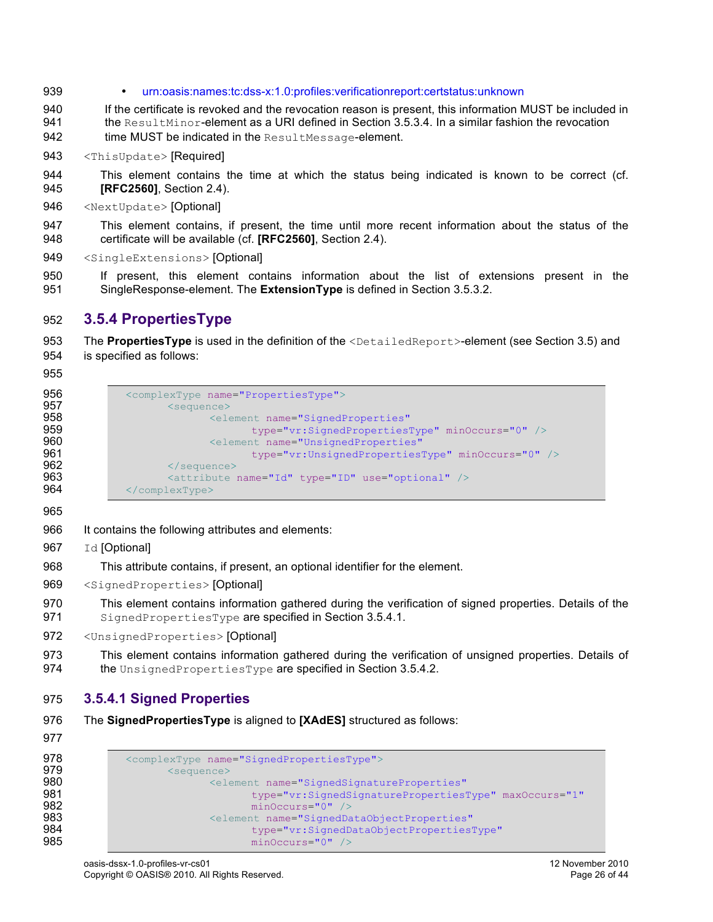- 939 urn:oasis:names:tc:dss-x:1.0:profiles:verificationreport:certstatus:unknown
- 940 If the certificate is revoked and the revocation reason is present, this information MUST be included in 941 the ResultMinor-element as a URI defined in Section 3.5.3.4. In a similar fashion the revocation 942 **time MUST be indicated in the ResultMessage-element.**
- 943 <ThisUpdate> [Required]
- 944 This element contains the time at which the status being indicated is known to be correct (cf. 945 **[RFC2560]**, Section 2.4).
- 946 <NextUpdate> [Optional]
- 947 This element contains, if present, the time until more recent information about the status of the 948 certificate will be available (cf. **[RFC2560]**, Section 2.4).
- 949 <SingleExtensions> [Optional]
- 950 If present, this element contains information about the list of extensions present in the 951 SingleResponse-element. The **ExtensionType** is defined in Section 3.5.3.2.

## 952 **3.5.4 PropertiesType**

- 953 The **PropertiesType** is used in the definition of the <DetailedReport>-element (see Section 3.5) and 954 is specified as follows:
- 955

```
956 <complexType name="PropertiesType"><br>957 <sequence>
957 <sequence>
958 element name="SignedProperties"<br>959 type="vr:SignedProperties"
959 type="vr:SignedPropertiesType" minOccurs="0" />
960 (Selement name="UnsignedProperties")<br>961 (Selement prope="vr:UnsignedProperties")
961 type="vr:UnsignedPropertiesType" minOccurs="0" /><br>962 </sequence>
962 </sequence><br>963 </sequence>
963 \leq \leq \leq \leq \leq \leq \leq \leq \leq \leq \leq \leq \leq \leq \leq \leq \leq \leq \leq \leq \leq \leq \leq \leq \leq \leq \leq \leq \leq \leq \leq \leq \leq \leq \leq \leq 964 </complexType>
```
965

- 966 It contains the following attributes and elements:
- 967 Id [Optional]
- 968 This attribute contains, if present, an optional identifier for the element.
- 969 <SignedProperties> [Optional]
- 970 This element contains information gathered during the verification of signed properties. Details of the 971 SignedPropertiesType are specified in Section 3.5.4.1.
- 972 <UnsignedProperties> [Optional]
- 973 This element contains information gathered during the verification of unsigned properties. Details of 974 the UnsignedPropertiesType are specified in Section 3.5.4.2.

### 975 **3.5.4.1 Signed Properties**

- 976 The **SignedPropertiesType** is aligned to **[XAdES]** structured as follows:
- 977

```
978 <complexType name="SignedPropertiesType"><br>979 <sequence>
979 <sequence><br>الحجاجة كلمة جانبانية بالتاريخ<br>والحجاجة المتاريخ
980 <element name="SignedSignatureProperties"
981 type="vr:SignedSignaturePropertiesType" maxOccurs="1"<br>982 minOccurs="0" />
982 minOccurs="0" />
983 <element name="SignedDataObjectProperties"
                             984 type="vr:SignedDataObjectPropertiesType" 
985 minOccurs="0" />
```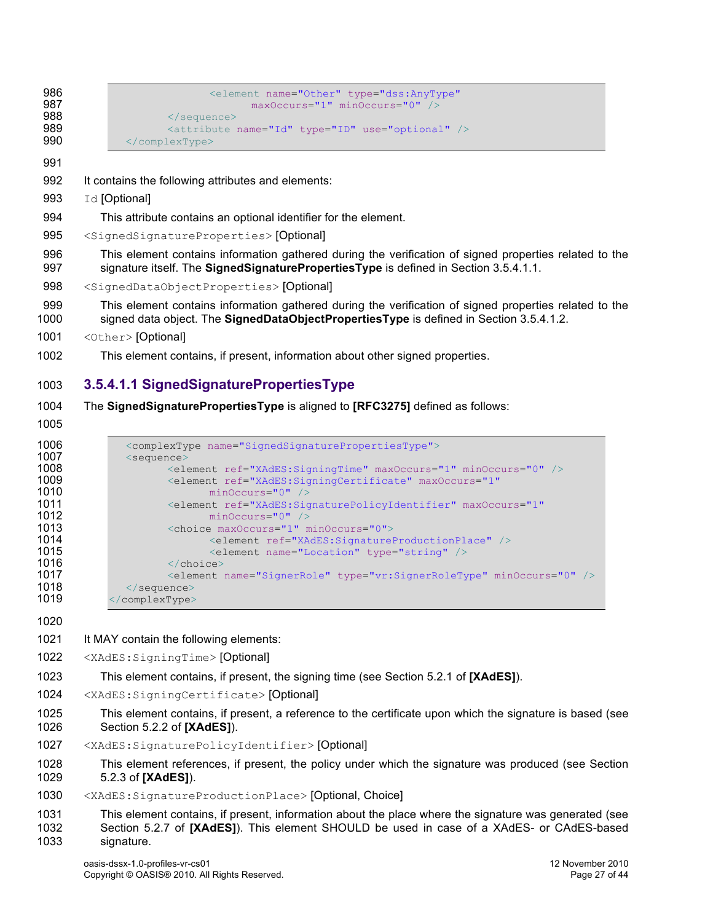```
986 <br>
Selement name="Other" type="dss:AnyType"<br>
maxOccurs="1" minOccurs="0" />
987 maxOccurs="1" minOccurs="0" />
988 </sequence><br>989 </sequence>
989 \leq \leq \leq \leq \leq \leq \leq \leq \leq \leq \leq \leq \leq \leq \leq \leq \leq \leq \leq \leq \leq \leq \leq \leq \leq \leq \leq \leq \leq \leq \leq \leq \leq \leq \leq \leq 990 </complexType>
```
- It contains the following attributes and elements:
- 993 Id [Optional]
- This attribute contains an optional identifier for the element.
- <SignedSignatureProperties> [Optional]
- This element contains information gathered during the verification of signed properties related to the 997 signature itself. The **SignedSignaturePropertiesType** is defined in Section 3.5.4.1.1.
- <SignedDataObjectProperties> [Optional]
- This element contains information gathered during the verification of signed properties related to the signed data object. The **SignedDataObjectPropertiesType** is defined in Section 3.5.4.1.2.
- <Other> [Optional]
- This element contains, if present, information about other signed properties.

### **3.5.4.1.1 SignedSignaturePropertiesType**

- The **SignedSignaturePropertiesType** is aligned to **[RFC3275]** defined as follows:
- 

| 1006 | <complextype name="SignedSignaturePropertiesType"></complextype>                   |
|------|------------------------------------------------------------------------------------|
| 1007 | $\leq$ sequence $>$                                                                |
| 1008 | <element maxoccurs="1" minoccurs="0" ref="XAdES:SigningTime"></element>            |
| 1009 | <element <="" maxoccurs="1" ref="XAdES:SigningCertificate" th=""></element>        |
| 1010 | $minOccurs="0"$ />                                                                 |
| 1011 | <blement <="" maxoccurs="1" ref="XAdES:SignaturePolicyIdentifier" th=""></blement> |
| 1012 | $minOccurs="0"$ />                                                                 |
| 1013 | <choice maxoccurs="1" minoccurs="0"></choice>                                      |
| 1014 | <element ref="XAdES:SignatureProductionPlace"></element>                           |
| 1015 | <element name="Location" type="string"></element>                                  |
| 1016 | $\langle$ /choice>                                                                 |
| 1017 | <element minoccurs="0" name="SignerRole" type="vr:SignerRoleType"></element>       |
| 1018 | $\langle$ /sequence>                                                               |
| 1019 | $\langle$ /complexType>                                                            |

- 1021 It MAY contain the following elements:
- <XAdES:SigningTime> [Optional]
- This element contains, if present, the signing time (see Section 5.2.1 of **[XAdES]**).
- <XAdES:SigningCertificate> [Optional]
- This element contains, if present, a reference to the certificate upon which the signature is based (see Section 5.2.2 of **[XAdES]**).
- <XAdES:SignaturePolicyIdentifier> [Optional]
- This element references, if present, the policy under which the signature was produced (see Section 5.2.3 of **[XAdES]**).
- <XAdES:SignatureProductionPlace> [Optional, Choice]

 This element contains, if present, information about the place where the signature was generated (see Section 5.2.7 of **[XAdES]**). This element SHOULD be used in case of a XAdES- or CAdES-based signature.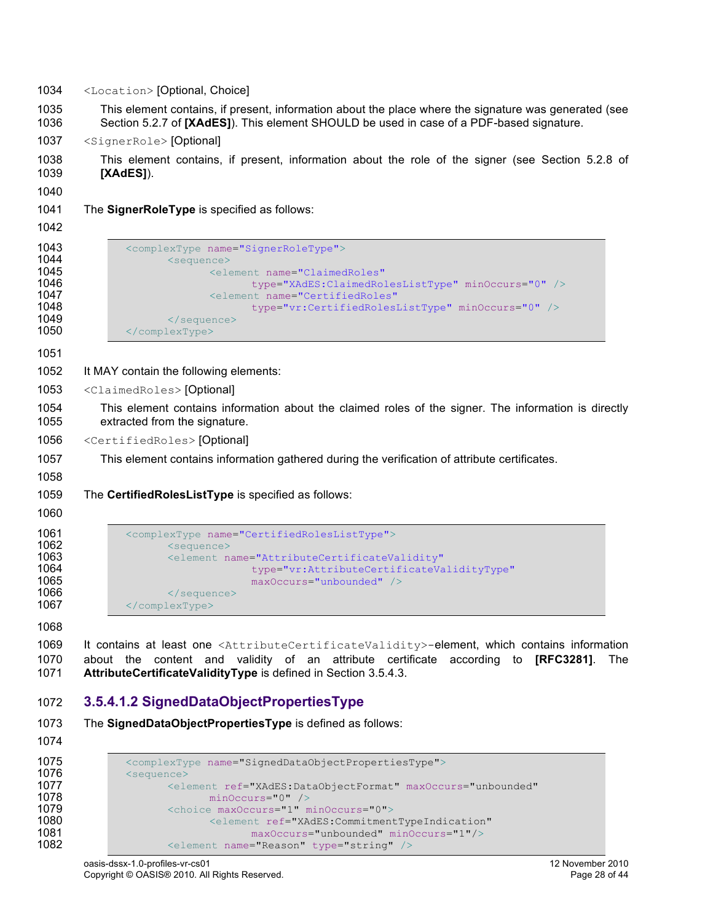- <Location> [Optional, Choice]
- This element contains, if present, information about the place where the signature was generated (see Section 5.2.7 of **[XAdES]**). This element SHOULD be used in case of a PDF-based signature.
- <SignerRole> [Optional]
- This element contains, if present, information about the role of the signer (see Section 5.2.8 of **[XAdES]**).

The **SignerRoleType** is specified as follows:

```
1043 <complexType name="SignerRoleType"><br>1044 <sequence>
1044 <sequence><br>1045 <sequence>
1045 <element name="ClaimedRoles"
1046 type="XAdES:ClaimedRolesListType" minOccurs="0" />
1047 <element name="CertifiedRoles"<br>1048 type="vr:CertifiedRoles
1048 type="vr:CertifiedRolesListType" minOccurs="0" /><br>1049 </sequence>
1049 </sequence><br>1050 </complexType>
             1050 </complexType>
```
- It MAY contain the following elements:
- <ClaimedRoles> [Optional]
- This element contains information about the claimed roles of the signer. The information is directly extracted from the signature.
- <CertifiedRoles> [Optional]
- This element contains information gathered during the verification of attribute certificates.
- The **CertifiedRolesListType** is specified as follows:
- 

```
1061 <complexType name="CertifiedRolesListType"><br>1062 <sequence>
1062 <sequence><br>1063 <element n
1063 <element name="AttributeCertificateValidity"
1064 type="vr:AttributeCertificateValidityType"<br>1065 the maxOccurs="unbounded" />
                                    maxOccurs="unbounded" />
1066 \le/sequence><br>1067 \le/complexType>
               </complexType>
```
 It contains at least one <AttributeCertificateValidity>-element, which contains information about the content and validity of an attribute certificate according to **[RFC3281]**. The **AttributeCertificateValidityType** is defined in Section 3.5.4.3.

### **3.5.4.1.2 SignedDataObjectPropertiesType**

```
1073 The SignedDataObjectPropertiesType is defined as follows:
```

```
1075 <complexType name="SignedDataObjectPropertiesType"><br>1076 <sequence>
1076 <sequence><br>1077 <equence>
1077 <element ref="XAdES:DataObjectFormat" maxOccurs="unbounded"
1078 minOccurs="0" /><br>1079 <choice maxOccurs="1" m
1079 <choice maxOccurs="1" minOccurs="0">
1080 <element ref="XAdES:CommitmentTypeIndication"<br>1081 maxOccurs="unbounded" minOccurs="1"/>
1081 maxOccurs="unbounded" minOccurs="1"/><br>1082 <element name="Reason" type="string" />
                      1082 <element name="Reason" type="string" />
```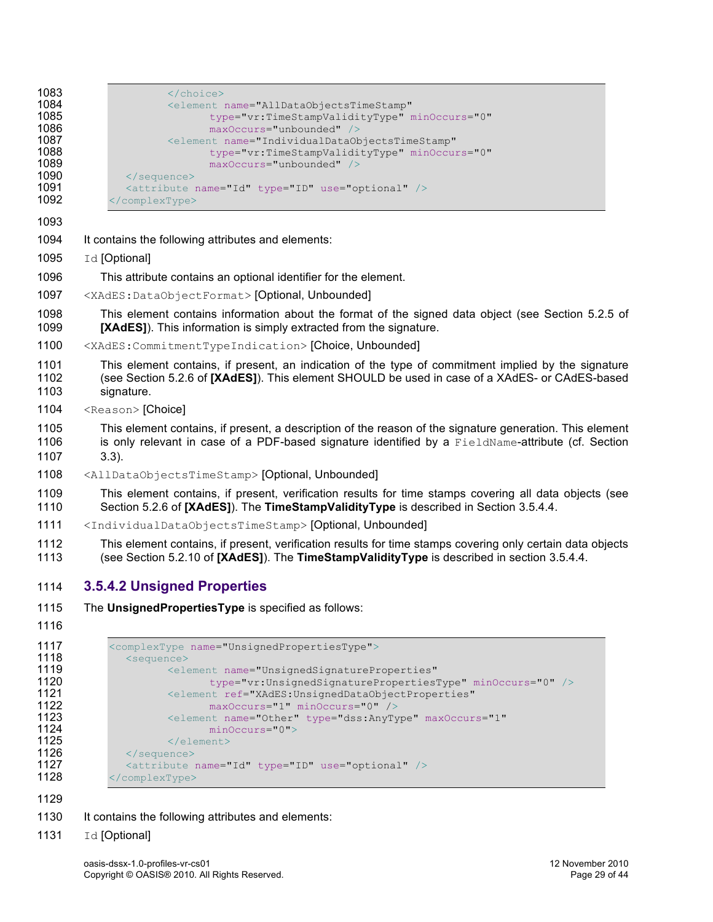| 1083 | $\langle$ /choice>                                                   |
|------|----------------------------------------------------------------------|
| 1084 | <element <="" name="AllDataObjectsTimeStamp" th=""></element>        |
| 1085 | type="vr:TimeStampValidityType" minOccurs="0"                        |
| 1086 | $maxOccurs="unbounded"$                                              |
| 1087 | <element <="" name="IndividualDataObjectsTimeStamp" th=""></element> |
| 1088 | type="vr:TimeStampValidityType" minOccurs="0"                        |
| 1089 | $maxOccurs="unbounded"$                                              |
| 1090 | $\langle$ /sequence>                                                 |
| 1091 | <attribute name="Id" type="ID" use="optional"></attribute>           |
| 1092 | $\langle$ /complexType>                                              |

- It contains the following attributes and elements:
- 1095 Id [Optional]
- This attribute contains an optional identifier for the element.
- <XAdES:DataObjectFormat> [Optional, Unbounded]
- This element contains information about the format of the signed data object (see Section 5.2.5 of **[XAdES]**). This information is simply extracted from the signature.
- <XAdES:CommitmentTypeIndication> [Choice, Unbounded]

 This element contains, if present, an indication of the type of commitment implied by the signature (see Section 5.2.6 of **[XAdES]**). This element SHOULD be used in case of a XAdES- or CAdES-based signature.

1104 <Reason> [Choice]

 This element contains, if present, a description of the reason of the signature generation. This element 1106 is only relevant in case of a PDF-based signature identified by a FieldName-attribute (cf. Section 3.3).

<AllDataObjectsTimeStamp> [Optional, Unbounded]

 This element contains, if present, verification results for time stamps covering all data objects (see Section 5.2.6 of **[XAdES]**). The **TimeStampValidityType** is described in Section 3.5.4.4.

- <IndividualDataObjectsTimeStamp> [Optional, Unbounded]
- This element contains, if present, verification results for time stamps covering only certain data objects (see Section 5.2.10 of **[XAdES]**). The **TimeStampValidityType** is described in section 3.5.4.4.

### **3.5.4.2 Unsigned Properties**

- The **UnsignedPropertiesType** is specified as follows:
- 

```
1117 <complexType name="UnsignedPropertiesType"><br>1118 <sequence>
1118 <sequence>
                             1119 <element name="UnsignedSignatureProperties"
1120 type="vr:UnsignedSignaturePropertiesType" minOccurs="0" /><br>1121 telement ref="XAdES:UnsignedDataObjectProperties"
1121 <element ref="XAdES:UnsignedDataObjectProperties"<br>1122 maxOccurs="1" minOccurs="0" />
1122 maxOccurs="1" minOccurs="0" /><br>1123 <element name="Other" type="dss:AnyTv
1123 <element name="Other" type="dss:AnyType" maxOccurs="1"<br>1124 minOccurs="0">
1124 minOccurs="0"><br>1125 </element>
1125 \le/element><br>1126 \le/sequence>
1126 </sequence><br>1127 <attribute r
1127 \leq \leq \leq \leq \leq \leq \leq \leq \leq \leq \leq \leq \leq \leq \leq \leq \leq \leq \leq \leq \leq \leq \leq \leq \leq \leq \leq \leq \leq \leq \leq \leq \leq \leq \leq \leq 
                </complexType>
```
- 1130 It contains the following attributes and elements:
- 1131 Id [Optional]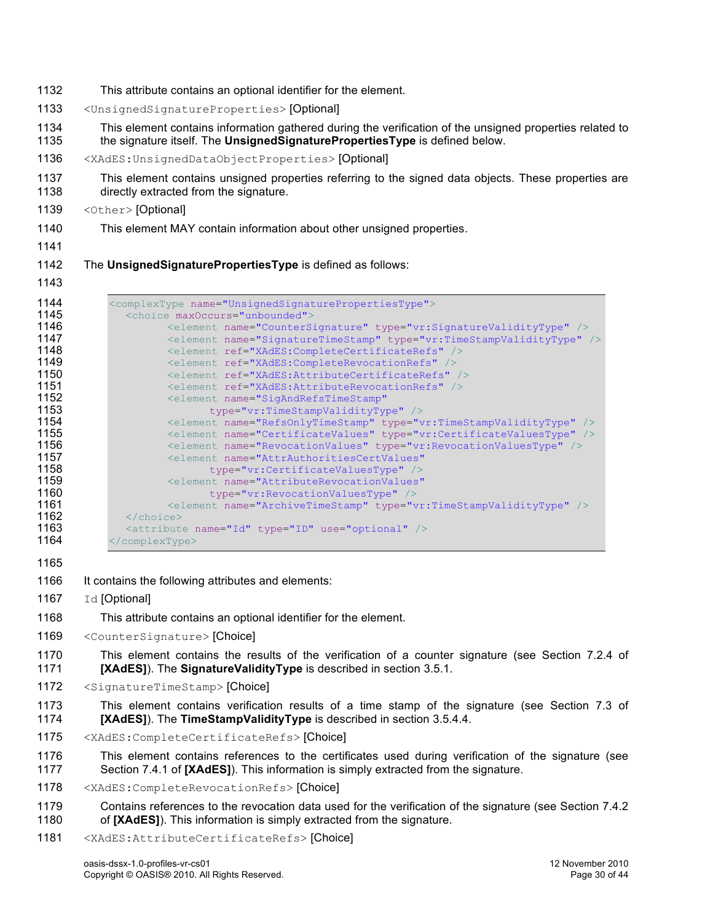- 1132 This attribute contains an optional identifier for the element.
- 1133 <UnsignedSignatureProperties> [Optional]
- 1134 This element contains information gathered during the verification of the unsigned properties related to 1135 the signature itself. The **UnsignedSignaturePropertiesType** is defined below.
- 1136 <XAdES:UnsignedDataObjectProperties> [Optional]
- 1137 This element contains unsigned properties referring to the signed data objects. These properties are 1138 directly extracted from the signature.
- 1139 <Other> [Optional]
- 1140 This element MAY contain information about other unsigned properties.
- 1141

1142 The **UnsignedSignaturePropertiesType** is defined as follows:

| 1144<br>1145 | <complextype name="UnsignedSignaturePropertiesType"></complextype>            |
|--------------|-------------------------------------------------------------------------------|
|              | <choice maxoccurs="unbounded"></choice>                                       |
| 1146         | <element name="CounterSignature" type="vr:SignatureValidityType"></element>   |
| 1147         | <element name="SignatureTimeStamp" type="vr:TimeStampValidityType"></element> |
| 1148         | <element ref="XAdES:CompleteCertificateRefs"></element>                       |
| 1149         | <element ref="XAdES:CompleteRevocationRefs"></element>                        |
| 1150         | <element ref="XAdES:AttributeCertificateRefs"></element>                      |
| 1151         | <element ref="XAdES:AttributeRevocationRefs"></element>                       |
| 1152         | <element <="" name="SigAndRefsTimeStamp" th=""></element>                     |
| 1153         | type="vr:TimeStampValidityType" />                                            |
| 1154         | <element name="RefsOnlyTimeStamp" type="vr:TimeStampValidityType"></element>  |
| 1155         | <element name="CertificateValues" type="vr:CertificateValuesType"></element>  |
| 1156         | <element name="RevocationValues" type="vr:RevocationValuesType"></element>    |
| 1157         | <element <="" name="AttrAuthoritiesCertValues" th=""></element>               |
| 1158         | type="vr:CertificateValuesType" />                                            |
| 1159         | <element <="" name="AttributeRevocationValues" th=""></element>               |
| 1160         | type="vr:RevocationValuesType" />                                             |
| 1161         | <element name="ArchiveTimeStamp" type="vr:TimeStampValidityType"></element>   |
| 1162         | $\langle$ /choice>                                                            |
| 1163         | <attribute name="Id" type="ID" use="optional"></attribute>                    |
| 1164         |                                                                               |

- 1165
- 1166 It contains the following attributes and elements:
- 1167 Id [Optional]
- 1168 This attribute contains an optional identifier for the element.
- 1169 <CounterSignature>[Choice]
- 1170 This element contains the results of the verification of a counter signature (see Section 7.2.4 of 1171 **[XAdES]**). The **SignatureValidityType** is described in section 3.5.1.
- 1172 <SignatureTimeStamp> [Choice]
- 1173 This element contains verification results of a time stamp of the signature (see Section 7.3 of 1174 **[XAdES]**). The **TimeStampValidityType** is described in section 3.5.4.4.
- 1175 <XAdES:CompleteCertificateRefs> [Choice]
- 1176 This element contains references to the certificates used during verification of the signature (see 1177 Section 7.4.1 of **[XAdES]**). This information is simply extracted from the signature.
- 1178 <XAdES:CompleteRevocationRefs> [Choice]
- 1179 Contains references to the revocation data used for the verification of the signature (see Section 7.4.2 1180 of **[XAdES]**). This information is simply extracted from the signature.
- 1181 <XAdES:AttributeCertificateRefs> [Choice]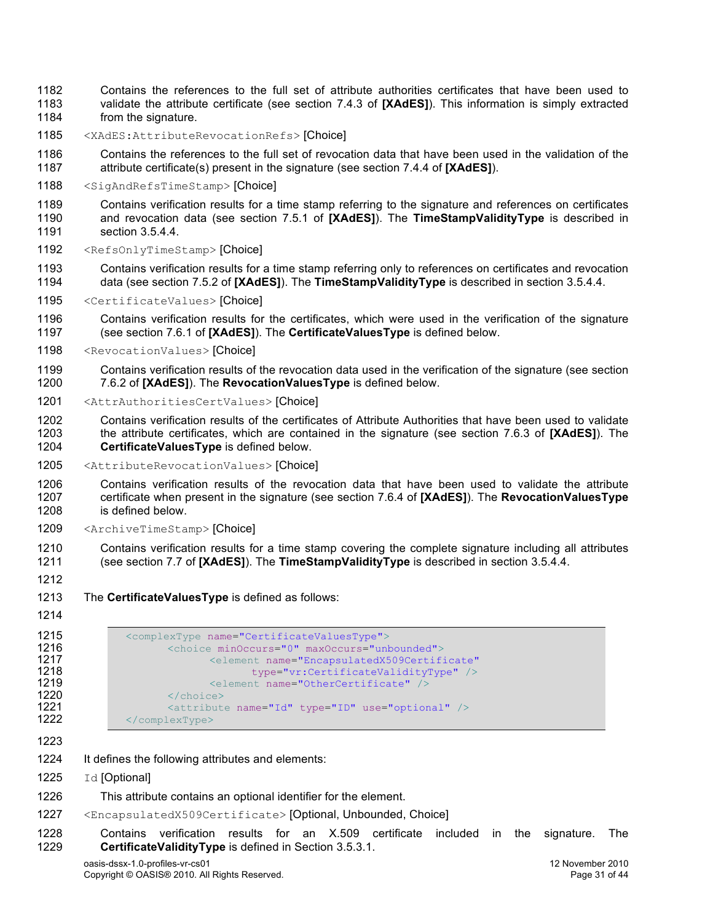- Contains the references to the full set of attribute authorities certificates that have been used to validate the attribute certificate (see section 7.4.3 of **[XAdES]**). This information is simply extracted 1184 from the signature.
- <XAdES:AttributeRevocationRefs> [Choice]
- Contains the references to the full set of revocation data that have been used in the validation of the attribute certificate(s) present in the signature (see section 7.4.4 of **[XAdES]**).
- <SigAndRefsTimeStamp> [Choice]
- Contains verification results for a time stamp referring to the signature and references on certificates and revocation data (see section 7.5.1 of **[XAdES]**). The **TimeStampValidityType** is described in section 3.5.4.4.
- <RefsOnlyTimeStamp> [Choice]
- Contains verification results for a time stamp referring only to references on certificates and revocation data (see section 7.5.2 of **[XAdES]**). The **TimeStampValidityType** is described in section 3.5.4.4.
- <CertificateValues> [Choice]
- Contains verification results for the certificates, which were used in the verification of the signature (see section 7.6.1 of **[XAdES]**). The **CertificateValuesType** is defined below.
- <RevocationValues> [Choice]
- Contains verification results of the revocation data used in the verification of the signature (see section 7.6.2 of **[XAdES]**). The **RevocationValuesType** is defined below.
- <AttrAuthoritiesCertValues> [Choice]
- Contains verification results of the certificates of Attribute Authorities that have been used to validate the attribute certificates, which are contained in the signature (see section 7.6.3 of **[XAdES]**). The **CertificateValuesType** is defined below.
- <AttributeRevocationValues> [Choice]
- Contains verification results of the revocation data that have been used to validate the attribute certificate when present in the signature (see section 7.6.4 of **[XAdES]**). The **RevocationValuesType** is defined below.
- <ArchiveTimeStamp> [Choice]
- Contains verification results for a time stamp covering the complete signature including all attributes (see section 7.7 of **[XAdES]**). The **TimeStampValidityType** is described in section 3.5.4.4.
- 
- The **CertificateValuesType** is defined as follows:
- 

```
1215 <complexType name="CertificateValuesType"><br>1216 <choice minOccurs="0" maxOccurs="unk
1216 <choice minOccurs="0" maxOccurs="unbounded">
1217 <element name="EncapsulatedX509Certificate"<br>1218 type="vr:CertificateValidityType" />
1218 type="vr:CertificateValidityType" /><br>1219 <element name="0therCertificate" />
1219 <element name="OtherCertificate" /><br>1220 </choice>
1220 </choice><br>1221 <attribute>
1221 \leq \leq \leq \leq \leq \leq \leq \leq \leq \leq \leq \leq \leq \leq \leq \leq \leq \leq \leq \leq \leq \leq \leq \leq \leq \leq \leq \leq \leq \leq \leq \leq \leq \leq \leq \leq 
                   1222 </complexType>
```
- It defines the following attributes and elements:
- 1225 Id [Optional]
- This attribute contains an optional identifier for the element.
- <EncapsulatedX509Certificate> [Optional, Unbounded, Choice]
- Contains verification results for an X.509 certificate included in the signature. The **CertificateValidityType** is defined in Section 3.5.3.1.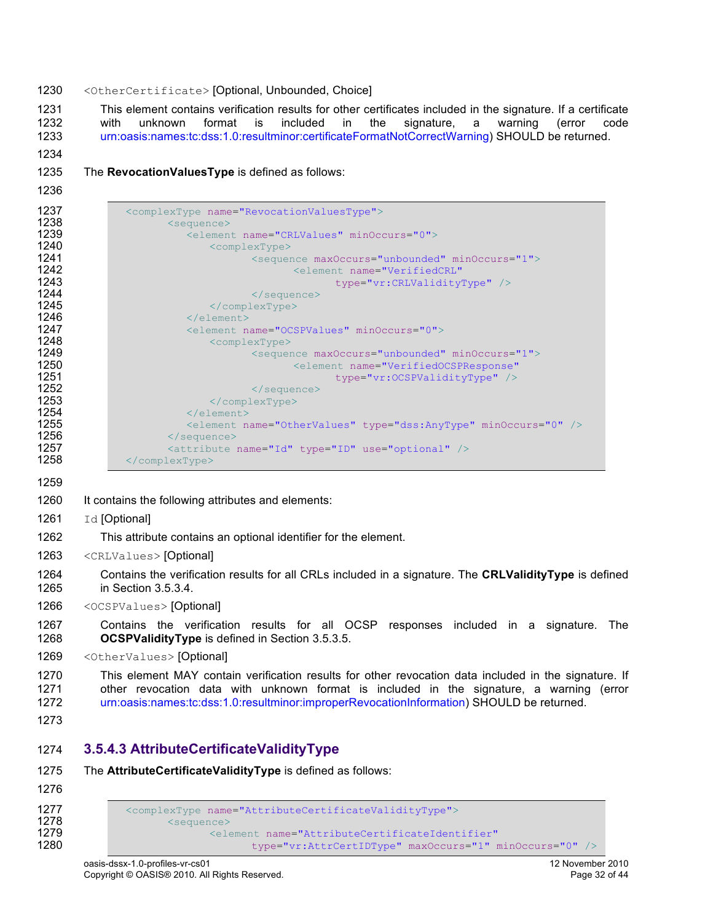#### <OtherCertificate> [Optional, Unbounded, Choice]

1231 This element contains verification results for other certificates included in the signature. If a certificate 1232 with unknown format is included in the signature. a warning (error code with unknown format is included in the signature, a warning (error code urn:oasis:names:tc:dss:1.0:resultminor:certificateFormatNotCorrectWarning) SHOULD be returned.

- 
- The **RevocationValuesType** is defined as follows:
- 

| 1237 | <complextype name="RevocationValuesType"></complextype>                 |
|------|-------------------------------------------------------------------------|
| 1238 | <sequence></sequence>                                                   |
| 1239 | <element minoccurs="0" name="CRLValues"></element>                      |
| 1240 | <complextype></complextype>                                             |
| 1241 | <sequence maxoccurs="unbounded" minoccurs="1"></sequence>               |
| 1242 | <element <="" name="VerifiedCRL" th=""></element>                       |
| 1243 | type="vr:CRLValidityType" />                                            |
| 1244 | $\langle$ /sequence>                                                    |
| 1245 | $\langle$ /complexType>                                                 |
| 1246 | $\langle$ /element>                                                     |
| 1247 | <element minoccurs="0" name="OCSPValues"></element>                     |
| 1248 | <complextype></complextype>                                             |
| 1249 | <sequence maxoccurs="unbounded" minoccurs="1"></sequence>               |
| 1250 | <element <="" name="VerifiedOCSPResponse" th=""></element>              |
| 1251 | $type="vr:OCSPValidityType"$ />                                         |
| 1252 | $\langle$ /sequence>                                                    |
| 1253 | $\langle$ /complexType>                                                 |
| 1254 | $\langle$ /element>                                                     |
| 1255 | <element minoccurs="0" name="OtherValues" type="dss:AnyType"></element> |
| 1256 | $\langle$ /sequence>                                                    |
| 1257 | <attribute name="Id" type="ID" use="optional"></attribute>              |
| 1258 | $\langle$ /complexType>                                                 |

- 1260 It contains the following attributes and elements:
- 1261 Id [Optional]
- This attribute contains an optional identifier for the element.
- <CRLValues> [Optional]
- Contains the verification results for all CRLs included in a signature. The **CRLValidityType** is defined in Section 3.5.3.4.
- <OCSPValues> [Optional]

 Contains the verification results for all OCSP responses included in a signature. The **OCSPValidityType** is defined in Section 3.5.3.5.

1269 <OtherValues> [Optional]

 This element MAY contain verification results for other revocation data included in the signature. If other revocation data with unknown format is included in the signature, a warning (error urn:oasis:names:tc:dss:1.0:resultminor:improperRevocationInformation) SHOULD be returned.

#### **3.5.4.3 AttributeCertificateValidityType**

| 1275<br>1276 | The AttributeCertificateValidityType is defined as follows:          |
|--------------|----------------------------------------------------------------------|
| 1277         | <complextype name="AttributeCertificateValidityType"></complextype>  |
| 1278         | <sequence></sequence>                                                |
| 1279         | <blement <="" name="AttributeCertificateIdentifier" th=""></blement> |
| 1280         | type="vr:AttrCertIDType" maxOccurs="1" minOccurs="0" />              |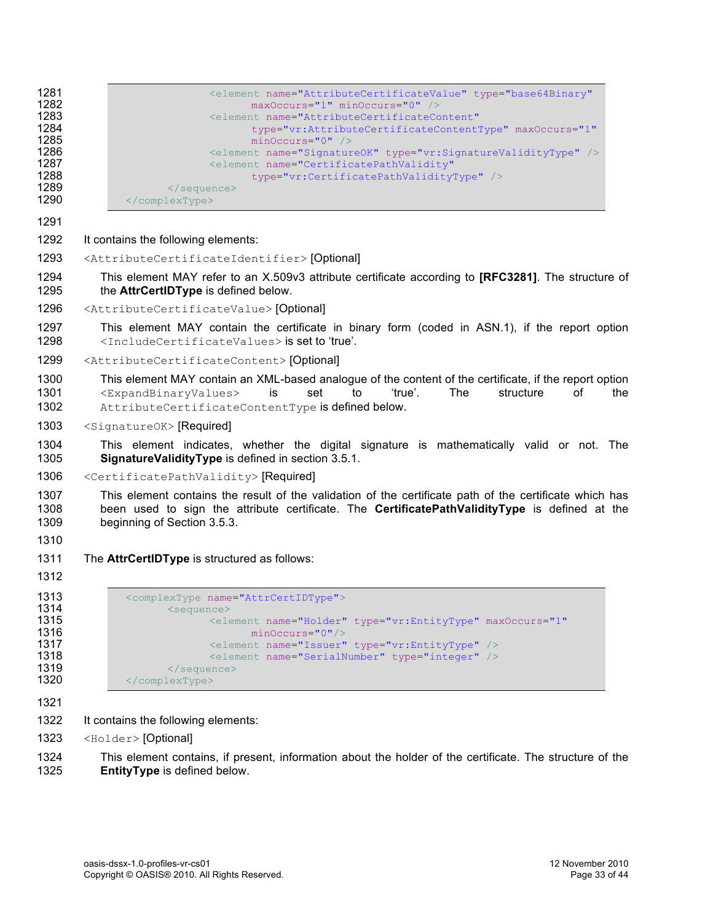| 1281<br>1282<br>1283<br>1284<br>1285<br>1286<br>1287<br>1288<br>1289<br>1290 | <blement <br="" name="AttributeCertificateValue" type="base64Binary">maxOccurs="1" minOccurs="0" /&gt;<br/><element <br="" name="AttributeCertificateContent">type="vr:AttributeCertificateContentType" maxOccurs="1"<br/><math>minOccurs = "0"</math> /&gt;<br/><element name="SignatureOK" type="vr:SignatureValidityType"></element><br/><element <br="" name="CertificatePathValidity">type="vr:CertificatePathValidityType" /&gt;<br/><br/></element></element></blement> |
|------------------------------------------------------------------------------|--------------------------------------------------------------------------------------------------------------------------------------------------------------------------------------------------------------------------------------------------------------------------------------------------------------------------------------------------------------------------------------------------------------------------------------------------------------------------------|
| 1291                                                                         |                                                                                                                                                                                                                                                                                                                                                                                                                                                                                |
| 1292                                                                         | It contains the following elements:                                                                                                                                                                                                                                                                                                                                                                                                                                            |
| 1293                                                                         | <attributecertificateidentifier>[Optional]</attributecertificateidentifier>                                                                                                                                                                                                                                                                                                                                                                                                    |
| 1294<br>1295                                                                 | This element MAY refer to an X.509v3 attribute certificate according to [RFC3281]. The structure of<br>the AttrCertIDType is defined below.                                                                                                                                                                                                                                                                                                                                    |
| 1296                                                                         | <attributecertificatevalue> [Optional]</attributecertificatevalue>                                                                                                                                                                                                                                                                                                                                                                                                             |
| 1297<br>1298                                                                 | This element MAY contain the certificate in binary form (coded in ASN.1), if the report option<br><includecertificatevalues> is set to 'true'.</includecertificatevalues>                                                                                                                                                                                                                                                                                                      |
| 1299                                                                         | <attributecertificatecontent>[Optional]</attributecertificatecontent>                                                                                                                                                                                                                                                                                                                                                                                                          |
| 1300<br>1301<br>1302                                                         | This element MAY contain an XML-based analogue of the content of the certificate, if the report option<br>'true'.<br>The<br>structure<br>οf<br><expandbinaryvalues><br/>is<br/>set<br/>to<br/>the<br/>AttributeCertificateContentType is defined below.</expandbinaryvalues>                                                                                                                                                                                                   |
| 1303                                                                         | <signatureok> [Required]</signatureok>                                                                                                                                                                                                                                                                                                                                                                                                                                         |
| 1304<br>1305                                                                 | This element indicates, whether the digital signature is mathematically valid or not. The<br>SignatureValidityType is defined in section 3.5.1.                                                                                                                                                                                                                                                                                                                                |
| 1306                                                                         | <certificatepathvalidity> [Required]</certificatepathvalidity>                                                                                                                                                                                                                                                                                                                                                                                                                 |
| 1307<br>1308<br>1309                                                         | This element contains the result of the validation of the certificate path of the certificate which has<br>been used to sign the attribute certificate. The <b>CertificatePathValidityType</b> is defined at the<br>beginning of Section 3.5.3.                                                                                                                                                                                                                                |
| 1310<br>1311                                                                 |                                                                                                                                                                                                                                                                                                                                                                                                                                                                                |
| 1312                                                                         | The <b>AttrCertIDType</b> is structured as follows:                                                                                                                                                                                                                                                                                                                                                                                                                            |
| 1313<br>1314<br>1315<br>1316<br>1317<br>1318<br>1319<br>1320                 | <complextype name="AttrCertIDType"><br/><sequence><br/><element <br="" maxoccurs="1" name="Holder" type="vr:EntityType"><math>minOccurs="0"</math>/&gt;<br/><element name="Issuer" type="vr:EntityType"></element><br/><element name="SerialNumber" type="integer"></element><br/><math>\langle</math>/sequence&gt;<br/></element></sequence></complextype>                                                                                                                    |
| 1321<br>1322                                                                 | It contains the following elements:                                                                                                                                                                                                                                                                                                                                                                                                                                            |

1323 <Holder> [Optional]

1324 This element contains, if present, information about the holder of the certificate. The structure of the 1325 **EntityType** is defined below.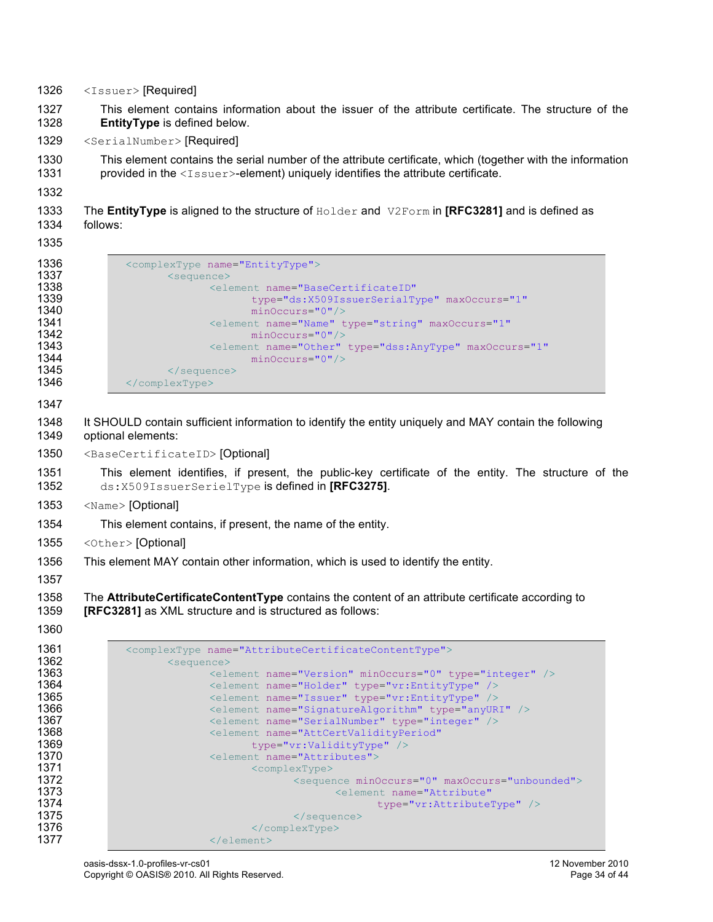- 1326 <Issuer> [Required]
- 1327 This element contains information about the issuer of the attribute certificate. The structure of the 1328 **EntityType** is defined below.
- 1329 <SerialNumber> [Required]
- 1330 This element contains the serial number of the attribute certificate, which (together with the information 1331 provided in the <Issuer>-element) uniquely identifies the attribute certificate.

- 1333 The **EntityType** is aligned to the structure of Holder and V2Form in **[RFC3281]** and is defined as 1334 follows:
- 1335

| 1336 | <complextype name="EntityType"></complextype>                                |  |  |  |
|------|------------------------------------------------------------------------------|--|--|--|
| 1337 | <sequence></sequence>                                                        |  |  |  |
| 1338 | <element <="" name="BaseCertificateID" th=""></element>                      |  |  |  |
| 1339 | type="ds:X509IssuerSerialType" maxOccurs="1"                                 |  |  |  |
| 1340 | $minOccurs="0"$                                                              |  |  |  |
| 1341 | <element <="" maxoccurs="1" name="Name" th="" type="string"></element>       |  |  |  |
| 1342 | $minOccurs="0"$                                                              |  |  |  |
| 1343 | <element <="" maxoccurs="1" name="Other" th="" type="dss:AnyType"></element> |  |  |  |
| 1344 | $minOccurs="0"$                                                              |  |  |  |
| 1345 | $\langle$ /sequence>                                                         |  |  |  |
| 1346 | $\langle$ /complexType $\rangle$                                             |  |  |  |

- 1347
- 1348 It SHOULD contain sufficient information to identify the entity uniquely and MAY contain the following 1349 optional elements:
- 1350 <BaseCertificateID> [Optional]
- 1351 This element identifies, if present, the public-key certificate of the entity. The structure of the 1352 ds:X509IssuerSerielType is defined in **[RFC3275]**.
- 1353 <Name> [Optional]
- 1354 This element contains, if present, the name of the entity.
- 1355 <Other>[Optional]
- 1356 This element MAY contain other information, which is used to identify the entity.
- 1357

1358 The **AttributeCertificateContentType** contains the content of an attribute certificate according to 1359 **[RFC3281]** as XML structure and is structured as follows:

| 1361 | <complextype name="AttributeCertificateContentType"></complextype> |
|------|--------------------------------------------------------------------|
| 1362 | <sequence></sequence>                                              |
| 1363 | <element minoccurs="0" name="Version" type="integer"></element>    |
| 1364 | <element name="Holder" type="vr:EntityType"></element>             |
| 1365 | <element name="Issuer" type="vr:EntityType"></element>             |
| 1366 | <element name="SignatureAlgorithm" type="anyURI"></element>        |
| 1367 | <element name="SerialNumber" type="integer"></element>             |
| 1368 | <element <="" name="AttCertValidityPeriod" th=""></element>        |
| 1369 | $type="vr:ValidityType"$ />                                        |
| 1370 | <element name="Attributes"></element>                              |
| 1371 | <complextype></complextype>                                        |
| 1372 | <sequence maxoccurs="unbounded" minoccurs="0"></sequence>          |
| 1373 | <element <="" name="Attribute" th=""></element>                    |
| 1374 | type="vr:AttributeType" />                                         |
| 1375 | $\langle$ /sequence>                                               |
| 1376 | $\langle$ /complexType>                                            |
| 1377 | $\langle$ /element>                                                |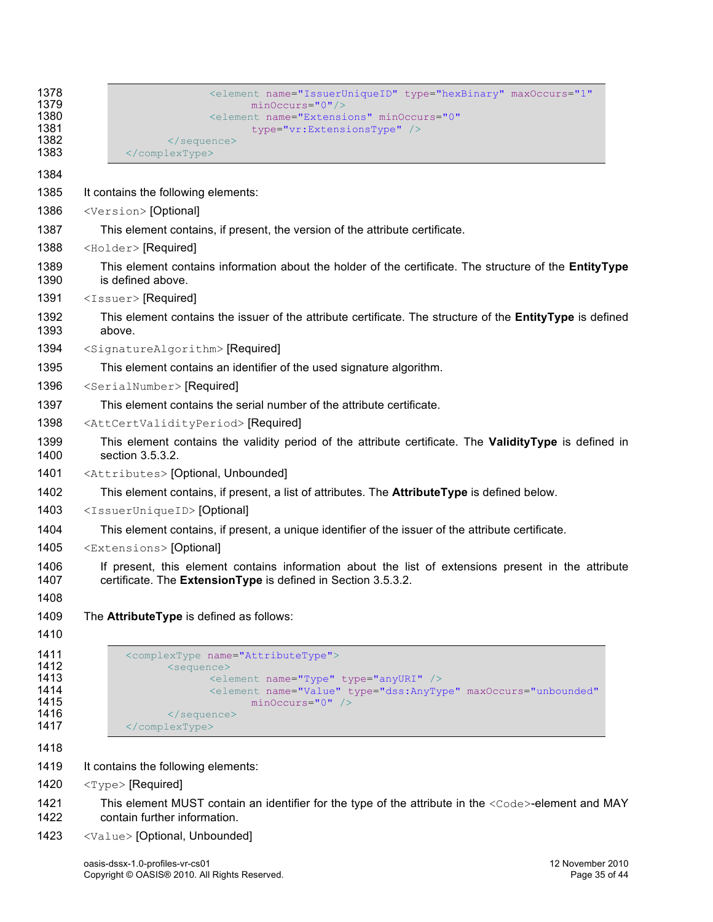| 1378                                                 | <element <="" maxoccurs="1" name="IssuerUniqueID" th="" type="hexBinary"></element>                                                                                                                                                                           |  |  |  |
|------------------------------------------------------|---------------------------------------------------------------------------------------------------------------------------------------------------------------------------------------------------------------------------------------------------------------|--|--|--|
| 1379<br>1380                                         | $minOccurs="0"$ /><br><blement <="" minoccurs="0" name="Extensions" td=""></blement>                                                                                                                                                                          |  |  |  |
| 1381                                                 | type="vr:ExtensionsType" />                                                                                                                                                                                                                                   |  |  |  |
| 1382<br>1383                                         | <br>                                                                                                                                                                                                                                                          |  |  |  |
| 1384                                                 |                                                                                                                                                                                                                                                               |  |  |  |
| 1385                                                 | It contains the following elements:                                                                                                                                                                                                                           |  |  |  |
| 1386                                                 | <version> [Optional]</version>                                                                                                                                                                                                                                |  |  |  |
| 1387                                                 | This element contains, if present, the version of the attribute certificate.                                                                                                                                                                                  |  |  |  |
| 1388                                                 | <holder> [Required]</holder>                                                                                                                                                                                                                                  |  |  |  |
| 1389<br>1390                                         | This element contains information about the holder of the certificate. The structure of the EntityType<br>is defined above.                                                                                                                                   |  |  |  |
| 1391                                                 | <issuer>[Required]</issuer>                                                                                                                                                                                                                                   |  |  |  |
| 1392<br>1393                                         | This element contains the issuer of the attribute certificate. The structure of the <b>EntityType</b> is defined<br>above.                                                                                                                                    |  |  |  |
| 1394                                                 | <signaturealgorithm> [Required]</signaturealgorithm>                                                                                                                                                                                                          |  |  |  |
| 1395                                                 | This element contains an identifier of the used signature algorithm.                                                                                                                                                                                          |  |  |  |
| 1396                                                 | <serialnumber> [Required]</serialnumber>                                                                                                                                                                                                                      |  |  |  |
| 1397                                                 | This element contains the serial number of the attribute certificate.                                                                                                                                                                                         |  |  |  |
| 1398                                                 | <attcertvalidityperiod> [Required]</attcertvalidityperiod>                                                                                                                                                                                                    |  |  |  |
| 1399<br>1400                                         | This element contains the validity period of the attribute certificate. The ValidityType is defined in<br>section 3.5.3.2.                                                                                                                                    |  |  |  |
| 1401                                                 | <attributes> [Optional, Unbounded]</attributes>                                                                                                                                                                                                               |  |  |  |
| 1402                                                 | This element contains, if present, a list of attributes. The AttributeType is defined below.                                                                                                                                                                  |  |  |  |
| 1403                                                 | <issueruniqueid> [Optional]</issueruniqueid>                                                                                                                                                                                                                  |  |  |  |
| 1404                                                 | This element contains, if present, a unique identifier of the issuer of the attribute certificate.                                                                                                                                                            |  |  |  |
| 1405                                                 | <extensions> [Optional]</extensions>                                                                                                                                                                                                                          |  |  |  |
| 1406<br>1407                                         | If present, this element contains information about the list of extensions present in the attribute<br>certificate. The ExtensionType is defined in Section 3.5.3.2.                                                                                          |  |  |  |
| 1408                                                 |                                                                                                                                                                                                                                                               |  |  |  |
| 1409                                                 | The AttributeType is defined as follows:                                                                                                                                                                                                                      |  |  |  |
| 1410                                                 |                                                                                                                                                                                                                                                               |  |  |  |
| 1411<br>1412<br>1413<br>1414<br>1415<br>1416<br>1417 | <complextype name="AttributeType"><br/><sequence><br/><element name="Type" type="anyURI"></element><br/><blement <br="" maxoccurs="unbounded" name="Value" type="dss:AnyType"><math>minOccurs = "0"</math> /&gt;<br/></blement></sequence><br/></complextype> |  |  |  |
| 1418                                                 |                                                                                                                                                                                                                                                               |  |  |  |
| 1419                                                 | It contains the following elements:                                                                                                                                                                                                                           |  |  |  |
| 1420                                                 | <type> [Required]</type>                                                                                                                                                                                                                                      |  |  |  |

- 1421 This element MUST contain an identifier for the type of the attribute in the <Code>-element and MAY<br>1422 contain further information. contain further information.
- 1423 <Value> [Optional, Unbounded]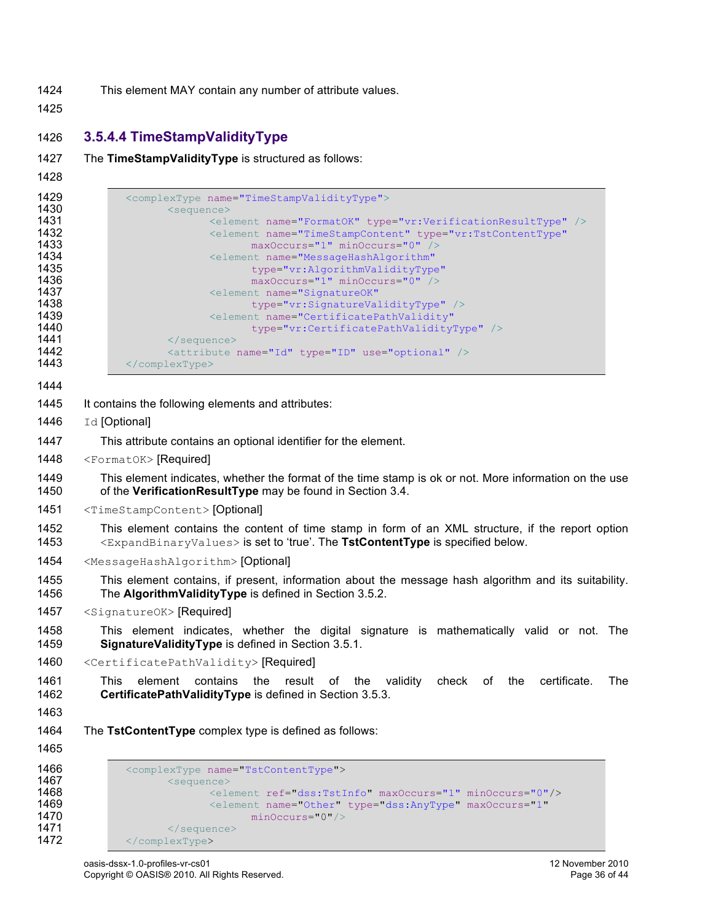- 1424 This element MAY contain any number of attribute values.
- 1425

## 1426 **3.5.4.4 TimeStampValidityType**

| The TimeStampValidityType is structured as follows: |
|-----------------------------------------------------|
|                                                     |

1428

| 1429         | <complextype name="TimeStampValidityType"></complextype>                                                                                                                                                |
|--------------|---------------------------------------------------------------------------------------------------------------------------------------------------------------------------------------------------------|
| 1430         | <sequence></sequence>                                                                                                                                                                                   |
| 1431         | <element name="FormatOK" type="vr:VerificationResultType"></element>                                                                                                                                    |
| 1432<br>1433 | <blement <br="" name="TimeStampContent" type="vr:TstContentType">maxOccurs="1" minOccurs="0" /&gt;</blement>                                                                                            |
| 1434         | <element <="" name="MessageHashAlgorithm" th=""></element>                                                                                                                                              |
| 1435         | type="vr:AlgorithmValidityType"                                                                                                                                                                         |
| 1436         | maxOccurs="1" minOccurs="0" />                                                                                                                                                                          |
| 1437         | <element <="" name="SignatureOK" th=""></element>                                                                                                                                                       |
| 1438         | type="vr:SignatureValidityType" />                                                                                                                                                                      |
| 1439         | <element <="" name="CertificatePathValidity" th=""></element>                                                                                                                                           |
| 1440         | type="vr:CertificatePathValidityType" />                                                                                                                                                                |
| 1441         | $\langle$ /sequence>                                                                                                                                                                                    |
| 1442         | <attribute name="Id" type="ID" use="optional"></attribute>                                                                                                                                              |
| 1443         |                                                                                                                                                                                                         |
| 1444         |                                                                                                                                                                                                         |
| 1445         | It contains the following elements and attributes:                                                                                                                                                      |
| 1446         | Id [Optional]                                                                                                                                                                                           |
| 1447         | This attribute contains an optional identifier for the element.                                                                                                                                         |
| 1448         | <formatok> [Required]</formatok>                                                                                                                                                                        |
|              |                                                                                                                                                                                                         |
| 1449<br>1450 | This element indicates, whether the format of the time stamp is ok or not. More information on the use<br>of the VerificationResultType may be found in Section 3.4.                                    |
| 1451         | <timestampcontent> [Optional]</timestampcontent>                                                                                                                                                        |
| 1452<br>1453 | This element contains the content of time stamp in form of an XML structure, if the report option<br><expandbinaryvalues> is set to 'true'. The TstContentType is specified below.</expandbinaryvalues> |
| 1454         | <messagehashalgorithm> [Optional]</messagehashalgorithm>                                                                                                                                                |
| 1455<br>1456 | This element contains, if present, information about the message hash algorithm and its suitability.<br>The AlgorithmValidityType is defined in Section 3.5.2.                                          |
| 1457         | <signatureok> [Required]</signatureok>                                                                                                                                                                  |
| 1458<br>1459 | This element indicates, whether the digital signature is mathematically valid or not. The<br>SignatureValidityType is defined in Section 3.5.1.                                                         |
| 1460         | <certificatepathvalidity> [Required]</certificatepathvalidity>                                                                                                                                          |
| 1461<br>1462 | validity<br>check<br>certificate.<br>The<br>This.<br>element contains<br>the<br>result<br>of the<br>of<br>the<br>CertificatePathValidityType is defined in Section 3.5.3.                               |
| 1463         |                                                                                                                                                                                                         |
| 1464         | The TstContentType complex type is defined as follows:                                                                                                                                                  |
| 1465         |                                                                                                                                                                                                         |
| 1466         | <complextype name="TstContentType"></complextype>                                                                                                                                                       |
| 1467         | <sequence></sequence>                                                                                                                                                                                   |
| 1468         | <element maxoccurs="1" minoccurs="0" ref="dss:TstInfo"></element>                                                                                                                                       |
| 1469         | <element <="" maxoccurs="1" name="Other" th="" type="dss:AnyType"></element>                                                                                                                            |
| 1470         | $minOccurs="0"$ />                                                                                                                                                                                      |
| 1471         |                                                                                                                                                                                                         |

1472 </complexType>

1471 </sequence><br>1472 </complexType>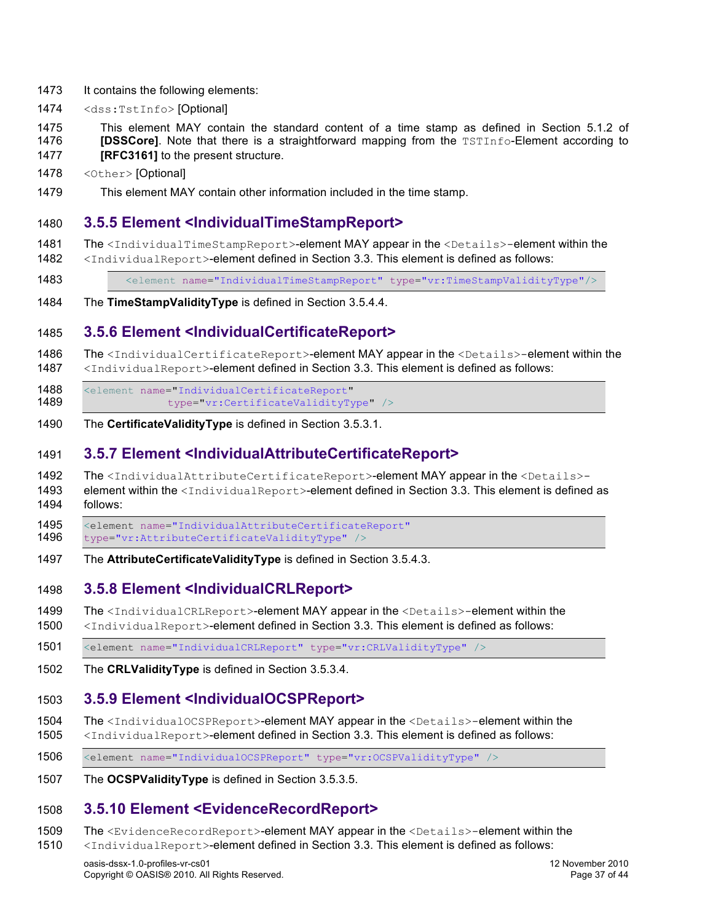- 1473 It contains the following elements:
- 1474 <dss:TstInfo> [Optional]
- 1475 This element MAY contain the standard content of a time stamp as defined in Section 5.1.2 of 1476 **[DSSCore]**. Note that there is a straightforward mapping from the TSTInfo-Element according to 1477 **[RFC3161]** to the present structure.
- 1478 <Other>[Optional]
- 1479 This element MAY contain other information included in the time stamp.

#### 1480 **3.5.5 Element <IndividualTimeStampReport>**

1481 The <IndividualTimeStampReport>-element MAY appear in the <Details>-element within the

- 1482 <IndividualReport>-element defined in Section 3.3. This element is defined as follows:
- 1483 <element name="IndividualTimeStampReport" type="vr:TimeStampValidityType"/>
- 1484 The **TimeStampValidityType** is defined in Section 3.5.4.4.

## 1485 **3.5.6 Element <IndividualCertificateReport>**

- 1486 The <IndividualCertificateReport>-element MAY appear in the <Details>-element within the
- 1487 <IndividualReport>-element defined in Section 3.3. This element is defined as follows:

1488 <element name="IndividualCertificateReport"<br>1489 type="vr:CertificateValidityTv type="vr:CertificateValidityType" />

1490 The **CertificateValidityType** is defined in Section 3.5.3.1.

## 1491 **3.5.7 Element <IndividualAttributeCertificateReport>**

- 1492 The <IndividualAttributeCertificateReport>-element MAY appear in the <Details>-
- 1493 element within the <IndividualReport>-element defined in Section 3.3. This element is defined as 1494 follows:

1495 <element name="IndividualAttributeCertificateReport"

- 1496 type="vr:AttributeCertificateValidityType" />
- 1497 The **AttributeCertificateValidityType** is defined in Section 3.5.4.3.

## 1498 **3.5.8 Element <IndividualCRLReport>**

- 1499 The <IndividualCRLReport>-element MAY appear in the <Details>-element within the
- 1500 <IndividualReport>-element defined in Section 3.3. This element is defined as follows:

1501 <element name="IndividualCRLReport" type="vr:CRLValidityType" />

1502 The **CRLValidityType** is defined in Section 3.5.3.4.

## 1503 **3.5.9 Element <IndividualOCSPReport>**

- 1504 The <IndividualOCSPReport>-element MAY appear in the <Details>-element within the
- 1505 <IndividualReport>-element defined in Section 3.3. This element is defined as follows:
- 1506 <element name="IndividualOCSPReport" type="vr:OCSPValidityType" />
- 1507 The **OCSPValidityType** is defined in Section 3.5.3.5.

## 1508 **3.5.10 Element <EvidenceRecordReport>**

- 1509 The <EvidenceRecordReport>-element MAY appear in the <Details>-element within the
- 1510 <IndividualReport>-element defined in Section 3.3. This element is defined as follows:

oasis-dssx-1.0-profiles-vr-cs01 12 November 2010 Copyright © OASIS® 2010. All Rights Reserved. **Page 37** of 44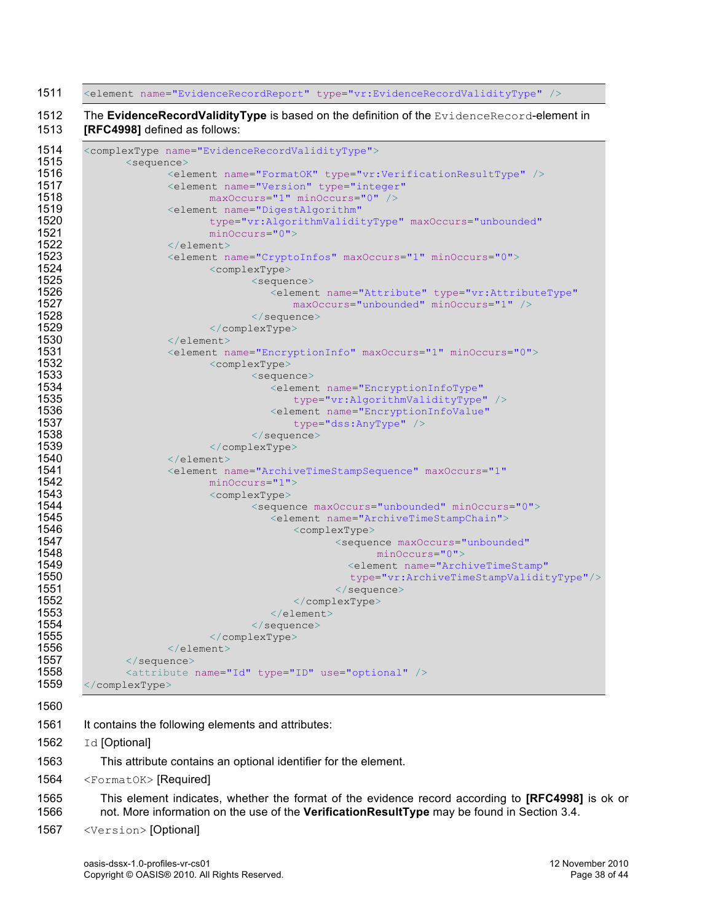| <element name="EvidenceRecordReport" type="vr:EvidenceRecordValidityType"></element>                                        |
|-----------------------------------------------------------------------------------------------------------------------------|
| The EvidenceRecordValidityType is based on the definition of the EvidenceRecord-element in<br>[RFC4998] defined as follows: |
| <complextype name="EvidenceRecordValidityType"></complextype>                                                               |
| <sequence></sequence>                                                                                                       |
| <element name="FormatOK" type="vr:VerificationResultType"></element>                                                        |
| <element <="" name="Version" td="" type="integer"></element>                                                                |
| maxOccurs="1" minOccurs="0" />                                                                                              |
| <element <="" name="DigestAlgorithm" td=""></element>                                                                       |
| type="vr:AlgorithmValidityType" maxOccurs="unbounded"                                                                       |
| $minOccurs = "0"$                                                                                                           |
|                                                                                                                             |
| <element maxoccurs="1" minoccurs="0" name="CryptoInfos"></element>                                                          |
| <complextype></complextype>                                                                                                 |
| <sequence></sequence>                                                                                                       |
| <blement <="" name="Attribute" td="" type="vr:AttributeType"></blement>                                                     |
| maxOccurs="unbounded" minOccurs="1" />                                                                                      |
| $\langle$ /sequence>                                                                                                        |
|                                                                                                                             |
| $\langle$ /element>                                                                                                         |
| <element maxoccurs="1" minoccurs="0" name="EncryptionInfo"></element>                                                       |
| <complextype></complextype>                                                                                                 |
| <sequence></sequence>                                                                                                       |
| <element <="" name="EncryptionInfoType" td=""></element>                                                                    |
| type="vr:AlgorithmValidityType" />                                                                                          |
| <element <="" name="EncryptionInfoValue" td=""></element>                                                                   |
| type="dss:AnyType" />                                                                                                       |
| $\langle$ /sequence>                                                                                                        |
|                                                                                                                             |
| $\langle$ /element>                                                                                                         |
| <blement <="" maxoccurs="1" name="ArchiveTimeStampSequence" td=""></blement>                                                |
| $minOccurs="1"$                                                                                                             |
| <complextype></complextype>                                                                                                 |
| <sequence maxoccurs="unbounded" minoccurs="0"></sequence>                                                                   |
| <element name="ArchiveTimeStampChain"></element>                                                                            |
| <complextype></complextype>                                                                                                 |
| <sequence <="" maxoccurs="unbounded" td=""></sequence>                                                                      |
| $minOccurs="0"$                                                                                                             |
| <element <="" name="ArchiveTimeStamp" td=""></element>                                                                      |
| type="vr:ArchiveTimeStampValidityType"/>                                                                                    |
| $\langle$ /sequence>                                                                                                        |
|                                                                                                                             |
| $\langle$ /element>                                                                                                         |
| $\langle$ /sequence>                                                                                                        |
|                                                                                                                             |
| $\langle$ /element>                                                                                                         |
| $\langle$ /sequence>                                                                                                        |
| <attribute name="Id" type="ID" use="optional"></attribute>                                                                  |
|                                                                                                                             |

- 
- 1561 It contains the following elements and attributes:
- 1562 Id [Optional]
- This attribute contains an optional identifier for the element.
- 1564 <FormatOK> [Required]
- This element indicates, whether the format of the evidence record according to **[RFC4998]** is ok or not. More information on the use of the **VerificationResultType** may be found in Section 3.4.
- <Version> [Optional]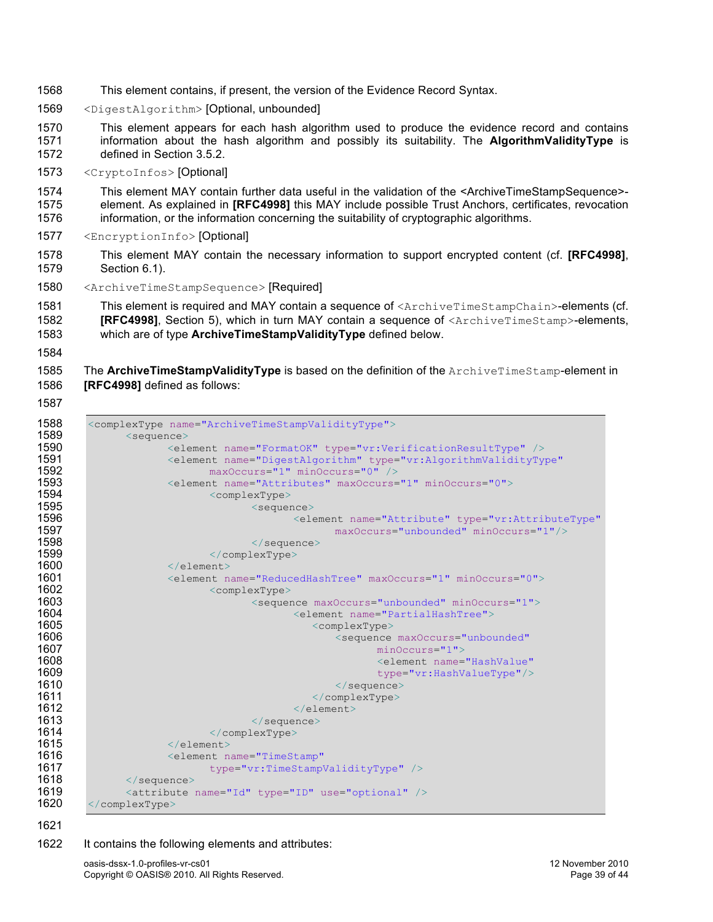- This element contains, if present, the version of the Evidence Record Syntax.
- <DigestAlgorithm> [Optional, unbounded]
- This element appears for each hash algorithm used to produce the evidence record and contains information about the hash algorithm and possibly its suitability. The **AlgorithmValidityType** is defined in Section 3.5.2.
- <CryptoInfos> [Optional]
- This element MAY contain further data useful in the validation of the <ArchiveTimeStampSequence>- element. As explained in **[RFC4998]** this MAY include possible Trust Anchors, certificates, revocation information, or the information concerning the suitability of cryptographic algorithms.
- <EncryptionInfo> [Optional]
- This element MAY contain the necessary information to support encrypted content (cf. **[RFC4998]**, Section 6.1).
- <ArchiveTimeStampSequence> [Required]

```
1581 This element is required and MAY contain a sequence of <ArchiveTimeStampChain>-elements (cf.
1582 [RFC4998], Section 5), which in turn MAY contain a sequence of <ArchiveTimeStamp>-elements, 
1583 which are of type ArchiveTimeStampValidityType defined below.
```
1585 The ArchiveTimeStampValidityType is based on the definition of the ArchiveTimeStamp-element in **[RFC4998]** defined as follows:

```
1588 <complexType name="ArchiveTimeStampValidityType"><br>1589 <sequence>
1589 <sequence>
1590 <element name="FormatOK" type="vr:VerificationResultType" />
1591 <element name="DigestAlgorithm" type="vr:AlgorithmValidityType"<br>1592 maxOccurs="1" minOccurs="0" />
1592 maxOccurs="1" minOccurs="0" /><br>1593 <element name="Attributes" maxOccurs=
1593 <element name="Attributes" maxOccurs="1" minOccurs="0"><br>1594 <complexType>
1594 <complexType>> <complexType><br>1595 </complexType>
1595 <sequence>
1596 <element name="Attribute" type="vr:AttributeType"
1597 maxOccurs="unbounded" minOccurs="1"/>
1598 </sequence><br>1599 </sequence> </complexType>
1599 </complexType>
1600 </element>
1601 <element name="ReducedHashTree" maxOccurs="1" minOccurs="0"><br>1602 <complexType>
1602 <complexType>
1603 <sequence maxOccurs="unbounded" minOccurs="1"><br>1604 <sequence maxOccurs="partialHashTree">
1604 <element name="PartialHashTree">
1605 <complexType>
1606 <sequence maxOccurs="unbounded"
1607 minOccurs="1">
1608 <element name="HashValue"
1609 type="vr:HashValueType"/>
1610 </sequence>
1611 </complexType><br>1612 </complexType>>>>>>>>>>>>>>>>>>
1612 </element><br>1613 </element>
1613 </sequence>
1614 </complexType>
1615 </element>
1616 <element name="TimeStamp"
1617 type="vr:TimeStampValidityType" /><br>1618 </sequence>
1618 </sequence><br>1619 <attribute
1619 <attribute name="Id" type="ID" use="optional" />
      1620 </complexType>
```
#### It contains the following elements and attributes:

oasis-dssx-1.0-profiles-vr-cs01 12 November 2010 Copyright © OASIS® 2010. All Rights Reserved. **Page 39 of 44** and 2010. Page 39 of 44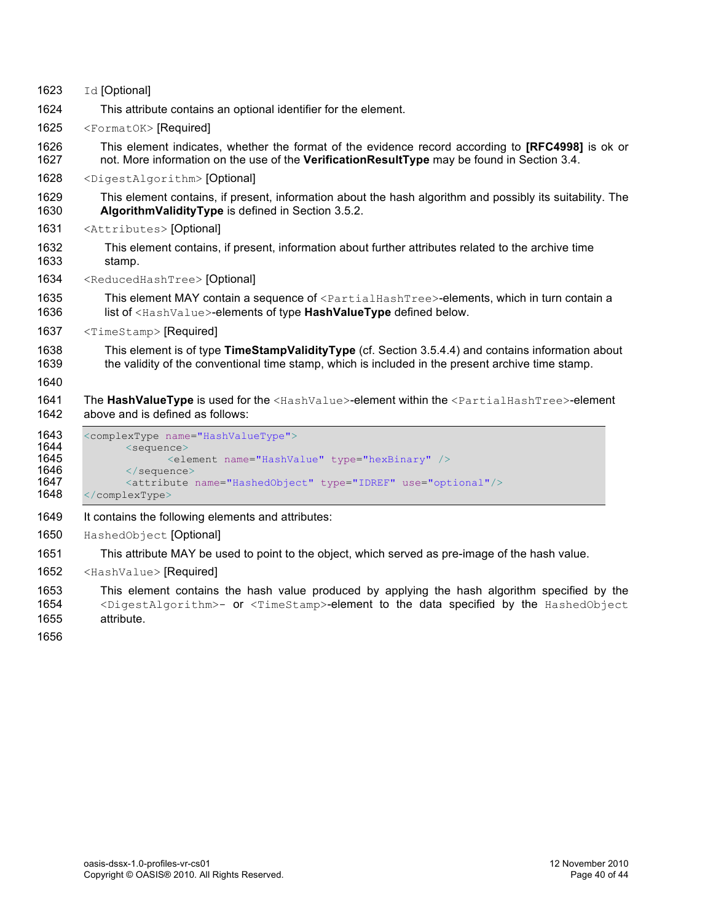| 1623         | Id [Optional]                                                                                                                                                                                           |  |  |  |  |  |
|--------------|---------------------------------------------------------------------------------------------------------------------------------------------------------------------------------------------------------|--|--|--|--|--|
| 1624         | This attribute contains an optional identifier for the element.                                                                                                                                         |  |  |  |  |  |
| 1625         | <formatok> [Required]</formatok>                                                                                                                                                                        |  |  |  |  |  |
| 1626<br>1627 | This element indicates, whether the format of the evidence record according to [RFC4998] is ok or<br>not. More information on the use of the VerificationResultType may be found in Section 3.4.        |  |  |  |  |  |
| 1628         | <digestalgorithm> [Optional]</digestalgorithm>                                                                                                                                                          |  |  |  |  |  |
| 1629<br>1630 | This element contains, if present, information about the hash algorithm and possibly its suitability. The<br>AlgorithmValidityType is defined in Section 3.5.2.                                         |  |  |  |  |  |
| 1631         | <attributes> [Optional]</attributes>                                                                                                                                                                    |  |  |  |  |  |
| 1632<br>1633 | This element contains, if present, information about further attributes related to the archive time<br>stamp.                                                                                           |  |  |  |  |  |
| 1634         | <reducedhashtree> [Optional]</reducedhashtree>                                                                                                                                                          |  |  |  |  |  |
| 1635<br>1636 | This element MAY contain a sequence of <partialhashtree>-elements, which in turn contain a<br/>list of <hashvalue>-elements of type HashValueType defined below.</hashvalue></partialhashtree>          |  |  |  |  |  |
|              | <timestamp> [Required]</timestamp>                                                                                                                                                                      |  |  |  |  |  |
| 1637         |                                                                                                                                                                                                         |  |  |  |  |  |
| 1638<br>1639 | This element is of type TimeStampValidityType (cf. Section 3.5.4.4) and contains information about<br>the validity of the conventional time stamp, which is included in the present archive time stamp. |  |  |  |  |  |
| 1640         |                                                                                                                                                                                                         |  |  |  |  |  |
| 1641<br>1642 | The HashValueType is used for the <hashvalue>-element within the <partialhashtree>-element<br/>above and is defined as follows:</partialhashtree></hashvalue>                                           |  |  |  |  |  |
| 1643<br>1644 | <complextype name="HashValueType"><br/><sequence></sequence></complextype>                                                                                                                              |  |  |  |  |  |
| 1645         | <element name="HashValue" type="hexBinary"></element>                                                                                                                                                   |  |  |  |  |  |
| 1646<br>1647 | $\langle$ /sequence><br><attribute name="HashedObject" type="IDREF" use="optional"></attribute>                                                                                                         |  |  |  |  |  |
| 1648         |                                                                                                                                                                                                         |  |  |  |  |  |
| 1649         | It contains the following elements and attributes:                                                                                                                                                      |  |  |  |  |  |
| 1650         | HashedObject [Optional]                                                                                                                                                                                 |  |  |  |  |  |
| 1651         | This attribute MAY be used to point to the object, which served as pre-image of the hash value.                                                                                                         |  |  |  |  |  |
| 1652         | <hashvalue> [Required]</hashvalue>                                                                                                                                                                      |  |  |  |  |  |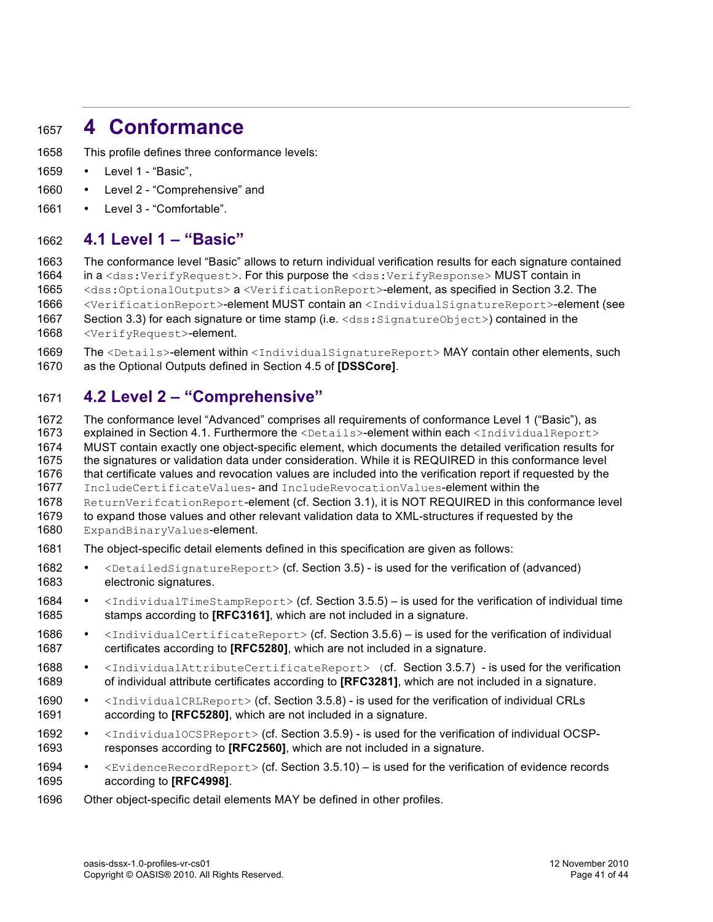## <sup>1657</sup> **4 Conformance**

- 1658 This profile defines three conformance levels:
- 1659 Level 1 "Basic",
- 1660 Level 2 "Comprehensive" and
- 1661 Level 3 "Comfortable".

## 1662 **4.1 Level 1 – "Basic"**

 The conformance level "Basic" allows to return individual verification results for each signature contained 1664 in a <dss:VerifyRequest>. For this purpose the <dss:VerifyResponse> MUST contain in <dss:OptionalOutputs> a <VerificationReport>-element, as specified in Section 3.2. The <VerificationReport>-element MUST contain an <IndividualSignatureReport>-element (see

- 1667 Section 3.3) for each signature or time stamp (i.e. <dss: SignatureObject>) contained in the
- 1668 <VerifyRequest>-element.

1669 The <Details>-element within <IndividualSignatureReport> MAY contain other elements, such 1670 as the Optional Outputs defined in Section 4.5 of **[DSSCore]**.

## 1671 **4.2 Level 2 – "Comprehensive"**

1672 The conformance level "Advanced" comprises all requirements of conformance Level 1 ("Basic"), as 1673 explained in Section 4.1. Furthermore the <Details>-element within each <IndividualReport> 1674 MUST contain exactly one object-specific element, which documents the detailed verification results for 1675 the signatures or validation data under consideration. While it is REQUIRED in this conformance level 1676 that certificate values and revocation values are included into the verification report if requested by the 1677 IncludeCertificateValues- and IncludeRevocationValues-element within the 1678 ReturnVerifcationReport-element (cf. Section 3.1), it is NOT REQUIRED in this conformance level 1679 to expand those values and other relevant validation data to XML-structures if requested by the 1680 ExpandBinaryValues-element. 1681 The object-specific detail elements defined in this specification are given as follows:

- 1682 <DetailedSignatureReport> (cf. Section 3.5) is used for the verification of (advanced) 1683 electronic signatures.
- 1684 <IndividualTimeStampReport> (cf. Section 3.5.5) is used for the verification of individual time 1685 stamps according to **[RFC3161]**, which are not included in a signature.
- 1686 <IndividualCertificateReport> (cf. Section 3.5.6) is used for the verification of individual 1687 certificates according to **[RFC5280]**, which are not included in a signature.
- 1688 <IndividualAttributeCertificateReport> (cf. Section 3.5.7) is used for the verification 1689 of individual attribute certificates according to **[RFC3281]**, which are not included in a signature.
- 1690 <IndividualCRLReport> (cf. Section 3.5.8) is used for the verification of individual CRLs 1691 according to **[RFC5280]**, which are not included in a signature.
- 1692  $\leq$ IndividualOCSPReport> (cf. Section 3.5.9) is used for the verification of individual OCSP-<br>1693 responses according to **IREC25601** which are not included in a signature responses according to **[RFC2560]**, which are not included in a signature.
- 1694 <EvidenceRecordReport> (cf. Section 3.5.10) is used for the verification of evidence records 1695 according to **[RFC4998]**.
- 1696 Other object-specific detail elements MAY be defined in other profiles.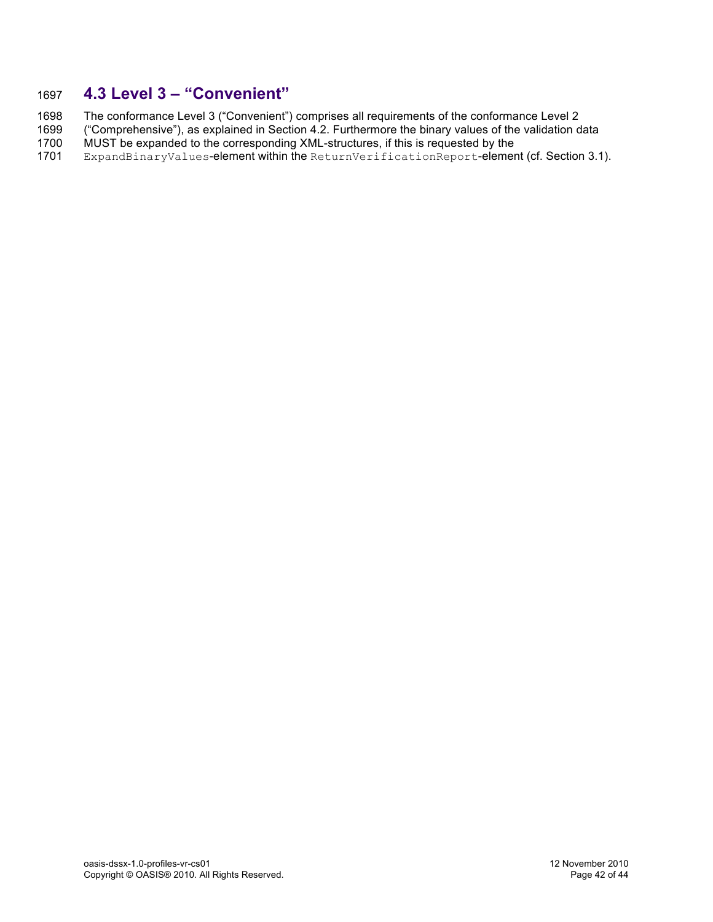## 1697 **4.3 Level 3 – "Convenient"**

1698 The conformance Level 3 ("Convenient") comprises all requirements of the conformance Level 2<br>1699 ("Comprehensive"), as explained in Section 4.2. Furthermore the binary values of the validation d

- 1699 ("Comprehensive"), as explained in Section 4.2. Furthermore the binary values of the validation data<br>1700 MUST be expanded to the corresponding XML-structures. if this is requested by the
- 1700 MUST be expanded to the corresponding XML-structures, if this is requested by the 1701 ExpandBinaryValues-element within the ReturnVerificationReport-element
- ExpandBinaryValues-element within the ReturnVerificationReport-element (cf. Section 3.1).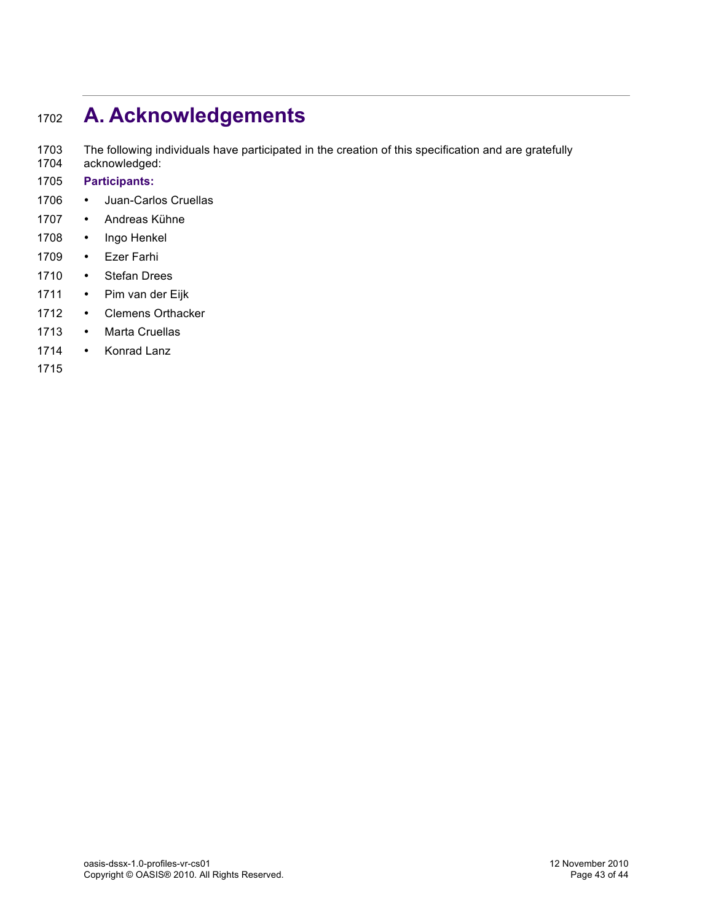## <sup>1702</sup> **A. Acknowledgements**

1703 The following individuals have participated in the creation of this specification and are gratefully

- 1704 acknowledged:
- 1705 **Participants:**
- 1706 Juan-Carlos Cruellas
- 1707 Andreas Kühne
- 1708 Ingo Henkel
- 1709 Ezer Farhi
- 1710 Stefan Drees
- 1711 Pim van der Eijk
- 1712 Clemens Orthacker
- 1713 Marta Cruellas
- 1714 Konrad Lanz
- 1715